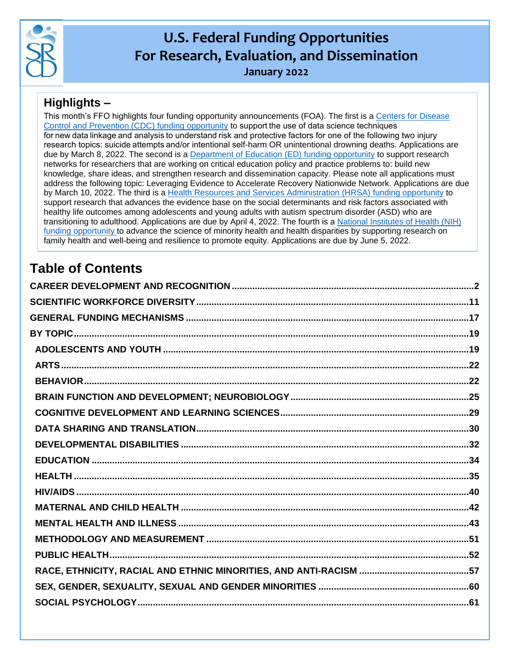

# **U.S. Federal Funding Opportunities For Research, Evaluation, and Dissemination**

**January 2022**

# **Highlights –**

This month's FFO highlights four funding opportunity announcements (FOA). The first is a [Centers for Disease](https://www.grants.gov/web/grants/view-opportunity.html?oppId=336310)  [Control and Prevention \(CDC\) funding opportunity](https://www.grants.gov/web/grants/view-opportunity.html?oppId=336310) to support the use of data science techniques for new data linkage and analysis to understand risk and protective factors for one of the following two injury research topics: suicide attempts and/or intentional self-harm OR unintentional drowning deaths. Applications are due by March 8, 2022. The second is a [Department of Education \(ED\) funding opportunity](https://www.govinfo.gov/content/pkg/FR-2021-12-10/pdf/2021-26765.pdf) to support research networks for researchers that are working on critical education policy and practice problems to: build new knowledge, share ideas, and strengthen research and dissemination capacity. Please note all applications must address the following topic: Leveraging Evidence to Accelerate Recovery Nationwide Network. Applications are due by March 10, 2022. The third is a [Health Resources and Services Administration \(HRSA\) funding opportunity](https://www.grants.gov/web/grants/view-opportunity.html?oppId=334402) to support research that advances the evidence base on the social determinants and risk factors associated with healthy life outcomes among adolescents and young adults with autism spectrum disorder (ASD) who are transitioning to adulthood. Applications are due by April 4, 2022. The fourth is a [National Institutes of Health \(NIH\)](https://grants.nih.gov/grants/guide/pa-files/PAR-21-358.html)  [funding opportunity](https://grants.nih.gov/grants/guide/pa-files/PAR-21-358.html) to advance the science of minority health and health disparities by supporting research on family health and well-being and resilience to promote equity. Applications are due by June 5, 2022.

# **Table of Contents**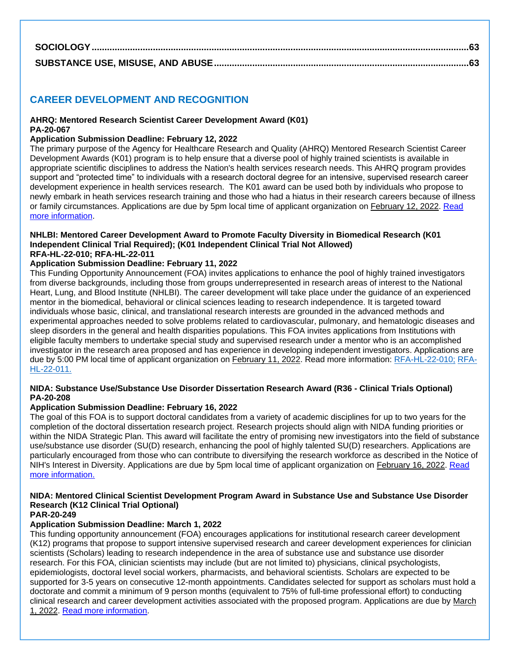### <span id="page-1-0"></span>**CAREER DEVELOPMENT AND RECOGNITION**

#### **AHRQ: Mentored Research Scientist Career Development Award (K01) PA-20-067**

#### **Application Submission Deadline: February 12, 2022**

The primary purpose of the Agency for Healthcare Research and Quality (AHRQ) Mentored Research Scientist Career Development Awards (K01) program is to help ensure that a diverse pool of highly trained scientists is available in appropriate scientific disciplines to address the Nation's health services research needs. This AHRQ program provides support and "protected time" to individuals with a research doctoral degree for an intensive, supervised research career development experience in health services research. The K01 award can be used both by individuals who propose to newly embark in heath services research training and those who had a hiatus in their research careers because of illness or family circumstances. Applications are due by 5pm local time of applicant organization on February 12, 2022. [Read](https://grants.nih.gov/grants/guide/pa-files/PA-20-067.html)  [more information.](https://grants.nih.gov/grants/guide/pa-files/PA-20-067.html)

#### **NHLBI: Mentored Career Development Award to Promote Faculty Diversity in Biomedical Research (K01 Independent Clinical Trial Required); (K01 Independent Clinical Trial Not Allowed) RFA-HL-22-010; RFA-HL-22-011**

#### **Application Submission Deadline: February 11, 2022**

This Funding Opportunity Announcement (FOA) invites applications to enhance the pool of highly trained investigators from diverse backgrounds, including those from groups underrepresented in research areas of interest to the National Heart, Lung, and Blood Institute (NHLBI). The career development will take place under the guidance of an experienced mentor in the biomedical, behavioral or clinical sciences leading to research independence. It is targeted toward individuals whose basic, clinical, and translational research interests are grounded in the advanced methods and experimental approaches needed to solve problems related to cardiovascular, pulmonary, and hematologic diseases and sleep disorders in the general and health disparities populations. This FOA invites applications from Institutions with eligible faculty members to undertake special study and supervised research under a mentor who is an accomplished investigator in the research area proposed and has experience in developing independent investigators. Applications are due by 5:00 PM local time of applicant organization on February 11, 2022. Read more information: [RFA-HL-22-010;](https://grants.nih.gov/grants/guide/rfa-files/RFA-HL-22-010.html) [RFA-](https://grants.nih.gov/grants/guide/rfa-files/RFA-HL-22-011.html)[HL-22-011.](https://grants.nih.gov/grants/guide/rfa-files/RFA-HL-22-011.html)

#### **NIDA: Substance Use/Substance Use Disorder Dissertation Research Award (R36 - Clinical Trials Optional) PA-20-208**

#### **Application Submission Deadline: February 16, 2022**

The goal of this FOA is to support doctoral candidates from a variety of academic disciplines for up to two years for the completion of the doctoral dissertation research project. Research projects should align with NIDA funding priorities or within the NIDA Strategic Plan. This award will facilitate the entry of promising new investigators into the field of substance use/substance use disorder (SU(D) research, enhancing the pool of highly talented SU(D) researchers. Applications are particularly encouraged from those who can contribute to diversifying the research workforce as described in the Notice of NIH's Interest in Diversity. Applications are due by 5pm local time of applicant organization on February 16, 2022. [Read](https://grants.nih.gov/grants/guide/pa-files/PA-20-208.html)  [more information.](https://grants.nih.gov/grants/guide/pa-files/PA-20-208.html)

### **NIDA: Mentored Clinical Scientist Development Program Award in Substance Use and Substance Use Disorder Research (K12 Clinical Trial Optional)**

### **PAR-20-249**

### **Application Submission Deadline: March 1, 2022**

This funding opportunity announcement (FOA) encourages applications for institutional research career development (K12) programs that propose to support intensive supervised research and career development experiences for clinician scientists (Scholars) leading to research independence in the area of substance use and substance use disorder research. For this FOA, clinician scientists may include (but are not limited to) physicians, clinical psychologists, epidemiologists, doctoral level social workers, pharmacists, and behavioral scientists. Scholars are expected to be supported for 3-5 years on consecutive 12-month appointments. Candidates selected for support as scholars must hold a doctorate and commit a minimum of 9 person months (equivalent to 75% of full-time professional effort) to conducting clinical research and career development activities associated with the proposed program. Applications are due by March 1, 2022. [Read more information.](https://grants.nih.gov/grants/guide/pa-files/PAR-20-249.html)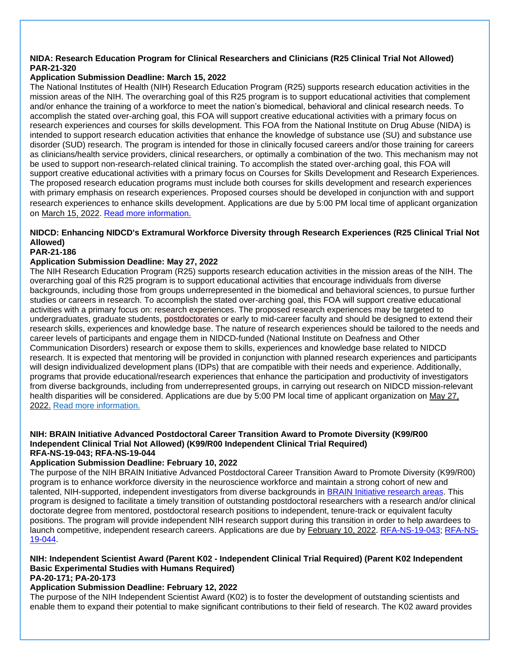#### **NIDA: Research Education Program for Clinical Researchers and Clinicians (R25 Clinical Trial Not Allowed) PAR-21-320**

### **Application Submission Deadline: March 15, 2022**

The National Institutes of Health (NIH) Research Education Program (R25) supports research education activities in the mission areas of the NIH. The overarching goal of this R25 program is to support educational activities that complement and/or enhance the training of a workforce to meet the nation's biomedical, behavioral and clinical research needs. To accomplish the stated over-arching goal, this FOA will support creative educational activities with a primary focus on research experiences and courses for skills development. This FOA from the National Institute on Drug Abuse (NIDA) is intended to support research education activities that enhance the knowledge of substance use (SU) and substance use disorder (SUD) research. The program is intended for those in clinically focused careers and/or those training for careers as clinicians/health service providers, clinical researchers, or optimally a combination of the two. This mechanism may not be used to support non-research-related clinical training. To accomplish the stated over-arching goal, this FOA will support creative educational activities with a primary focus on Courses for Skills Development and Research Experiences. The proposed research education programs must include both courses for skills development and research experiences with primary emphasis on research experiences. Proposed courses should be developed in conjunction with and support research experiences to enhance skills development. Applications are due by 5:00 PM local time of applicant organization on March 15, 2022. [Read more information.](https://grants.nih.gov/grants/guide/pa-files/PAR-21-320.html)

### **NIDCD: Enhancing NIDCD's Extramural Workforce Diversity through Research Experiences (R25 Clinical Trial Not Allowed)**

### **PAR-21-186**

### **Application Submission Deadline: May 27, 2022**

The NIH Research Education Program (R25) supports research education activities in the mission areas of the NIH. The overarching goal of this R25 program is to support educational activities that encourage individuals from diverse backgrounds, including those from groups underrepresented in the biomedical and behavioral sciences, to pursue further studies or careers in research. To accomplish the stated over-arching goal, this FOA will support creative educational activities with a primary focus on: research experiences. The proposed research experiences may be targeted to undergraduates, graduate students, postdoctorates or early to mid-career faculty and should be designed to extend their research skills, experiences and knowledge base. The nature of research experiences should be tailored to the needs and career levels of participants and engage them in NIDCD-funded (National Institute on Deafness and Other Communication Disorders) research or expose them to skills, experiences and knowledge base related to NIDCD research. It is expected that mentoring will be provided in conjunction with planned research experiences and participants will design individualized development plans (IDPs) that are compatible with their needs and experience. Additionally, programs that provide educational/research experiences that enhance the participation and productivity of investigators from diverse backgrounds, including from underrepresented groups, in carrying out research on NIDCD mission-relevant health disparities will be considered. Applications are due by 5:00 PM local time of applicant organization on May 27, 2022. [Read more information.](https://grants.nih.gov/grants/guide/pa-files/PAR-21-186.html)

#### **NIH: BRAIN Initiative Advanced Postdoctoral Career Transition Award to Promote Diversity (K99/R00 Independent Clinical Trial Not Allowed) (K99/R00 Independent Clinical Trial Required) RFA-NS-19-043; RFA-NS-19-044**

### **Application Submission Deadline: February 10, 2022**

The purpose of the NIH BRAIN Initiative Advanced Postdoctoral Career Transition Award to Promote Diversity (K99/R00) program is to enhance workforce diversity in the neuroscience workforce and maintain a strong cohort of new and talented, NIH-supported, independent investigators from diverse backgrounds in [BRAIN Initiative research areas.](https://www.braininitiative.nih.gov/2025/index.htm) This program is designed to facilitate a timely transition of outstanding postdoctoral researchers with a research and/or clinical doctorate degree from mentored, postdoctoral research positions to independent, tenure-track or equivalent faculty positions. The program will provide independent NIH research support during this transition in order to help awardees to launch competitive, independent research careers. Applications are due by February 10, 2022. [RFA-NS-19-043;](https://grants.nih.gov/grants/guide/rfa-files/RFA-NS-19-043.html) [RFA-NS-](https://grants.nih.gov/grants/guide/rfa-files/RFA-NS-19-044.html)[19-044.](https://grants.nih.gov/grants/guide/rfa-files/RFA-NS-19-044.html)

#### **NIH: Independent Scientist Award (Parent K02 - Independent Clinical Trial Required) (Parent K02 Independent Basic Experimental Studies with Humans Required) PA-20-171; PA-20-173**

### **Application Submission Deadline: February 12, 2022**

The purpose of the NIH Independent Scientist Award (K02) is to foster the development of outstanding scientists and enable them to expand their potential to make significant contributions to their field of research. The K02 award provides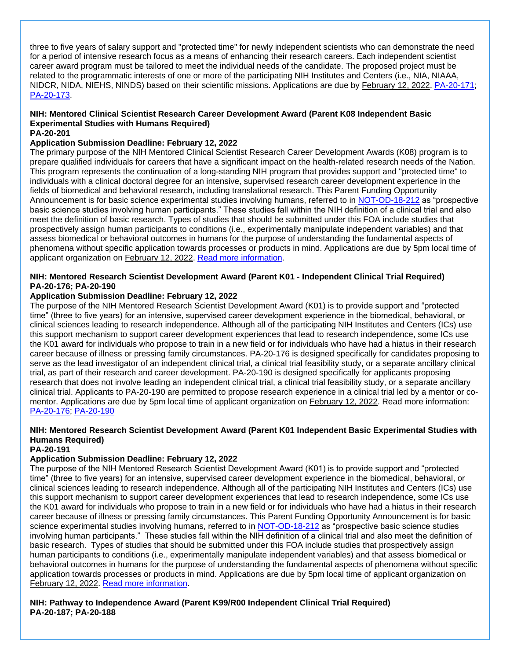three to five years of salary support and "protected time" for newly independent scientists who can demonstrate the need for a period of intensive research focus as a means of enhancing their research careers. Each independent scientist career award program must be tailored to meet the individual needs of the candidate. The proposed project must be related to the programmatic interests of one or more of the participating NIH Institutes and Centers (i.e., NIA, NIAAA, NIDCR, NIDA, NIEHS, NINDS) based on their scientific missions. Applications are due by February 12, 2022. [PA-20-171;](https://grants.nih.gov/grants/guide/pa-files/PA-20-171.html) [PA-20-173.](https://grants.nih.gov/grants/guide/pa-files/PA-20-173.html)

### **NIH: Mentored Clinical Scientist Research Career Development Award (Parent K08 Independent Basic Experimental Studies with Humans Required)**

#### **PA-20-201**

#### **Application Submission Deadline: February 12, 2022**

The primary purpose of the NIH Mentored Clinical Scientist Research Career Development Awards (K08) program is to prepare qualified individuals for careers that have a significant impact on the health-related research needs of the Nation. This program represents the continuation of a long-standing NIH program that provides support and "protected time" to individuals with a clinical doctoral degree for an intensive, supervised research career development experience in the fields of biomedical and behavioral research, including translational research. This Parent Funding Opportunity Announcement is for basic science experimental studies involving humans, referred to in [NOT-OD-18-212](https://grants.nih.gov/grants/guide/notice-files/NOT-OD-18-212.html) as "prospective basic science studies involving human participants." These studies fall within the NIH definition of a clinical trial and also meet the definition of basic research. Types of studies that should be submitted under this FOA include studies that prospectively assign human participants to conditions (i.e., experimentally manipulate independent variables) and that assess biomedical or behavioral outcomes in humans for the purpose of understanding the fundamental aspects of phenomena without specific application towards processes or products in mind. Applications are due by 5pm local time of applicant organization on February 12, 2022. [Read more information.](https://grants.nih.gov/grants/guide/pa-files/PA-20-201.html)

#### **NIH: Mentored Research Scientist Development Award (Parent K01 - Independent Clinical Trial Required) PA-20-176; PA-20-190**

#### **Application Submission Deadline: February 12, 2022**

The purpose of the NIH Mentored Research Scientist Development Award (K01) is to provide support and "protected time" (three to five years) for an intensive, supervised career development experience in the biomedical, behavioral, or clinical sciences leading to research independence. Although all of the participating NIH Institutes and Centers (ICs) use this support mechanism to support career development experiences that lead to research independence, some ICs use the K01 award for individuals who propose to train in a new field or for individuals who have had a hiatus in their research career because of illness or pressing family circumstances. PA-20-176 is designed specifically for candidates proposing to serve as the lead investigator of an independent clinical trial, a clinical trial feasibility study, or a separate ancillary clinical trial, as part of their research and career development. PA-20-190 is designed specifically for applicants proposing research that does not involve leading an independent clinical trial, a clinical trial feasibility study, or a separate ancillary clinical trial. Applicants to PA-20-190 are permitted to propose research experience in a clinical trial led by a mentor or comentor. Applications are due by 5pm local time of applicant organization on February 12, 2022. Read more information: [PA-20-176;](https://grants.nih.gov/grants/guide/pa-files/PA-20-176.html) [PA-20-190](https://grants.nih.gov/grants/guide/pa-files/PA-20-190.html)

### **NIH: Mentored Research Scientist Development Award (Parent K01 Independent Basic Experimental Studies with Humans Required)**

### **PA-20-191**

### **Application Submission Deadline: February 12, 2022**

The purpose of the NIH Mentored Research Scientist Development Award (K01) is to provide support and "protected time" (three to five years) for an intensive, supervised career development experience in the biomedical, behavioral, or clinical sciences leading to research independence. Although all of the participating NIH Institutes and Centers (ICs) use this support mechanism to support career development experiences that lead to research independence, some ICs use the K01 award for individuals who propose to train in a new field or for individuals who have had a hiatus in their research career because of illness or pressing family circumstances. This Parent Funding Opportunity Announcement is for basic science experimental studies involving humans, referred to in [NOT-OD-18-212](https://grants.nih.gov/grants/guide/notice-files/NOT-OD-18-212.html) as "prospective basic science studies involving human participants." These studies fall within the NIH definition of a clinical trial and also meet the definition of basic research. Types of studies that should be submitted under this FOA include studies that prospectively assign human participants to conditions (i.e., experimentally manipulate independent variables) and that assess biomedical or behavioral outcomes in humans for the purpose of understanding the fundamental aspects of phenomena without specific application towards processes or products in mind. Applications are due by 5pm local time of applicant organization on February 12, 2022. [Read more information.](https://grants.nih.gov/grants/guide/pa-files/PA-20-191.html)

### **NIH: Pathway to Independence Award (Parent K99/R00 Independent Clinical Trial Required) PA-20-187; PA-20-188**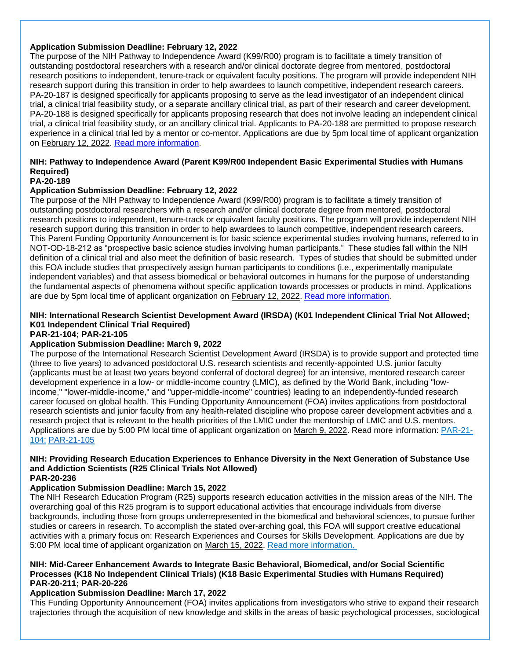#### **Application Submission Deadline: February 12, 2022**

The purpose of the NIH Pathway to Independence Award (K99/R00) program is to facilitate a timely transition of outstanding postdoctoral researchers with a research and/or clinical doctorate degree from mentored, postdoctoral research positions to independent, tenure-track or equivalent faculty positions. The program will provide independent NIH research support during this transition in order to help awardees to launch competitive, independent research careers. PA-20-187 is designed specifically for applicants proposing to serve as the lead investigator of an independent clinical trial, a clinical trial feasibility study, or a separate ancillary clinical trial, as part of their research and career development. PA-20-188 is designed specifically for applicants proposing research that does not involve leading an independent clinical trial, a clinical trial feasibility study, or an ancillary clinical trial. Applicants to PA-20-188 are permitted to propose research experience in a clinical trial led by a mentor or co-mentor. Applications are due by 5pm local time of applicant organization on February 12, 2022. [Read more information.](https://grants.nih.gov/grants/guide/pa-files/PA-20-188.html)

### **NIH: Pathway to Independence Award (Parent K99/R00 Independent Basic Experimental Studies with Humans Required)**

### **PA-20-189**

#### **Application Submission Deadline: February 12, 2022**

The purpose of the NIH Pathway to Independence Award (K99/R00) program is to facilitate a timely transition of outstanding postdoctoral researchers with a research and/or clinical doctorate degree from mentored, postdoctoral research positions to independent, tenure-track or equivalent faculty positions. The program will provide independent NIH research support during this transition in order to help awardees to launch competitive, independent research careers. This Parent Funding Opportunity Announcement is for basic science experimental studies involving humans, referred to in NOT-OD-18-212 as "prospective basic science studies involving human participants." These studies fall within the NIH definition of a clinical trial and also meet the definition of basic research. Types of studies that should be submitted under this FOA include studies that prospectively assign human participants to conditions (i.e., experimentally manipulate independent variables) and that assess biomedical or behavioral outcomes in humans for the purpose of understanding the fundamental aspects of phenomena without specific application towards processes or products in mind. Applications are due by 5pm local time of applicant organization on February 12, 2022. [Read more information.](https://grants.nih.gov/grants/guide/pa-files/PA-20-189.html)

### **NIH: International Research Scientist Development Award (IRSDA) (K01 Independent Clinical Trial Not Allowed; K01 Independent Clinical Trial Required)**

### **PAR-21-104; PAR-21-105**

### **Application Submission Deadline: March 9, 2022**

The purpose of the International Research Scientist Development Award (IRSDA) is to provide support and protected time (three to five years) to advanced postdoctoral U.S. research scientists and recently-appointed U.S. junior faculty (applicants must be at least two years beyond conferral of doctoral degree) for an intensive, mentored research career development experience in a low- or middle-income country (LMIC), as defined by the World Bank, including "lowincome," "lower-middle-income," and "upper-middle-income" countries) leading to an independently-funded research career focused on global health. This Funding Opportunity Announcement (FOA) invites applications from postdoctoral research scientists and junior faculty from any health-related discipline who propose career development activities and a research project that is relevant to the health priorities of the LMIC under the mentorship of LMIC and U.S. mentors. Applications are due by 5:00 PM local time of applicant organization on March 9, 2022. Read more information: [PAR-21-](https://grants.nih.gov/grants/guide/pa-files/PAR-21-104.html#_Section_I._Funding) [104;](https://grants.nih.gov/grants/guide/pa-files/PAR-21-104.html#_Section_I._Funding) [PAR-21-105](https://grants.nih.gov/grants/guide/pa-files/PAR-21-105.html)

### **NIH: Providing Research Education Experiences to Enhance Diversity in the Next Generation of Substance Use and Addiction Scientists (R25 Clinical Trials Not Allowed)**

#### **PAR-20-236**

#### **Application Submission Deadline: March 15, 2022**

The NIH Research Education Program (R25) supports research education activities in the mission areas of the NIH. The overarching goal of this R25 program is to support educational activities that encourage individuals from diverse backgrounds, including those from groups underrepresented in the biomedical and behavioral sciences, to pursue further studies or careers in research. To accomplish the stated over-arching goal, this FOA will support creative educational activities with a primary focus on: Research Experiences and Courses for Skills Development. Applications are due by 5:00 PM local time of applicant organization on March 15, 2022. [Read more information.](https://grants.nih.gov/grants/guide/pa-files/PAR-20-236.html)

#### **NIH: Mid-Career Enhancement Awards to Integrate Basic Behavioral, Biomedical, and/or Social Scientific Processes (K18 No Independent Clinical Trials) (K18 Basic Experimental Studies with Humans Required) PAR-20-211; PAR-20-226**

#### **Application Submission Deadline: March 17, 2022**

This Funding Opportunity Announcement (FOA) invites applications from investigators who strive to expand their research trajectories through the acquisition of new knowledge and skills in the areas of basic psychological processes, sociological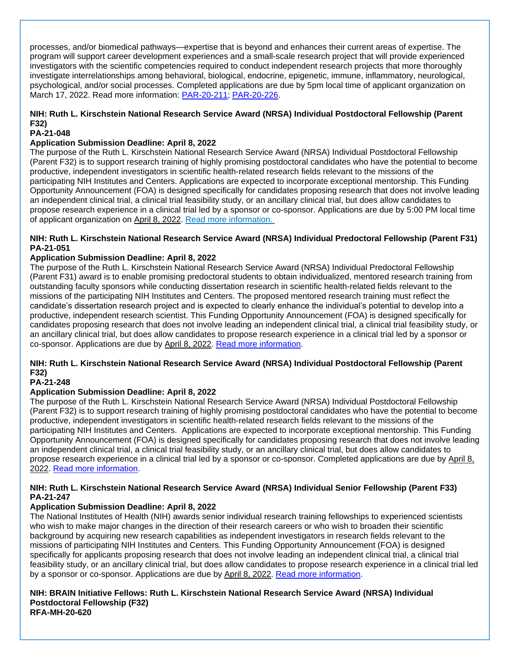processes, and/or biomedical pathways—expertise that is beyond and enhances their current areas of expertise. The program will support career development experiences and a small-scale research project that will provide experienced investigators with the scientific competencies required to conduct independent research projects that more thoroughly investigate interrelationships among behavioral, biological, endocrine, epigenetic, immune, inflammatory, neurological, psychological, and/or social processes. Completed applications are due by 5pm local time of applicant organization on March 17, 2022. Read more information: [PAR-20-211;](https://grants.nih.gov/grants/guide/pa-files/PAR-20-211.html) [PAR-20-226.](https://grants.nih.gov/grants/guide/pa-files/PAR-20-226.html)

### **NIH: Ruth L. Kirschstein National Research Service Award (NRSA) Individual Postdoctoral Fellowship (Parent F32)**

### **PA-21-048**

#### **Application Submission Deadline: April 8, 2022**

The purpose of the Ruth L. Kirschstein National Research Service Award (NRSA) Individual Postdoctoral Fellowship (Parent F32) is to support research training of highly promising postdoctoral candidates who have the potential to become productive, independent investigators in scientific health-related research fields relevant to the missions of the participating NIH Institutes and Centers. Applications are expected to incorporate exceptional mentorship. This Funding Opportunity Announcement (FOA) is designed specifically for candidates proposing research that does not involve leading an independent clinical trial, a clinical trial feasibility study, or an ancillary clinical trial, but does allow candidates to propose research experience in a clinical trial led by a sponsor or co-sponsor. Applications are due by 5:00 PM local time of applicant organization on April 8, 2022. [Read more information.](https://grants.nih.gov/grants/guide/pa-files/PA-21-048.html)

#### **NIH: Ruth L. Kirschstein National Research Service Award (NRSA) Individual Predoctoral Fellowship (Parent F31) PA-21-051**

#### **Application Submission Deadline: April 8, 2022**

The purpose of the Ruth L. Kirschstein National Research Service Award (NRSA) Individual Predoctoral Fellowship (Parent F31) award is to enable promising predoctoral students to obtain individualized, mentored research training from outstanding faculty sponsors while conducting dissertation research in scientific health-related fields relevant to the missions of the participating NIH Institutes and Centers. The proposed mentored research training must reflect the candidate's dissertation research project and is expected to clearly enhance the individual's potential to develop into a productive, independent research scientist. This Funding Opportunity Announcement (FOA) is designed specifically for candidates proposing research that does not involve leading an independent clinical trial, a clinical trial feasibility study, or an ancillary clinical trial, but does allow candidates to propose research experience in a clinical trial led by a sponsor or co-sponsor. Applications are due by April 8, 2022. [Read more information.](https://grants.nih.gov/grants/guide/pa-files/PA-21-051.html)

### **NIH: Ruth L. Kirschstein National Research Service Award (NRSA) Individual Postdoctoral Fellowship (Parent F32)**

### **PA-21-248**

#### **Application Submission Deadline: April 8, 2022**

The purpose of the Ruth L. Kirschstein National Research Service Award (NRSA) Individual Postdoctoral Fellowship (Parent F32) is to support research training of highly promising postdoctoral candidates who have the potential to become productive, independent investigators in scientific health-related research fields relevant to the missions of the participating NIH Institutes and Centers. Applications are expected to incorporate exceptional mentorship. This Funding Opportunity Announcement (FOA) is designed specifically for candidates proposing research that does not involve leading an independent clinical trial, a clinical trial feasibility study, or an ancillary clinical trial, but does allow candidates to propose research experience in a clinical trial led by a sponsor or co-sponsor. Completed applications are due by April 8, 2022. [Read more information.](https://grants.nih.gov/grants/guide/pa-files/PA-21-048.html)

#### **NIH: Ruth L. Kirschstein National Research Service Award (NRSA) Individual Senior Fellowship (Parent F33) PA-21-247**

#### **Application Submission Deadline: April 8, 2022**

The National Institutes of Health (NIH) awards senior individual research training fellowships to experienced scientists who wish to make major changes in the direction of their research careers or who wish to broaden their scientific background by acquiring new research capabilities as independent investigators in research fields relevant to the missions of participating NIH Institutes and Centers. This Funding Opportunity Announcement (FOA) is designed specifically for applicants proposing research that does not involve leading an independent clinical trial, a clinical trial feasibility study, or an ancillary clinical trial, but does allow candidates to propose research experience in a clinical trial led by a sponsor or co-sponsor. Applications are due by April 8, 2022. [Read more information.](https://grants.nih.gov/grants/guide/pa-files/PA-21-047.html)

#### **NIH: BRAIN Initiative Fellows: Ruth L. Kirschstein National Research Service Award (NRSA) Individual Postdoctoral Fellowship (F32) RFA-MH-20-620**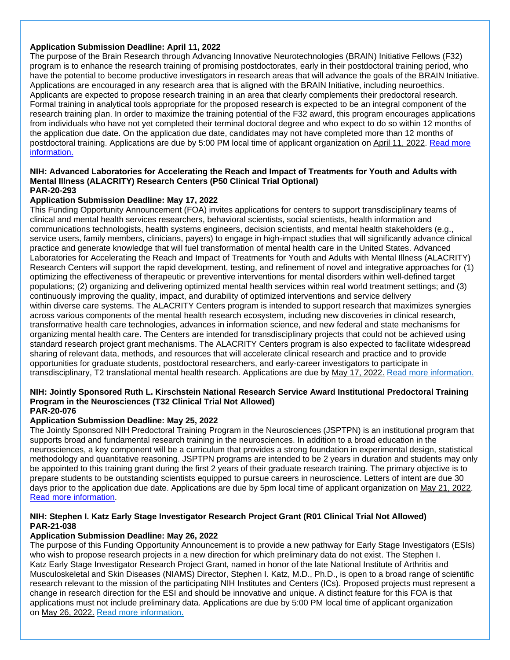#### **Application Submission Deadline: April 11, 2022**

The purpose of the Brain Research through Advancing Innovative Neurotechnologies (BRAIN) Initiative Fellows (F32) program is to enhance the research training of promising postdoctorates, early in their postdoctoral training period, who have the potential to become productive investigators in research areas that will advance the goals of the BRAIN Initiative. Applications are encouraged in any research area that is aligned with the BRAIN Initiative, including neuroethics. Applicants are expected to propose research training in an area that clearly complements their predoctoral research. Formal training in analytical tools appropriate for the proposed research is expected to be an integral component of the research training plan. In order to maximize the training potential of the F32 award, this program encourages applications from individuals who have not yet completed their terminal doctoral degree and who expect to do so within 12 months of the application due date. On the application due date, candidates may not have completed more than 12 months of postdoctoral training. Applications are due by 5:00 PM local time of applicant organization on April 11, 2022. [Read more](https://grants.nih.gov/grants/guide/rfa-files/RFA-MH-20-620.html)  [information.](https://grants.nih.gov/grants/guide/rfa-files/RFA-MH-20-620.html)

#### **NIH: Advanced Laboratories for Accelerating the Reach and Impact of Treatments for Youth and Adults with Mental Illness (ALACRITY) Research Centers (P50 Clinical Trial Optional) PAR-20-293**

#### **Application Submission Deadline: May 17, 2022**

This Funding Opportunity Announcement (FOA) invites applications for centers to support transdisciplinary teams of clinical and mental health services researchers, behavioral scientists, social scientists, health information and communications technologists, health systems engineers, decision scientists, and mental health stakeholders (e.g., service users, family members, clinicians, payers) to engage in high-impact studies that will significantly advance clinical practice and generate knowledge that will fuel transformation of mental health care in the United States. Advanced Laboratories for Accelerating the Reach and Impact of Treatments for Youth and Adults with Mental Illness (ALACRITY) Research Centers will support the rapid development, testing, and refinement of novel and integrative approaches for (1) optimizing the effectiveness of therapeutic or preventive interventions for mental disorders within well-defined target populations; (2) organizing and delivering optimized mental health services within real world treatment settings; and (3) continuously improving the quality, impact, and durability of optimized interventions and service delivery within diverse care systems. The ALACRITY Centers program is intended to support research that maximizes synergies across various components of the mental health research ecosystem, including new discoveries in clinical research, transformative health care technologies, advances in information science, and new federal and state mechanisms for organizing mental health care. The Centers are intended for transdisciplinary projects that could not be achieved using standard research project grant mechanisms. The ALACRITY Centers program is also expected to facilitate widespread sharing of relevant data, methods, and resources that will accelerate clinical research and practice and to provide opportunities for graduate students, postdoctoral researchers, and early-career investigators to participate in transdisciplinary, T2 translational mental health research. Applications are due by May 17, 2022. [Read more information.](https://grants.nih.gov/grants/guide/pa-files/PAR-20-293.html)

#### **NIH: Jointly Sponsored Ruth L. Kirschstein National Research Service Award Institutional Predoctoral Training Program in the Neurosciences (T32 Clinical Trial Not Allowed) PAR-20-076**

#### **Application Submission Deadline: May 25, 2022**

The Jointly Sponsored NIH Predoctoral Training Program in the Neurosciences (JSPTPN) is an institutional program that supports broad and fundamental research training in the neurosciences. In addition to a broad education in the neurosciences, a key component will be a curriculum that provides a strong foundation in experimental design, statistical methodology and quantitative reasoning. JSPTPN programs are intended to be 2 years in duration and students may only be appointed to this training grant during the first 2 years of their graduate research training. The primary objective is to prepare students to be outstanding scientists equipped to pursue careers in neuroscience. Letters of intent are due 30 days prior to the application due date. Applications are due by 5pm local time of applicant organization on May 21, 202[2.](https://grants.nih.gov/grants/guide/pa-files/PAR-20-076.html)  [Read more information.](https://grants.nih.gov/grants/guide/pa-files/PAR-20-076.html)

#### **NIH: Stephen I. Katz Early Stage Investigator Research Project Grant (R01 Clinical Trial Not Allowed) PAR-21-038**

#### **Application Submission Deadline: May 26, 2022**

The purpose of this Funding Opportunity Announcement is to provide a new pathway for Early Stage Investigators (ESIs) who wish to propose research projects in a new direction for which preliminary data do not exist. The Stephen I. Katz Early Stage Investigator Research Project Grant, named in honor of the late National Institute of Arthritis and Musculoskeletal and Skin Diseases (NIAMS) Director, Stephen I. Katz, M.D., Ph.D., is open to a broad range of scientific research relevant to the mission of the participating NIH Institutes and Centers (ICs). Proposed projects must represent a change in research direction for the ESI and should be innovative and unique. A distinct feature for this FOA is that applications must not include preliminary data. Applications are due by 5:00 PM local time of applicant organization on May 26, 2022. [Read more information.](https://grants.nih.gov/grants/guide/pa-files/PAR-21-038.html)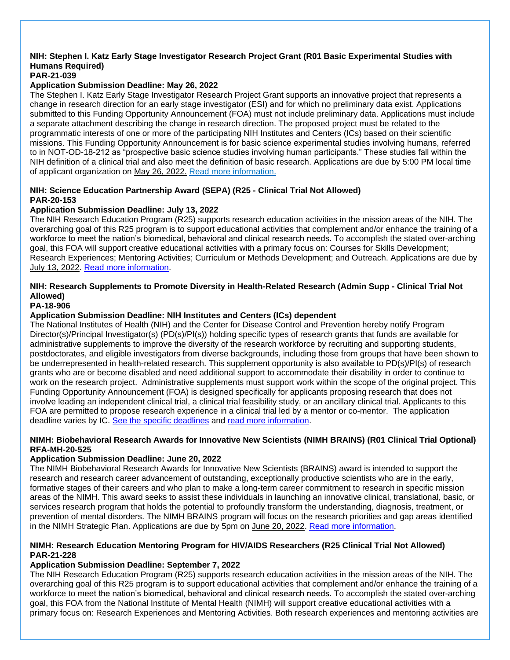### **NIH: Stephen I. Katz Early Stage Investigator Research Project Grant (R01 Basic Experimental Studies with Humans Required)**

#### **PAR-21-039**

### **Application Submission Deadline: May 26, 2022**

The Stephen I. Katz Early Stage Investigator Research Project Grant supports an innovative project that represents a change in research direction for an early stage investigator (ESI) and for which no preliminary data exist. Applications submitted to this Funding Opportunity Announcement (FOA) must not include preliminary data. Applications must include a separate attachment describing the change in research direction. The proposed project must be related to the programmatic interests of one or more of the participating NIH Institutes and Centers (ICs) based on their scientific missions. This Funding Opportunity Announcement is for basic science experimental studies involving humans, referred to in NOT-OD-18-212 as "prospective basic science studies involving human participants." These studies fall within the NIH definition of a clinical trial and also meet the definition of basic research. Applications are due by 5:00 PM local time of applicant organization on May 26, 2022. [Read more information.](https://grants.nih.gov/grants/guide/pa-files/PAR-21-039.html)

### **NIH: Science Education Partnership Award (SEPA) (R25 - Clinical Trial Not Allowed) PAR-20-153**

### **Application Submission Deadline: July 13, 2022**

The NIH Research Education Program (R25) supports research education activities in the mission areas of the NIH. The overarching goal of this R25 program is to support educational activities that complement and/or enhance the training of a workforce to meet the nation's biomedical, behavioral and clinical research needs. To accomplish the stated over-arching goal, this FOA will support creative educational activities with a primary focus on: Courses for Skills Development; Research Experiences; Mentoring Activities; Curriculum or Methods Development; and Outreach. Applications are due by July 13, 2022. [Read more information.](https://grants.nih.gov/grants/guide/pa-files/PAR-20-153.html)

### **NIH: Research Supplements to Promote Diversity in Health-Related Research (Admin Supp - Clinical Trial Not Allowed)**

#### **PA-18-906**

### **Application Submission Deadline: NIH Institutes and Centers (ICs) dependent**

The National Institutes of Health (NIH) and the Center for Disease Control and Prevention hereby notify Program Director(s)/Principal Investigator(s) (PD(s)/PI(s)) holding specific types of research grants that funds are available for administrative supplements to improve the diversity of the research workforce by recruiting and supporting students, postdoctorates, and eligible investigators from diverse backgrounds, including those from groups that have been shown to be underrepresented in health-related research. This supplement opportunity is also available to PD(s)/PI(s) of research grants who are or become disabled and need additional support to accommodate their disability in order to continue to work on the research project. Administrative supplements must support work within the scope of the original project. This Funding Opportunity Announcement (FOA) is designed specifically for applicants proposing research that does not involve leading an independent clinical trial, a clinical trial feasibility study, or an ancillary clinical trial. Applicants to this FOA are permitted to propose research experience in a clinical trial led by a mentor or co-mentor. The application deadline varies by IC. [See the specific deadlines](https://grants.nih.gov/grants/guide/contacts/Diversity-Supp_contacts.html) and [read more information.](https://grants.nih.gov/grants/guide/pa-files/PA-18-906.html)

#### **NIMH: Biobehavioral Research Awards for Innovative New Scientists (NIMH BRAINS) (R01 Clinical Trial Optional) RFA-MH-20-525**

### **Application Submission Deadline: June 20, 2022**

The NIMH Biobehavioral Research Awards for Innovative New Scientists (BRAINS) award is intended to support the research and research career advancement of outstanding, exceptionally productive scientists who are in the early, formative stages of their careers and who plan to make a long-term career commitment to research in specific mission areas of the NIMH. This award seeks to assist these individuals in launching an innovative clinical, translational, basic, or services research program that holds the potential to profoundly transform the understanding, diagnosis, treatment, or prevention of mental disorders. The NIMH BRAINS program will focus on the research priorities and gap areas identified in the NIMH Strategic Plan. Applications are due by 5pm on June 20, 2022. [Read more information.](https://grants.nih.gov/grants/guide/rfa-files/RFA-MH-20-525.html)

#### **NIMH: Research Education Mentoring Program for HIV/AIDS Researchers (R25 Clinical Trial Not Allowed) PAR-21-228**

### **Application Submission Deadline: September 7, 2022**

The NIH Research Education Program (R25) supports research education activities in the mission areas of the NIH. The overarching goal of this R25 program is to support educational activities that complement and/or enhance the training of a workforce to meet the nation's biomedical, behavioral and clinical research needs. To accomplish the stated over-arching goal, this FOA from the National Institute of Mental Health (NIMH) will support creative educational activities with a primary focus on: Research Experiences and Mentoring Activities. Both research experiences and mentoring activities are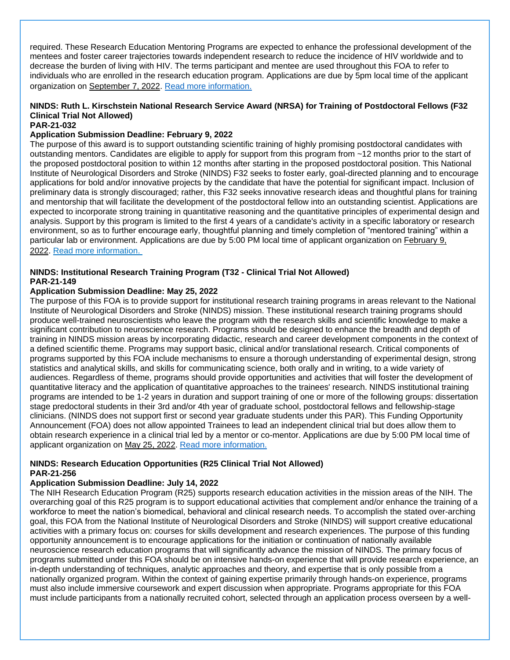required. These Research Education Mentoring Programs are expected to enhance the professional development of the mentees and foster career trajectories towards independent research to reduce the incidence of HIV worldwide and to decrease the burden of living with HIV. The terms participant and mentee are used throughout this FOA to refer to individuals who are enrolled in the research education program. Applications are due by 5pm local time of the applicant organization on September 7, 2022. [Read more information.](https://grants.nih.gov/grants/guide/pa-files/PAR-21-228.html)

### **NINDS: Ruth L. Kirschstein National Research Service Award (NRSA) for Training of Postdoctoral Fellows (F32 Clinical Trial Not Allowed)**

#### **PAR-21-032**

#### **Application Submission Deadline: February 9, 2022**

The purpose of this award is to support outstanding scientific training of highly promising postdoctoral candidates with outstanding mentors. Candidates are eligible to apply for support from this program from ~12 months prior to the start of the proposed postdoctoral position to within 12 months after starting in the proposed postdoctoral position. This National Institute of Neurological Disorders and Stroke (NINDS) F32 seeks to foster early, goal-directed planning and to encourage applications for bold and/or innovative projects by the candidate that have the potential for significant impact. Inclusion of preliminary data is strongly discouraged; rather, this F32 seeks innovative research ideas and thoughtful plans for training and mentorship that will facilitate the development of the postdoctoral fellow into an outstanding scientist. Applications are expected to incorporate strong training in quantitative reasoning and the quantitative principles of experimental design and analysis. Support by this program is limited to the first 4 years of a candidate's activity in a specific laboratory or research environment, so as to further encourage early, thoughtful planning and timely completion of "mentored training" within a particular lab or environment. Applications are due by 5:00 PM local time of applicant organization on February 9, 2022. [Read more information.](https://grants.nih.gov/grants/guide/pa-files/PAR-21-032.html)

#### **NINDS: Institutional Research Training Program (T32 - Clinical Trial Not Allowed) PAR-21-149**

#### **Application Submission Deadline: May 25, 2022**

The purpose of this FOA is to provide support for institutional research training programs in areas relevant to the National Institute of Neurological Disorders and Stroke (NINDS) mission. These institutional research training programs should produce well-trained neuroscientists who leave the program with the research skills and scientific knowledge to make a significant contribution to neuroscience research. Programs should be designed to enhance the breadth and depth of training in NINDS mission areas by incorporating didactic, research and career development components in the context of a defined scientific theme. Programs may support basic, clinical and/or translational research. Critical components of programs supported by this FOA include mechanisms to ensure a thorough understanding of experimental design, strong statistics and analytical skills, and skills for communicating science, both orally and in writing, to a wide variety of audiences. Regardless of theme, programs should provide opportunities and activities that will foster the development of quantitative literacy and the application of quantitative approaches to the trainees' research. NINDS institutional training programs are intended to be 1-2 years in duration and support training of one or more of the following groups: dissertation stage predoctoral students in their 3rd and/or 4th year of graduate school, postdoctoral fellows and fellowship-stage clinicians. (NINDS does not support first or second year graduate students under this PAR). This Funding Opportunity Announcement (FOA) does not allow appointed Trainees to lead an independent clinical trial but does allow them to obtain research experience in a clinical trial led by a mentor or co-mentor. Applications are due by 5:00 PM local time of applicant organization on May 25, 2022. [Read more information.](https://grants.nih.gov/grants/guide/pa-files/PAR-21-149.html)

#### **NINDS: Research Education Opportunities (R25 Clinical Trial Not Allowed) PAR-21-256**

#### **Application Submission Deadline: July 14, 2022**

The NIH Research Education Program (R25) supports research education activities in the mission areas of the NIH. The overarching goal of this R25 program is to support educational activities that complement and/or enhance the training of a workforce to meet the nation's biomedical, behavioral and clinical research needs. To accomplish the stated over-arching goal, this FOA from the National Institute of Neurological Disorders and Stroke (NINDS) will support creative educational activities with a primary focus on: courses for skills development and research experiences. The purpose of this funding opportunity announcement is to encourage applications for the initiation or continuation of nationally available neuroscience research education programs that will significantly advance the mission of NINDS. The primary focus of programs submitted under this FOA should be on intensive hands-on experience that will provide research experience, an in-depth understanding of techniques, analytic approaches and theory, and expertise that is only possible from a nationally organized program. Within the context of gaining expertise primarily through hands-on experience, programs must also include immersive coursework and expert discussion when appropriate. Programs appropriate for this FOA must include participants from a nationally recruited cohort, selected through an application process overseen by a well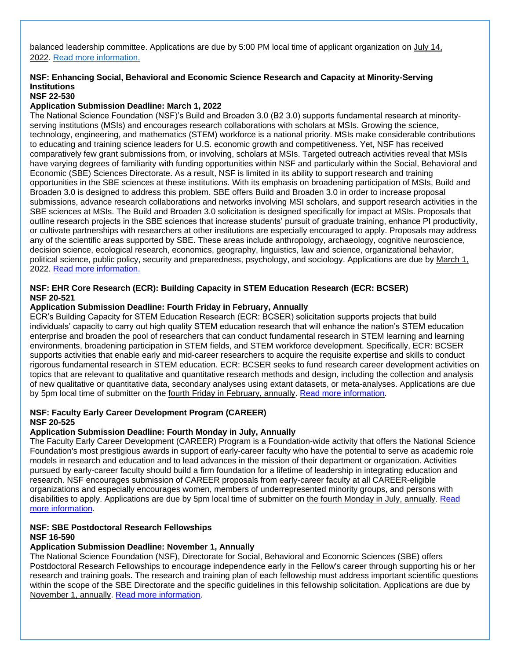balanced leadership committee. Applications are due by 5:00 PM local time of applicant organization on July 14, 2022. [Read more information.](https://grants.nih.gov/grants/guide/pa-files/PAR-21-256.html)

### **NSF: Enhancing Social, Behavioral and Economic Science Research and Capacity at Minority-Serving Institutions**

### **NSF 22-530**

#### **Application Submission Deadline: March 1, 2022**

The National Science Foundation (NSF)'s Build and Broaden 3.0 (B2 3.0) supports fundamental research at minorityserving institutions (MSIs) and encourages research collaborations with scholars at MSIs. Growing the science, technology, engineering, and mathematics (STEM) workforce is a national priority. MSIs make considerable contributions to educating and training science leaders for U.S. economic growth and competitiveness. Yet, NSF has received comparatively few grant submissions from, or involving, scholars at MSIs. Targeted outreach activities reveal that MSIs have varying degrees of familiarity with funding opportunities within NSF and particularly within the Social, Behavioral and Economic (SBE) Sciences Directorate. As a result, NSF is limited in its ability to support research and training opportunities in the SBE sciences at these institutions. With its emphasis on broadening participation of MSIs, Build and Broaden 3.0 is designed to address this problem. SBE offers Build and Broaden 3.0 in order to increase proposal submissions, advance research collaborations and networks involving MSI scholars, and support research activities in the SBE sciences at MSIs. The Build and Broaden 3.0 solicitation is designed specifically for impact at MSIs. Proposals that outline research projects in the SBE sciences that increase students' pursuit of graduate training, enhance PI productivity, or cultivate partnerships with researchers at other institutions are especially encouraged to apply. Proposals may address any of the scientific areas supported by SBE. These areas include anthropology, archaeology, cognitive neuroscience, decision science, ecological research, economics, geography, linguistics, law and science, organizational behavior, political science, public policy, security and preparedness, psychology, and sociology. Applications are due by March 1, 2022. [Read more information.](https://www.nsf.gov/pubs/2022/nsf22530/nsf22530.htm?org=NSF)

#### **NSF: EHR Core Research (ECR): Building Capacity in STEM Education Research (ECR: BCSER) NSF 20-521**

#### **Application Submission Deadline: Fourth Friday in February, Annually**

ECR's Building Capacity for STEM Education Research (ECR: BCSER) solicitation supports projects that build individuals' capacity to carry out high quality STEM education research that will enhance the nation's STEM education enterprise and broaden the pool of researchers that can conduct fundamental research in STEM learning and learning environments, broadening participation in STEM fields, and STEM workforce development. Specifically, ECR: BCSER supports activities that enable early and mid-career researchers to acquire the requisite expertise and skills to conduct rigorous fundamental research in STEM education. ECR: BCSER seeks to fund research career development activities on topics that are relevant to qualitative and quantitative research methods and design, including the collection and analysis of new qualitative or quantitative data, secondary analyses using extant datasets, or meta-analyses. Applications are due by 5pm local time of submitter on the fourth Friday in February, annually. [Read more information.](https://www.nsf.gov/pubs/2020/nsf20521/nsf20521.htm)

#### **NSF: Faculty Early Career Development Program (CAREER) NSF 20-525**

#### **Application Submission Deadline: Fourth Monday in July, Annually**

The Faculty Early Career Development (CAREER) Program is a Foundation-wide activity that offers the National Science Foundation's most prestigious awards in support of early-career faculty who have the potential to serve as academic role models in research and education and to lead advances in the mission of their department or organization. Activities pursued by early-career faculty should build a firm foundation for a lifetime of leadership in integrating education and research. NSF encourages submission of CAREER proposals from early-career faculty at all CAREER-eligible organizations and especially encourages women, members of underrepresented minority groups, and persons with disabilities to apply. Applications are due by 5pm local time of submitter on the fourth Monday in July, annually. [Read](https://www.nsf.gov/pubs/2020/nsf20525/nsf20525.htm)  [more information.](https://www.nsf.gov/pubs/2020/nsf20525/nsf20525.htm)

#### **NSF: SBE Postdoctoral Research Fellowships NSF 16-590**

### **Application Submission Deadline: November 1, Annually**

The National Science Foundation (NSF), Directorate for Social, Behavioral and Economic Sciences (SBE) offers Postdoctoral Research Fellowships to encourage independence early in the Fellow's career through supporting his or her research and training goals. The research and training plan of each fellowship must address important scientific questions within the scope of the SBE Directorate and the specific guidelines in this fellowship solicitation. Applications are due by November 1, annually. [Read more information.](https://www.nsf.gov/pubs/2018/nsf18584/nsf18584.htm)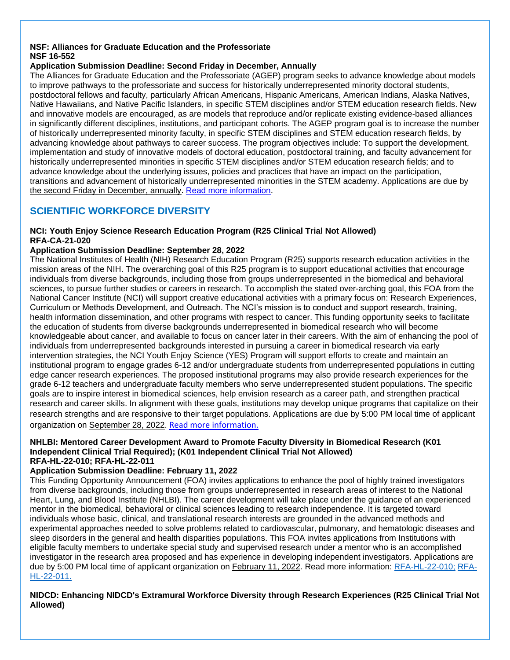#### **NSF: Alliances for Graduate Education and the Professoriate NSF 16-552**

### **Application Submission Deadline: Second Friday in December, Annually**

The Alliances for Graduate Education and the Professoriate (AGEP) program seeks to advance knowledge about models to improve pathways to the professoriate and success for historically underrepresented minority doctoral students, postdoctoral fellows and faculty, particularly African Americans, Hispanic Americans, American Indians, Alaska Natives, Native Hawaiians, and Native Pacific Islanders, in specific STEM disciplines and/or STEM education research fields. New and innovative models are encouraged, as are models that reproduce and/or replicate existing evidence-based alliances in significantly different disciplines, institutions, and participant cohorts. The AGEP program goal is to increase the number of historically underrepresented minority faculty, in specific STEM disciplines and STEM education research fields, by advancing knowledge about pathways to career success. The program objectives include: To support the development, implementation and study of innovative models of doctoral education, postdoctoral training, and faculty advancement for historically underrepresented minorities in specific STEM disciplines and/or STEM education research fields; and to advance knowledge about the underlying issues, policies and practices that have an impact on the participation, transitions and advancement of historically underrepresented minorities in the STEM academy. Applications are due by the second Friday in December, annually. [Read more information.](https://www.nsf.gov/pubs/2016/nsf16552/nsf16552.htm)

### <span id="page-10-0"></span>**SCIENTIFIC WORKFORCE DIVERSITY**

#### **NCI: Youth Enjoy Science Research Education Program (R25 Clinical Trial Not Allowed) RFA-CA-21-020**

### **Application Submission Deadline: September 28, 2022**

The National Institutes of Health (NIH) Research Education Program (R25) supports research education activities in the mission areas of the NIH. The overarching goal of this R25 program is to support educational activities that encourage individuals from diverse backgrounds, including those from groups underrepresented in the biomedical and behavioral sciences, to pursue further studies or careers in research. To accomplish the stated over-arching goal, this FOA from the National Cancer Institute (NCI) will support creative educational activities with a primary focus on: Research Experiences, Curriculum or Methods Development, and Outreach. The NCI's mission is to conduct and support research, training, health information dissemination, and other programs with respect to cancer. This funding opportunity seeks to facilitate the education of students from diverse backgrounds underrepresented in biomedical research who will become knowledgeable about cancer, and available to focus on cancer later in their careers. With the aim of enhancing the pool of individuals from underrepresented backgrounds interested in pursuing a career in biomedical research via early intervention strategies, the NCI Youth Enjoy Science (YES) Program will support efforts to create and maintain an institutional program to engage grades 6-12 and/or undergraduate students from underrepresented populations in cutting edge cancer research experiences. The proposed institutional programs may also provide research experiences for the grade 6-12 teachers and undergraduate faculty members who serve underrepresented student populations. The specific goals are to inspire interest in biomedical sciences, help envision research as a career path, and strengthen practical research and career skills. In alignment with these goals, institutions may develop unique programs that capitalize on their research strengths and are responsive to their target populations. Applications are due by 5:00 PM local time of applicant organization on September 28, 2022. [Read more information.](https://grants.nih.gov/grants/guide/rfa-files/RFA-CA-21-020.html)

#### **NHLBI: Mentored Career Development Award to Promote Faculty Diversity in Biomedical Research (K01 Independent Clinical Trial Required); (K01 Independent Clinical Trial Not Allowed) RFA-HL-22-010; RFA-HL-22-011**

### **Application Submission Deadline: February 11, 2022**

This Funding Opportunity Announcement (FOA) invites applications to enhance the pool of highly trained investigators from diverse backgrounds, including those from groups underrepresented in research areas of interest to the National Heart, Lung, and Blood Institute (NHLBI). The career development will take place under the guidance of an experienced mentor in the biomedical, behavioral or clinical sciences leading to research independence. It is targeted toward individuals whose basic, clinical, and translational research interests are grounded in the advanced methods and experimental approaches needed to solve problems related to cardiovascular, pulmonary, and hematologic diseases and sleep disorders in the general and health disparities populations. This FOA invites applications from Institutions with eligible faculty members to undertake special study and supervised research under a mentor who is an accomplished investigator in the research area proposed and has experience in developing independent investigators. Applications are due by 5:00 PM local time of applicant organization on February 11, 2022. Read more information: [RFA-HL-22-010;](https://grants.nih.gov/grants/guide/rfa-files/RFA-HL-22-010.html) [RFA-](https://grants.nih.gov/grants/guide/rfa-files/RFA-HL-22-011.html)[HL-22-011.](https://grants.nih.gov/grants/guide/rfa-files/RFA-HL-22-011.html)

**NIDCD: Enhancing NIDCD's Extramural Workforce Diversity through Research Experiences (R25 Clinical Trial Not Allowed)**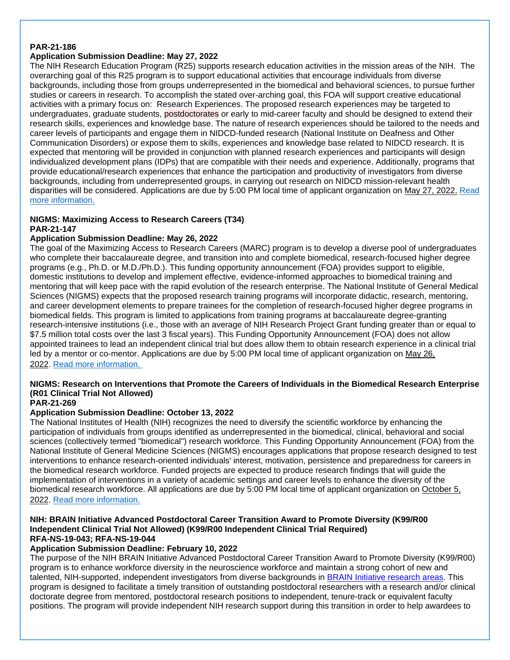#### **PAR-21-186**

### **Application Submission Deadline: May 27, 2022**

The NIH Research Education Program (R25) supports research education activities in the mission areas of the NIH. The overarching goal of this R25 program is to support educational activities that encourage individuals from diverse backgrounds, including those from groups underrepresented in the biomedical and behavioral sciences, to pursue further studies or careers in research. To accomplish the stated over-arching goal, this FOA will support creative educational activities with a primary focus on: Research Experiences. The proposed research experiences may be targeted to undergraduates, graduate students, postdoctorates or early to mid-career faculty and should be designed to extend their research skills, experiences and knowledge base. The nature of research experiences should be tailored to the needs and career levels of participants and engage them in NIDCD-funded research (National Institute on Deafness and Other Communication Disorders) or expose them to skills, experiences and knowledge base related to NIDCD research. It is expected that mentoring will be provided in conjunction with planned research experiences and participants will design individualized development plans (IDPs) that are compatible with their needs and experience. Additionally, programs that provide educational/research experiences that enhance the participation and productivity of investigators from diverse backgrounds, including from underrepresented groups, in carrying out research on NIDCD mission-relevant health disparities will be considered. Applications are due by 5:00 PM local time of applicant organization on May 27, 2022. [Read](https://grants.nih.gov/grants/guide/pa-files/PAR-21-186.html)  [more information.](https://grants.nih.gov/grants/guide/pa-files/PAR-21-186.html)

### **NIGMS: Maximizing Access to Research Careers (T34)**

### **PAR-21-147**

### **Application Submission Deadline: May 26, 2022**

The goal of the Maximizing Access to Research Careers (MARC) program is to develop a diverse pool of undergraduates who complete their baccalaureate degree, and transition into and complete biomedical, research-focused higher degree programs (e.g., Ph.D. or M.D./Ph.D.). This funding opportunity announcement (FOA) provides support to eligible, domestic institutions to develop and implement effective, evidence-informed approaches to biomedical training and mentoring that will keep pace with the rapid evolution of the research enterprise. The National Institute of General Medical Sciences (NIGMS) expects that the proposed research training programs will incorporate didactic, research, mentoring, and career development elements to prepare trainees for the completion of research-focused higher degree programs in biomedical fields. This program is limited to applications from training programs at baccalaureate degree-granting research-intensive institutions (i.e., those with an average of NIH Research Project Grant funding greater than or equal to \$7.5 million total costs over the last 3 fiscal years). This Funding Opportunity Announcement (FOA) does not allow appointed trainees to lead an independent clinical trial but does allow them to obtain research experience in a clinical trial led by a mentor or co-mentor. Applications are due by 5:00 PM local time of applicant organization on May 26, 2022. [Read more information.](https://grants.nih.gov/grants/guide/pa-files/PAR-21-147.html)

### **NIGMS: Research on Interventions that Promote the Careers of Individuals in the Biomedical Research Enterprise (R01 Clinical Trial Not Allowed)**

#### **PAR-21-269**

### **Application Submission Deadline: October 13, 2022**

The National Institutes of Health (NIH) recognizes the need to diversify the scientific workforce by enhancing the participation of individuals from groups identified as underrepresented in the biomedical, clinical, behavioral and social sciences (collectively termed "biomedical") research workforce. This Funding Opportunity Announcement (FOA) from the National Institute of General Medicine Sciences (NIGMS) encourages applications that propose research designed to test interventions to enhance research-oriented individuals' interest, motivation, persistence and preparedness for careers in the biomedical research workforce. Funded projects are expected to produce research findings that will guide the implementation of interventions in a variety of academic settings and career levels to enhance the diversity of the biomedical research workforce. All applications are due by 5:00 PM local time of applicant organization on October 5, 2022. [Read more information.](https://grants.nih.gov/grants/guide/pa-files/PAR-21-269.html)

#### **NIH: BRAIN Initiative Advanced Postdoctoral Career Transition Award to Promote Diversity (K99/R00 Independent Clinical Trial Not Allowed) (K99/R00 Independent Clinical Trial Required) RFA-NS-19-043; RFA-NS-19-044**

### **Application Submission Deadline: February 10, 2022**

The purpose of the NIH BRAIN Initiative Advanced Postdoctoral Career Transition Award to Promote Diversity (K99/R00) program is to enhance workforce diversity in the neuroscience workforce and maintain a strong cohort of new and talented, NIH-supported, independent investigators from diverse backgrounds in [BRAIN Initiative research areas.](https://www.braininitiative.nih.gov/2025/index.htm) This program is designed to facilitate a timely transition of outstanding postdoctoral researchers with a research and/or clinical doctorate degree from mentored, postdoctoral research positions to independent, tenure-track or equivalent faculty positions. The program will provide independent NIH research support during this transition in order to help awardees to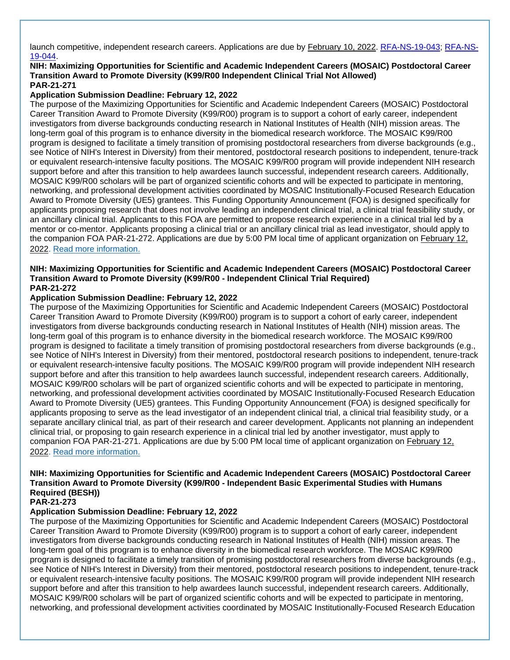launch competitive, independent research careers. Applications are due by February 10, 2022. [RFA-NS-19-043;](https://grants.nih.gov/grants/guide/rfa-files/RFA-NS-19-043.html) [RFA-NS-](https://grants.nih.gov/grants/guide/rfa-files/RFA-NS-19-044.html)[19-044.](https://grants.nih.gov/grants/guide/rfa-files/RFA-NS-19-044.html)

#### **NIH: Maximizing Opportunities for Scientific and Academic Independent Careers (MOSAIC) Postdoctoral Career Transition Award to Promote Diversity (K99/R00 Independent Clinical Trial Not Allowed) PAR-21-271**

#### **Application Submission Deadline: February 12, 2022**

The purpose of the Maximizing Opportunities for Scientific and Academic Independent Careers (MOSAIC) Postdoctoral Career Transition Award to Promote Diversity (K99/R00) program is to support a cohort of early career, independent investigators from diverse backgrounds conducting research in National Institutes of Health (NIH) mission areas. The long-term goal of this program is to enhance diversity in the biomedical research workforce. The MOSAIC K99/R00 program is designed to facilitate a timely transition of promising postdoctoral researchers from diverse backgrounds (e.g., see Notice of NIH's Interest in Diversity) from their mentored, postdoctoral research positions to independent, tenure-track or equivalent research-intensive faculty positions. The MOSAIC K99/R00 program will provide independent NIH research support before and after this transition to help awardees launch successful, independent research careers. Additionally, MOSAIC K99/R00 scholars will be part of organized scientific cohorts and will be expected to participate in mentoring, networking, and professional development activities coordinated by MOSAIC Institutionally-Focused Research Education Award to Promote Diversity (UE5) grantees. This Funding Opportunity Announcement (FOA) is designed specifically for applicants proposing research that does not involve leading an independent clinical trial, a clinical trial feasibility study, or an ancillary clinical trial. Applicants to this FOA are permitted to propose research experience in a clinical trial led by a mentor or co-mentor. Applicants proposing a clinical trial or an ancillary clinical trial as lead investigator, should apply to the companion FOA PAR-21-272. Applications are due by 5:00 PM local time of applicant organization on February 12, 2022. [Read more information.](https://grants.nih.gov/grants/guide/pa-files/PAR-21-271.html)

#### **NIH: Maximizing Opportunities for Scientific and Academic Independent Careers (MOSAIC) Postdoctoral Career Transition Award to Promote Diversity (K99/R00 - Independent Clinical Trial Required) PAR-21-272**

#### **Application Submission Deadline: February 12, 2022**

The purpose of the Maximizing Opportunities for Scientific and Academic Independent Careers (MOSAIC) Postdoctoral Career Transition Award to Promote Diversity (K99/R00) program is to support a cohort of early career, independent investigators from diverse backgrounds conducting research in National Institutes of Health (NIH) mission areas. The long-term goal of this program is to enhance diversity in the biomedical research workforce. The MOSAIC K99/R00 program is designed to facilitate a timely transition of promising postdoctoral researchers from diverse backgrounds (e.g., see Notice of NIH's Interest in Diversity) from their mentored, postdoctoral research positions to independent, tenure-track or equivalent research-intensive faculty positions. The MOSAIC K99/R00 program will provide independent NIH research support before and after this transition to help awardees launch successful, independent research careers. Additionally, MOSAIC K99/R00 scholars will be part of organized scientific cohorts and will be expected to participate in mentoring, networking, and professional development activities coordinated by MOSAIC Institutionally-Focused Research Education Award to Promote Diversity (UE5) grantees. This Funding Opportunity Announcement (FOA) is designed specifically for applicants proposing to serve as the lead investigator of an independent clinical trial, a clinical trial feasibility study, or a separate ancillary clinical trial, as part of their research and career development. Applicants not planning an independent clinical trial, or proposing to gain research experience in a clinical trial led by another investigator, must apply to companion FOA PAR-21-271. Applications are due by 5:00 PM local time of applicant organization on February 12, 2022. [Read more information.](https://grants.nih.gov/grants/guide/pa-files/PAR-21-272.html)

### **NIH: Maximizing Opportunities for Scientific and Academic Independent Careers (MOSAIC) Postdoctoral Career Transition Award to Promote Diversity (K99/R00 - Independent Basic Experimental Studies with Humans Required (BESH))**

#### **PAR-21-273**

#### **Application Submission Deadline: February 12, 2022**

The purpose of the Maximizing Opportunities for Scientific and Academic Independent Careers (MOSAIC) Postdoctoral Career Transition Award to Promote Diversity (K99/R00) program is to support a cohort of early career, independent investigators from diverse backgrounds conducting research in National Institutes of Health (NIH) mission areas. The long-term goal of this program is to enhance diversity in the biomedical research workforce. The MOSAIC K99/R00 program is designed to facilitate a timely transition of promising postdoctoral researchers from diverse backgrounds (e.g., see Notice of NIH's Interest in Diversity) from their mentored, postdoctoral research positions to independent, tenure-track or equivalent research-intensive faculty positions. The MOSAIC K99/R00 program will provide independent NIH research support before and after this transition to help awardees launch successful, independent research careers. Additionally, MOSAIC K99/R00 scholars will be part of organized scientific cohorts and will be expected to participate in mentoring, networking, and professional development activities coordinated by MOSAIC Institutionally-Focused Research Education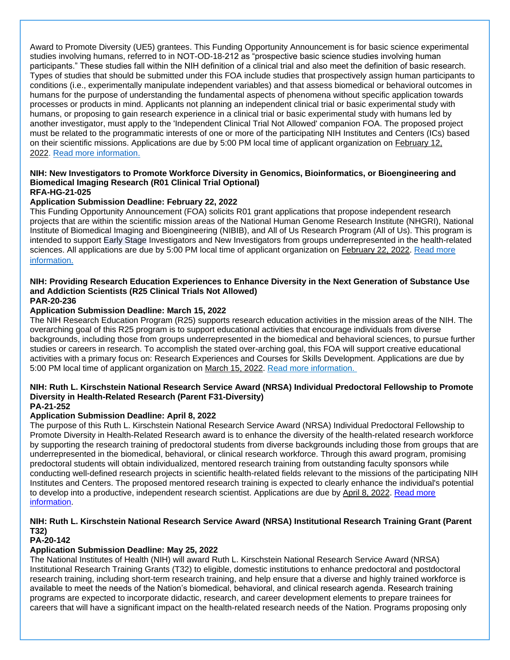Award to Promote Diversity (UE5) grantees. This Funding Opportunity Announcement is for basic science experimental studies involving humans, referred to in NOT-OD-18-212 as "prospective basic science studies involving human participants." These studies fall within the NIH definition of a clinical trial and also meet the definition of basic research. Types of studies that should be submitted under this FOA include studies that prospectively assign human participants to conditions (i.e., experimentally manipulate independent variables) and that assess biomedical or behavioral outcomes in humans for the purpose of understanding the fundamental aspects of phenomena without specific application towards processes or products in mind. Applicants not planning an independent clinical trial or basic experimental study with humans, or proposing to gain research experience in a clinical trial or basic experimental study with humans led by another investigator, must apply to the 'Independent Clinical Trial Not Allowed' companion FOA. The proposed project must be related to the programmatic interests of one or more of the participating NIH Institutes and Centers (ICs) based on their scientific missions. Applications are due by 5:00 PM local time of applicant organization on February 12, 2022. [Read more information.](https://grants.nih.gov/grants/guide/pa-files/PAR-21-273.html)

#### **NIH: New Investigators to Promote Workforce Diversity in Genomics, Bioinformatics, or Bioengineering and Biomedical Imaging Research (R01 Clinical Trial Optional) RFA-HG-21-025**

#### **Application Submission Deadline: February 22, 2022**

This Funding Opportunity Announcement (FOA) solicits R01 grant applications that propose independent research projects that are within the scientific mission areas of the National Human Genome Research Institute (NHGRI), National Institute of Biomedical Imaging and Bioengineering (NIBIB), and All of Us Research Program (All of Us). This program is intended to support Early Stage Investigators and New Investigators from groups underrepresented in the health-related sciences. All applications are due by 5:00 PM local time of applicant organization on February 22, 2022. Read more [information.](https://grants.nih.gov/grants/guide/rfa-files/RFA-HG-21-025.html)

#### **NIH: Providing Research Education Experiences to Enhance Diversity in the Next Generation of Substance Use and Addiction Scientists (R25 Clinical Trials Not Allowed) PAR-20-236**

#### **Application Submission Deadline: March 15, 2022**

The NIH Research Education Program (R25) supports research education activities in the mission areas of the NIH. The overarching goal of this R25 program is to support educational activities that encourage individuals from diverse backgrounds, including those from groups underrepresented in the biomedical and behavioral sciences, to pursue further studies or careers in research. To accomplish the stated over-arching goal, this FOA will support creative educational activities with a primary focus on: Research Experiences and Courses for Skills Development. Applications are due by 5:00 PM local time of applicant organization on March 15, 2022. [Read more information.](https://grants.nih.gov/grants/guide/pa-files/PAR-20-236.html)

#### **NIH: Ruth L. Kirschstein National Research Service Award (NRSA) Individual Predoctoral Fellowship to Promote Diversity in Health-Related Research (Parent F31-Diversity) PA-21-252**

### **Application Submission Deadline: April 8, 2022**

The purpose of this Ruth L. Kirschstein National Research Service Award (NRSA) Individual Predoctoral Fellowship to Promote Diversity in Health-Related Research award is to enhance the diversity of the health-related research workforce by supporting the research training of predoctoral students from diverse backgrounds including those from groups that are underrepresented in the biomedical, behavioral, or clinical research workforce. Through this award program, promising predoctoral students will obtain individualized, mentored research training from outstanding faculty sponsors while conducting well-defined research projects in scientific health-related fields relevant to the missions of the participating NIH Institutes and Centers. The proposed mentored research training is expected to clearly enhance the individual's potential to develop into a productive, independent research scientist. Applications are due by April 8, 2022. Read more [information.](https://grants.nih.gov/grants/guide/pa-files/PA-21-052.html)

### **NIH: Ruth L. Kirschstein National Research Service Award (NRSA) Institutional Research Training Grant (Parent T32)**

#### **PA-20-142**

### **Application Submission Deadline: May 25, 2022**

The National Institutes of Health (NIH) will award Ruth L. Kirschstein National Research Service Award (NRSA) Institutional Research Training Grants (T32) to eligible, domestic institutions to enhance predoctoral and postdoctoral research training, including short-term research training, and help ensure that a diverse and highly trained workforce is available to meet the needs of the Nation's biomedical, behavioral, and clinical research agenda. Research training programs are expected to incorporate didactic, research, and career development elements to prepare trainees for careers that will have a significant impact on the health-related research needs of the Nation. Programs proposing only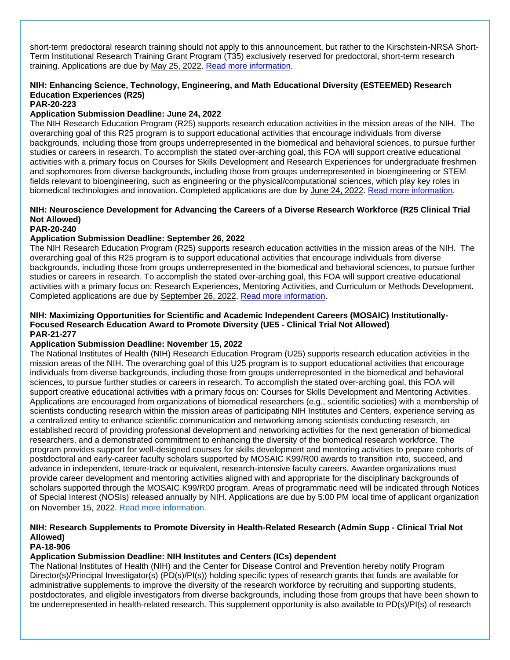short-term predoctoral research training should not apply to this announcement, but rather to the Kirschstein-NRSA Short-Term Institutional Research Training Grant Program (T35) exclusively reserved for predoctoral, short-term research training. Applications are due by May 25, 2022. [Read more information.](https://grants.nih.gov/grants/guide/pa-files/PA-20-142.html)

### **NIH: Enhancing Science, Technology, Engineering, and Math Educational Diversity (ESTEEMED) Research Education Experiences (R25)**

**PAR-20-223**

### **Application Submission Deadline: June 24, 2022**

The NIH Research Education Program (R25) supports research education activities in the mission areas of the NIH. The overarching goal of this R25 program is to support educational activities that encourage individuals from diverse backgrounds, including those from groups underrepresented in the biomedical and behavioral sciences, to pursue further studies or careers in research. To accomplish the stated over-arching goal, this FOA will support creative educational activities with a primary focus on Courses for Skills Development and Research Experiences for undergraduate freshmen and sophomores from diverse backgrounds, including those from groups underrepresented in bioengineering or STEM fields relevant to bioengineering, such as engineering or the physical/computational sciences, which play key roles in biomedical technologies and innovation. Completed applications are due by June 24, 2022. [Read more information.](https://grants.nih.gov/grants/guide/pa-files/PAR-20-223.html)

### **NIH: Neuroscience Development for Advancing the Careers of a Diverse Research Workforce (R25 Clinical Trial Not Allowed)**

#### **PAR-20-240**

### **Application Submission Deadline: September 26, 2022**

The NIH Research Education Program (R25) supports research education activities in the mission areas of the NIH. The overarching goal of this R25 program is to support educational activities that encourage individuals from diverse backgrounds, including those from groups underrepresented in the biomedical and behavioral sciences, to pursue further studies or careers in research. To accomplish the stated over-arching goal, this FOA will support creative educational activities with a primary focus on: Research Experiences, Mentoring Activities, and Curriculum or Methods Development. Completed applications are due by September 26, 2022. [Read more information.](https://grants.nih.gov/grants/guide/pa-files/PAR-20-240.html)

#### **NIH: Maximizing Opportunities for Scientific and Academic Independent Careers (MOSAIC) Institutionally-Focused Research Education Award to Promote Diversity (UE5 - Clinical Trial Not Allowed) PAR-21-277**

### **Application Submission Deadline: November 15, 2022**

The National Institutes of Health (NIH) Research Education Program (U25) supports research education activities in the mission areas of the NIH. The overarching goal of this U25 program is to support educational activities that encourage individuals from diverse backgrounds, including those from groups underrepresented in the biomedical and behavioral sciences, to pursue further studies or careers in research. To accomplish the stated over-arching goal, this FOA will support creative educational activities with a primary focus on: Courses for Skills Development and Mentoring Activities. Applications are encouraged from organizations of biomedical researchers (e.g., scientific societies) with a membership of scientists conducting research within the mission areas of participating NIH Institutes and Centers, experience serving as a centralized entity to enhance scientific communication and networking among scientists conducting research, an established record of providing professional development and networking activities for the next generation of biomedical researchers, and a demonstrated commitment to enhancing the diversity of the biomedical research workforce. The program provides support for well-designed courses for skills development and mentoring activities to prepare cohorts of postdoctoral and early-career faculty scholars supported by MOSAIC K99/R00 awards to transition into, succeed, and advance in independent, tenure-track or equivalent, research-intensive faculty careers. Awardee organizations must provide career development and mentoring activities aligned with and appropriate for the disciplinary backgrounds of scholars supported through the MOSAIC K99/R00 program. Areas of programmatic need will be indicated through Notices of Special Interest (NOSIs) released annually by NIH. Applications are due by 5:00 PM local time of applicant organization on November 15, 2022. [Read more information.](https://grants.nih.gov/grants/guide/pa-files/PAR-21-277.html)

### **NIH: Research Supplements to Promote Diversity in Health-Related Research (Admin Supp - Clinical Trial Not Allowed)**

### **PA-18-906**

### **Application Submission Deadline: NIH Institutes and Centers (ICs) dependent**

The National Institutes of Health (NIH) and the Center for Disease Control and Prevention hereby notify Program Director(s)/Principal Investigator(s) (PD(s)/PI(s)) holding specific types of research grants that funds are available for administrative supplements to improve the diversity of the research workforce by recruiting and supporting students, postdoctorates, and eligible investigators from diverse backgrounds, including those from groups that have been shown to be underrepresented in health-related research. This supplement opportunity is also available to PD(s)/PI(s) of research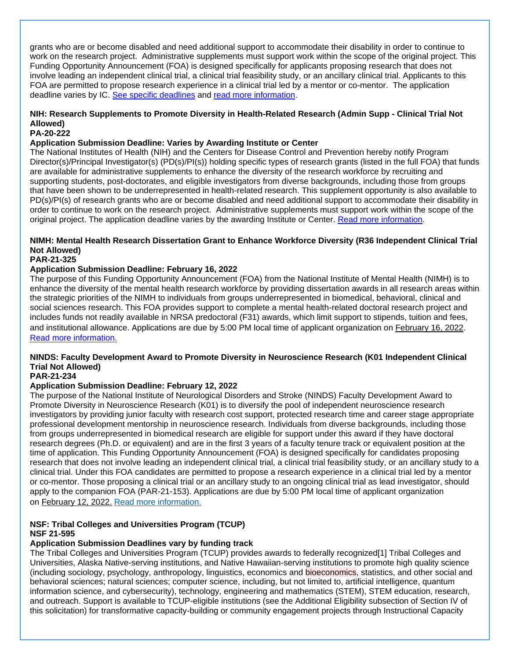grants who are or become disabled and need additional support to accommodate their disability in order to continue to work on the research project. Administrative supplements must support work within the scope of the original project. This Funding Opportunity Announcement (FOA) is designed specifically for applicants proposing research that does not involve leading an independent clinical trial, a clinical trial feasibility study, or an ancillary clinical trial. Applicants to this FOA are permitted to propose research experience in a clinical trial led by a mentor or co-mentor. The application deadline varies by IC. [See specific deadlines](https://grants.nih.gov/grants/guide/contacts/Diversity-Supp_contacts.html) and read [more information.](https://grants.nih.gov/grants/guide/pa-files/PA-18-906.html)

### **NIH: Research Supplements to Promote Diversity in Health-Related Research (Admin Supp - Clinical Trial Not Allowed)**

### **PA-20-222**

#### **Application Submission Deadline: Varies by Awarding Institute or Center**

The National Institutes of Health (NIH) and the Centers for Disease Control and Prevention hereby notify Program Director(s)/Principal Investigator(s) (PD(s)/PI(s)) holding specific types of research grants (listed in the full FOA) that funds are available for administrative supplements to enhance the diversity of the research workforce by recruiting and supporting students, post-doctorates, and eligible investigators from diverse backgrounds, including those from groups that have been shown to be underrepresented in health-related research. This supplement opportunity is also available to PD(s)/PI(s) of research grants who are or become disabled and need additional support to accommodate their disability in order to continue to work on the research project. Administrative supplements must support work within the scope of the original project. The application deadline varies by the awarding Institute or Center. [Read more information.](https://grants.nih.gov/grants/guide/pa-files/PA-20-222.html)

### **NIMH: Mental Health Research Dissertation Grant to Enhance Workforce Diversity (R36 Independent Clinical Trial Not Allowed)**

#### **PAR-21-325**

#### **Application Submission Deadline: February 16, 2022**

The purpose of this Funding Opportunity Announcement (FOA) from the National Institute of Mental Health (NIMH) is to enhance the diversity of the mental health research workforce by providing dissertation awards in all research areas within the strategic priorities of the NIMH to individuals from groups underrepresented in biomedical, behavioral, clinical and social sciences research. This FOA provides support to complete a mental health-related doctoral research project and includes funds not readily available in NRSA predoctoral (F31) awards, which limit support to stipends, tuition and fees, and institutional allowance. Applications are due by 5:00 PM local time of applicant organization on February 16, 2022. [Read more information.](https://grants.nih.gov/grants/guide/pa-files/PAR-21-325.html)

### **NINDS: Faculty Development Award to Promote Diversity in Neuroscience Research (K01 Independent Clinical Trial Not Allowed)**

#### **PAR-21-234**

#### **Application Submission Deadline: February 12, 2022**

The purpose of the National Institute of Neurological Disorders and Stroke (NINDS) Faculty Development Award to Promote Diversity in Neuroscience Research (K01) is to diversify the pool of independent neuroscience research investigators by providing junior faculty with research cost support, protected research time and career stage appropriate professional development mentorship in neuroscience research. Individuals from diverse backgrounds, including those from groups underrepresented in biomedical research are eligible for support under this award if they have doctoral research degrees (Ph.D. or equivalent) and are in the first 3 years of a faculty tenure track or equivalent position at the time of application. This Funding Opportunity Announcement (FOA) is designed specifically for candidates proposing research that does not involve leading an independent clinical trial, a clinical trial feasibility study, or an ancillary study to a clinical trial. Under this FOA candidates are permitted to propose a research experience in a clinical trial led by a mentor or co-mentor. Those proposing a clinical trial or an ancillary study to an ongoing clinical trial as lead investigator, should apply to the companion FOA (PAR-21-153). Applications are due by 5:00 PM local time of applicant organization on February 12, 2022. [Read more information.](https://grants.nih.gov/grants/guide/pa-files/PAR-21-234.html)

#### **NSF: Tribal Colleges and Universities Program (TCUP) NSF 21-595**

#### **Application Submission Deadlines vary by funding track**

The Tribal Colleges and Universities Program (TCUP) provides awards to federally recognized[1] Tribal Colleges and Universities, Alaska Native-serving institutions, and Native Hawaiian-serving institutions to promote high quality science (including sociology, psychology, anthropology, linguistics, economics and bioeconomics, statistics, and other social and behavioral sciences; natural sciences; computer science, including, but not limited to, artificial intelligence, quantum information science, and cybersecurity), technology, engineering and mathematics (STEM), STEM education, research, and outreach. Support is available to TCUP-eligible institutions (see the Additional Eligibility subsection of Section IV of this solicitation) for transformative capacity-building or community engagement projects through Instructional Capacity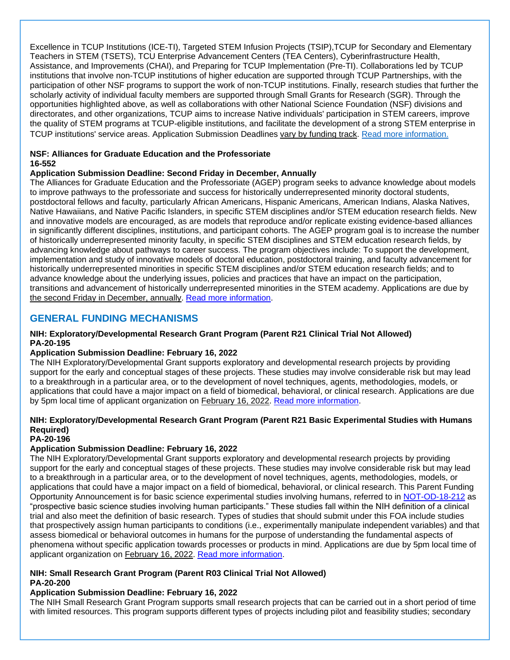Excellence in TCUP Institutions (ICE-TI), Targeted STEM Infusion Projects (TSIP),TCUP for Secondary and Elementary Teachers in STEM (TSETS), TCU Enterprise Advancement Centers (TEA Centers), Cyberinfrastructure Health, Assistance, and Improvements (CHAI), and Preparing for TCUP Implementation (Pre-TI). Collaborations led by TCUP institutions that involve non-TCUP institutions of higher education are supported through TCUP Partnerships, with the participation of other NSF programs to support the work of non-TCUP institutions. Finally, research studies that further the scholarly activity of individual faculty members are supported through Small Grants for Research (SGR). Through the opportunities highlighted above, as well as collaborations with other National Science Foundation (NSF) divisions and directorates, and other organizations, TCUP aims to increase Native individuals' participation in STEM careers, improve the quality of STEM programs at TCUP-eligible institutions, and facilitate the development of a strong STEM enterprise in TCUP institutions' service areas. Application Submission Deadlines vary by funding track. [Read more information.](https://www.nsf.gov/pubs/2021/nsf21595/nsf21595.htm)

#### **NSF: Alliances for Graduate Education and the Professoriate 16-552**

#### **Application Submission Deadline: Second Friday in December, Annually**

The Alliances for Graduate Education and the Professoriate (AGEP) program seeks to advance knowledge about models to improve pathways to the professoriate and success for historically underrepresented minority doctoral students, postdoctoral fellows and faculty, particularly African Americans, Hispanic Americans, American Indians, Alaska Natives, Native Hawaiians, and Native Pacific Islanders, in specific STEM disciplines and/or STEM education research fields. New and innovative models are encouraged, as are models that reproduce and/or replicate existing evidence-based alliances in significantly different disciplines, institutions, and participant cohorts. The AGEP program goal is to increase the number of historically underrepresented minority faculty, in specific STEM disciplines and STEM education research fields, by advancing knowledge about pathways to career success. The program objectives include: To support the development, implementation and study of innovative models of doctoral education, postdoctoral training, and faculty advancement for historically underrepresented minorities in specific STEM disciplines and/or STEM education research fields; and to advance knowledge about the underlying issues, policies and practices that have an impact on the participation, transitions and advancement of historically underrepresented minorities in the STEM academy. Applications are due by the second Friday in December, annually. Read [more information.](https://www.nsf.gov/pubs/2016/nsf16552/nsf16552.htm)

### <span id="page-16-0"></span>**GENERAL FUNDING MECHANISMS**

#### **NIH: Exploratory/Developmental Research Grant Program (Parent R21 Clinical Trial Not Allowed) PA-20-195**

#### **Application Submission Deadline: February 16, 2022**

The NIH Exploratory/Developmental Grant supports exploratory and developmental research projects by providing support for the early and conceptual stages of these projects. These studies may involve considerable risk but may lead to a breakthrough in a particular area, or to the development of novel techniques, agents, methodologies, models, or applications that could have a major impact on a field of biomedical, behavioral, or clinical research. Applications are due by 5pm local time of applicant organization on February 16, 2022. [Read more information.](https://grants.nih.gov/grants/guide/pa-files/PA-20-195.html)

### **NIH: Exploratory/Developmental Research Grant Program (Parent R21 Basic Experimental Studies with Humans Required)**

#### **PA-20-196**

#### **Application Submission Deadline: February 16, 2022**

The NIH Exploratory/Developmental Grant supports exploratory and developmental research projects by providing support for the early and conceptual stages of these projects. These studies may involve considerable risk but may lead to a breakthrough in a particular area, or to the development of novel techniques, agents, methodologies, models, or applications that could have a major impact on a field of biomedical, behavioral, or clinical research. This Parent Funding Opportunity Announcement is for basic science experimental studies involving humans, referred to in [NOT-OD-18-212](https://grants.nih.gov/grants/guide/notice-files/NOT-OD-18-212.html) as "prospective basic science studies involving human participants." These studies fall within the NIH definition of a clinical trial and also meet the definition of basic research. Types of studies that should submit under this FOA include studies that prospectively assign human participants to conditions (i.e., experimentally manipulate independent variables) and that assess biomedical or behavioral outcomes in humans for the purpose of understanding the fundamental aspects of phenomena without specific application towards processes or products in mind. Applications are due by 5pm local time of applicant organization on February 16, 2022. [Read more information.](https://grants.nih.gov/grants/guide/pa-files/PA-20-196.html)

#### **NIH: Small Research Grant Program (Parent R03 Clinical Trial Not Allowed) PA-20-200**

### **Application Submission Deadline: February 16, 2022**

The NIH Small Research Grant Program supports small research projects that can be carried out in a short period of time with limited resources. This program supports different types of projects including pilot and feasibility studies; secondary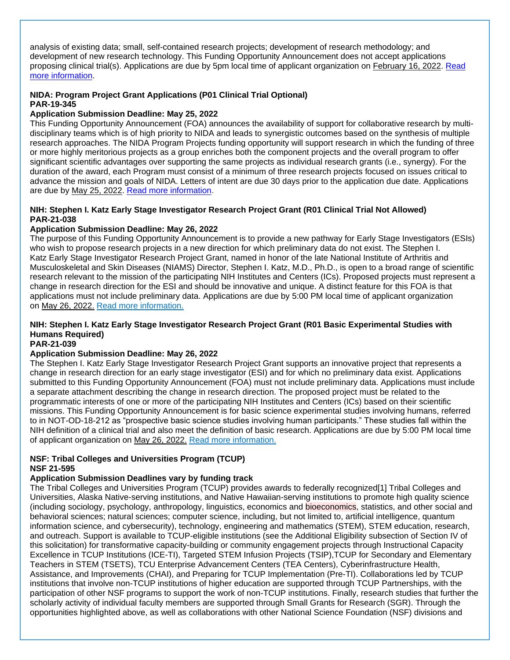analysis of existing data; small, self-contained research projects; development of research methodology; and development of new research technology. This Funding Opportunity Announcement does not accept applications proposing clinical trial(s). Applications are due by 5pm local time of applicant organization on February 16, 2022. [Read](https://grants.nih.gov/grants/guide/pa-files/PA-20-200.html)  [more information.](https://grants.nih.gov/grants/guide/pa-files/PA-20-200.html)

### **NIDA: Program Project Grant Applications (P01 Clinical Trial Optional) PAR-19-345**

### **Application Submission Deadline: May 25, 2022**

This Funding Opportunity Announcement (FOA) announces the availability of support for collaborative research by multidisciplinary teams which is of high priority to NIDA and leads to synergistic outcomes based on the synthesis of multiple research approaches. The NIDA Program Projects funding opportunity will support research in which the funding of three or more highly meritorious projects as a group enriches both the component projects and the overall program to offer significant scientific advantages over supporting the same projects as individual research grants (i.e., synergy). For the duration of the award, each Program must consist of a minimum of three research projects focused on issues critical to advance the mission and goals of NIDA. Letters of intent are due 30 days prior to the application due date. Applications are due by May 25, 2022. [Read more information.](https://grants.nih.gov/grants/guide/pa-files/PAR-19-345.html)

### **NIH: Stephen I. Katz Early Stage Investigator Research Project Grant (R01 Clinical Trial Not Allowed) PAR-21-038**

#### **Application Submission Deadline: May 26, 2022**

The purpose of this Funding Opportunity Announcement is to provide a new pathway for Early Stage Investigators (ESIs) who wish to propose research projects in a new direction for which preliminary data do not exist. The Stephen I. Katz Early Stage Investigator Research Project Grant, named in honor of the late National Institute of Arthritis and Musculoskeletal and Skin Diseases (NIAMS) Director, Stephen I. Katz, M.D., Ph.D., is open to a broad range of scientific research relevant to the mission of the participating NIH Institutes and Centers (ICs). Proposed projects must represent a change in research direction for the ESI and should be innovative and unique. A distinct feature for this FOA is that applications must not include preliminary data. Applications are due by 5:00 PM local time of applicant organization on May 26, 2022. [Read more information.](https://grants.nih.gov/grants/guide/pa-files/PAR-21-038.html)

### **NIH: Stephen I. Katz Early Stage Investigator Research Project Grant (R01 Basic Experimental Studies with Humans Required)**

#### **PAR-21-039**

### **Application Submission Deadline: May 26, 2022**

The Stephen I. Katz Early Stage Investigator Research Project Grant supports an innovative project that represents a change in research direction for an early stage investigator (ESI) and for which no preliminary data exist. Applications submitted to this Funding Opportunity Announcement (FOA) must not include preliminary data. Applications must include a separate attachment describing the change in research direction. The proposed project must be related to the programmatic interests of one or more of the participating NIH Institutes and Centers (ICs) based on their scientific missions. This Funding Opportunity Announcement is for basic science experimental studies involving humans, referred to in NOT-OD-18-212 as "prospective basic science studies involving human participants." These studies fall within the NIH definition of a clinical trial and also meet the definition of basic research. Applications are due by 5:00 PM local time of applicant organization on May 26, 2022. [Read more information.](https://grants.nih.gov/grants/guide/pa-files/PAR-21-039.html)

#### **NSF: Tribal Colleges and Universities Program (TCUP) NSF 21-595**

### **Application Submission Deadlines vary by funding track**

The Tribal Colleges and Universities Program (TCUP) provides awards to federally recognized[1] Tribal Colleges and Universities, Alaska Native-serving institutions, and Native Hawaiian-serving institutions to promote high quality science (including sociology, psychology, anthropology, linguistics, economics and bioeconomics, statistics, and other social and behavioral sciences; natural sciences; computer science, including, but not limited to, artificial intelligence, quantum information science, and cybersecurity), technology, engineering and mathematics (STEM), STEM education, research, and outreach. Support is available to TCUP-eligible institutions (see the Additional Eligibility subsection of Section IV of this solicitation) for transformative capacity-building or community engagement projects through Instructional Capacity Excellence in TCUP Institutions (ICE-TI), Targeted STEM Infusion Projects (TSIP),TCUP for Secondary and Elementary Teachers in STEM (TSETS), TCU Enterprise Advancement Centers (TEA Centers), Cyberinfrastructure Health, Assistance, and Improvements (CHAI), and Preparing for TCUP Implementation (Pre-TI). Collaborations led by TCUP institutions that involve non-TCUP institutions of higher education are supported through TCUP Partnerships, with the participation of other NSF programs to support the work of non-TCUP institutions. Finally, research studies that further the scholarly activity of individual faculty members are supported through Small Grants for Research (SGR). Through the opportunities highlighted above, as well as collaborations with other National Science Foundation (NSF) divisions and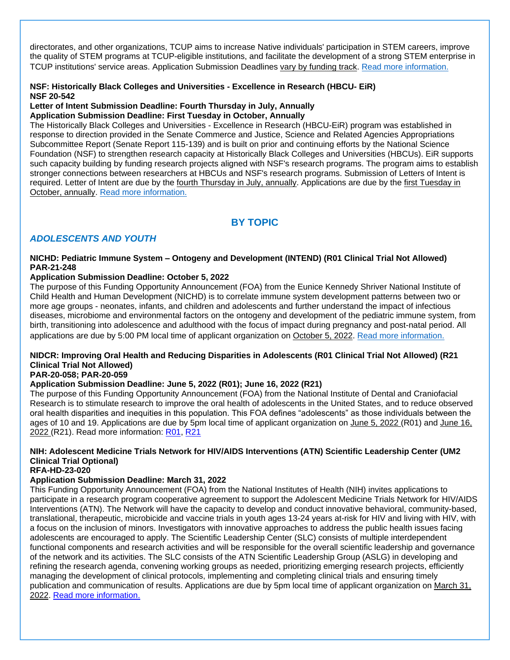directorates, and other organizations, TCUP aims to increase Native individuals' participation in STEM careers, improve the quality of STEM programs at TCUP-eligible institutions, and facilitate the development of a strong STEM enterprise in TCUP institutions' service areas. Application Submission Deadlines vary by funding track. [Read more information.](https://www.nsf.gov/pubs/2021/nsf21595/nsf21595.htm)

### **NSF: Historically Black Colleges and Universities - Excellence in Research (HBCU- EiR) NSF 20-542**

#### **Letter of Intent Submission Deadline: Fourth Thursday in July, Annually Application Submission Deadline: First Tuesday in October, Annually**

The Historically Black Colleges and Universities - Excellence in Research (HBCU-EiR) program was established in response to direction provided in the Senate Commerce and Justice, Science and Related Agencies Appropriations Subcommittee Report (Senate Report 115-139) and is built on prior and continuing efforts by the National Science Foundation (NSF) to strengthen research capacity at Historically Black Colleges and Universities (HBCUs). EiR supports such capacity building by funding research projects aligned with NSF's research programs. The program aims to establish stronger connections between researchers at HBCUs and NSF's research programs. Submission of Letters of Intent is required. Letter of Intent are due by the fourth Thursday in July, annually. Applications are due by the first Tuesday in October, annually. [Read more information.](https://www.nsf.gov/pubs/2020/nsf20542/nsf20542.htm)

## **BY TOPIC**

### <span id="page-18-1"></span><span id="page-18-0"></span>*ADOLESCENTS AND YOUTH*

#### **NICHD: Pediatric Immune System – Ontogeny and Development (INTEND) (R01 Clinical Trial Not Allowed) PAR-21-248**

### **Application Submission Deadline: October 5, 2022**

The purpose of this Funding Opportunity Announcement (FOA) from the Eunice Kennedy Shriver National Institute of Child Health and Human Development (NICHD) is to correlate immune system development patterns between two or more age groups - neonates, infants, and children and adolescents and further understand the impact of infectious diseases, microbiome and environmental factors on the ontogeny and development of the pediatric immune system, from birth, transitioning into adolescence and adulthood with the focus of impact during pregnancy and post-natal period. All applications are due by 5:00 PM local time of applicant organization on October 5, 2022. [Read more information.](https://grants.nih.gov/grants/guide/pa-files/PAR-21-248.html)

### **NIDCR: Improving Oral Health and Reducing Disparities in Adolescents (R01 Clinical Trial Not Allowed) (R21 Clinical Trial Not Allowed)**

### **PAR-20-058; PAR-20-059**

### **Application Submission Deadline: June 5, 2022 (R01); June 16, 2022 (R21)**

The purpose of this Funding Opportunity Announcement (FOA) from the National Institute of Dental and Craniofacial Research is to stimulate research to improve the oral health of adolescents in the United States, and to reduce observed oral health disparities and inequities in this population. This FOA defines "adolescents" as those individuals between the ages of 10 and 19. Applications are due by 5pm local time of applicant organization on June 5, 2022 (R01) and June 16, 2022 (R21). Read more information: [R01,](https://grants.nih.gov/grants/guide/pa-files/PAR-20-058.html) [R21](https://grants.nih.gov/grants/guide/pa-files/PAR-20-059.html)

### **NIH: Adolescent Medicine Trials Network for HIV/AIDS Interventions (ATN) Scientific Leadership Center (UM2 Clinical Trial Optional)**

### **RFA-HD-23-020**

### **Application Submission Deadline: March 31, 2022**

This Funding Opportunity Announcement (FOA) from the National Institutes of Health (NIH) invites applications to participate in a research program cooperative agreement to support the Adolescent Medicine Trials Network for HIV/AIDS Interventions (ATN). The Network will have the capacity to develop and conduct innovative behavioral, community-based, translational, therapeutic, microbicide and vaccine trials in youth ages 13-24 years at-risk for HIV and living with HIV, with a focus on the inclusion of minors. Investigators with innovative approaches to address the public health issues facing adolescents are encouraged to apply. The Scientific Leadership Center (SLC) consists of multiple interdependent functional components and research activities and will be responsible for the overall scientific leadership and governance of the network and its activities. The SLC consists of the ATN Scientific Leadership Group (ASLG) in developing and refining the research agenda, convening working groups as needed, prioritizing emerging research projects, efficiently managing the development of clinical protocols, implementing and completing clinical trials and ensuring timely publication and communication of results. Applications are due by 5pm local time of applicant organization on March 31, 2022. [Read more information.](https://grants.nih.gov/grants/guide/rfa-files/RFA-HD-23-020.html)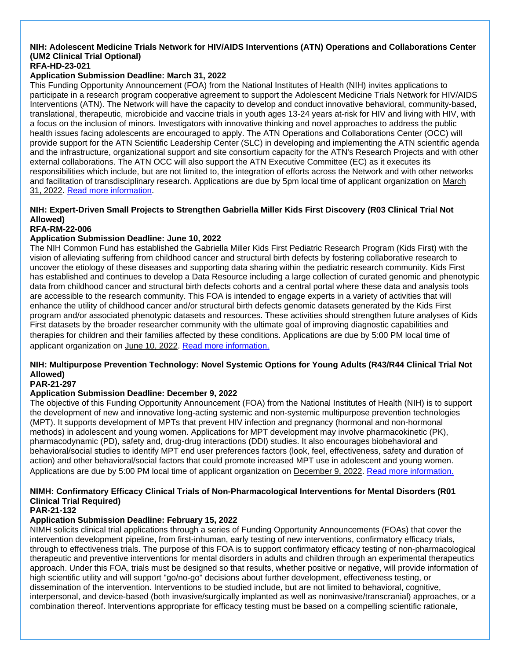#### **NIH: Adolescent Medicine Trials Network for HIV/AIDS Interventions (ATN) Operations and Collaborations Center (UM2 Clinical Trial Optional) RFA-HD-23-021**

### **Application Submission Deadline: March 31, 2022**

This Funding Opportunity Announcement (FOA) from the National Institutes of Health (NIH) invites applications to participate in a research program cooperative agreement to support the Adolescent Medicine Trials Network for HIV/AIDS Interventions (ATN). The Network will have the capacity to develop and conduct innovative behavioral, community-based, translational, therapeutic, microbicide and vaccine trials in youth ages 13-24 years at-risk for HIV and living with HIV, with a focus on the inclusion of minors. Investigators with innovative thinking and novel approaches to address the public health issues facing adolescents are encouraged to apply. The ATN Operations and Collaborations Center (OCC) will provide support for the ATN Scientific Leadership Center (SLC) in developing and implementing the ATN scientific agenda and the infrastructure, organizational support and site consortium capacity for the ATN's Research Projects and with other external collaborations. The ATN OCC will also support the ATN Executive Committee (EC) as it executes its responsibilities which include, but are not limited to, the integration of efforts across the Network and with other networks and facilitation of transdisciplinary research. Applications are due by 5pm local time of applicant organization on March 31, 2022. [Read more information.](https://grants.nih.gov/grants/guide/rfa-files/RFA-HD-23-021.html)

### **NIH: Expert-Driven Small Projects to Strengthen Gabriella Miller Kids First Discovery (R03 Clinical Trial Not Allowed)**

#### **RFA-RM-22-006**

### **Application Submission Deadline: June 10, 2022**

The NIH Common Fund has established the Gabriella Miller Kids First Pediatric Research Program (Kids First) with the vision of alleviating suffering from childhood cancer and structural birth defects by fostering collaborative research to uncover the etiology of these diseases and supporting data sharing within the pediatric research community. Kids First has established and continues to develop a Data Resource including a large collection of curated genomic and phenotypic data from childhood cancer and structural birth defects cohorts and a central portal where these data and analysis tools are accessible to the research community. This FOA is intended to engage experts in a variety of activities that will enhance the utility of childhood cancer and/or structural birth defects genomic datasets generated by the Kids First program and/or associated phenotypic datasets and resources. These activities should strengthen future analyses of Kids First datasets by the broader researcher community with the ultimate goal of improving diagnostic capabilities and therapies for children and their families affected by these conditions. Applications are due by 5:00 PM local time of applicant organization on June 10, 2022. [Read more information.](https://grants.nih.gov/grants/guide/rfa-files/RFA-RM-22-006.html)

### **NIH: Multipurpose Prevention Technology: Novel Systemic Options for Young Adults (R43/R44 Clinical Trial Not Allowed)**

### **PAR-21-297**

### **Application Submission Deadline: December 9, 2022**

The objective of this Funding Opportunity Announcement (FOA) from the National Institutes of Health (NIH) is to support the development of new and innovative long-acting systemic and non-systemic multipurpose prevention technologies (MPT). It supports development of MPTs that prevent HIV infection and pregnancy (hormonal and non-hormonal methods) in adolescent and young women. Applications for MPT development may involve pharmacokinetic (PK), pharmacodynamic (PD), safety and, drug-drug interactions (DDI) studies. It also encourages biobehavioral and behavioral/social studies to identify MPT end user preferences factors (look, feel, effectiveness, safety and duration of action) and other behavioral/social factors that could promote increased MPT use in adolescent and young women. Applications are due by 5:00 PM local time of applicant organization on December 9, 2022. [Read more information.](https://grants.nih.gov/grants/guide/pa-files/PAR-21-297.html)

### **NIMH: Confirmatory Efficacy Clinical Trials of Non-Pharmacological Interventions for Mental Disorders (R01 Clinical Trial Required)**

#### **PAR-21-132**

### **Application Submission Deadline: February 15, 2022**

NIMH solicits clinical trial applications through a series of Funding Opportunity Announcements (FOAs) that cover the intervention development pipeline, from first-inhuman, early testing of new interventions, confirmatory efficacy trials, through to effectiveness trials. The purpose of this FOA is to support confirmatory efficacy testing of non-pharmacological therapeutic and preventive interventions for mental disorders in adults and children through an experimental therapeutics approach. Under this FOA, trials must be designed so that results, whether positive or negative, will provide information of high scientific utility and will support "go/no-go" decisions about further development, effectiveness testing, or dissemination of the intervention. Interventions to be studied include, but are not limited to behavioral, cognitive, interpersonal, and device-based (both invasive/surgically implanted as well as noninvasive/transcranial) approaches, or a combination thereof. Interventions appropriate for efficacy testing must be based on a compelling scientific rationale,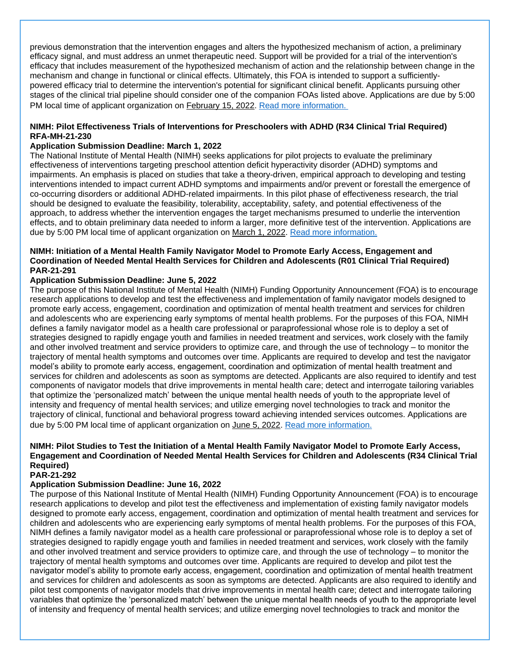previous demonstration that the intervention engages and alters the hypothesized mechanism of action, a preliminary efficacy signal, and must address an unmet therapeutic need. Support will be provided for a trial of the intervention's efficacy that includes measurement of the hypothesized mechanism of action and the relationship between change in the mechanism and change in functional or clinical effects. Ultimately, this FOA is intended to support a sufficientlypowered efficacy trial to determine the intervention's potential for significant clinical benefit. Applicants pursuing other stages of the clinical trial pipeline should consider one of the companion FOAs listed above. Applications are due by 5:00 PM local time of applicant organization on February 15, 2022. [Read more information.](https://grants.nih.gov/grants/guide/pa-files/PAR-21-132.html)

#### **NIMH: Pilot Effectiveness Trials of Interventions for Preschoolers with ADHD (R34 Clinical Trial Required) RFA-MH-21-230**

#### **Application Submission Deadline: March 1, 2022**

The National Institute of Mental Health (NIMH) seeks applications for pilot projects to evaluate the preliminary effectiveness of interventions targeting preschool attention deficit hyperactivity disorder (ADHD) symptoms and impairments. An emphasis is placed on studies that take a theory-driven, empirical approach to developing and testing interventions intended to impact current ADHD symptoms and impairments and/or prevent or forestall the emergence of co-occurring disorders or additional ADHD-related impairments. In this pilot phase of effectiveness research, the trial should be designed to evaluate the feasibility, tolerability, acceptability, safety, and potential effectiveness of the approach, to address whether the intervention engages the target mechanisms presumed to underlie the intervention effects, and to obtain preliminary data needed to inform a larger, more definitive test of the intervention. Applications are due by 5:00 PM local time of applicant organization on March 1, 2022. [Read more information.](https://grants.nih.gov/grants/guide/rfa-files/RFA-MH-21-230.html)

#### **NIMH: Initiation of a Mental Health Family Navigator Model to Promote Early Access, Engagement and Coordination of Needed Mental Health Services for Children and Adolescents (R01 Clinical Trial Required) PAR-21-291**

#### **Application Submission Deadline: June 5, 2022**

The purpose of this National Institute of Mental Health (NIMH) Funding Opportunity Announcement (FOA) is to encourage research applications to develop and test the effectiveness and implementation of family navigator models designed to promote early access, engagement, coordination and optimization of mental health treatment and services for children and adolescents who are experiencing early symptoms of mental health problems. For the purposes of this FOA, NIMH defines a family navigator model as a health care professional or paraprofessional whose role is to deploy a set of strategies designed to rapidly engage youth and families in needed treatment and services, work closely with the family and other involved treatment and service providers to optimize care, and through the use of technology – to monitor the trajectory of mental health symptoms and outcomes over time. Applicants are required to develop and test the navigator model's ability to promote early access, engagement, coordination and optimization of mental health treatment and services for children and adolescents as soon as symptoms are detected. Applicants are also required to identify and test components of navigator models that drive improvements in mental health care; detect and interrogate tailoring variables that optimize the 'personalized match' between the unique mental health needs of youth to the appropriate level of intensity and frequency of mental health services; and utilize emerging novel technologies to track and monitor the trajectory of clinical, functional and behavioral progress toward achieving intended services outcomes. Applications are due by 5:00 PM local time of applicant organization on June 5, 2022. [Read more information.](https://grants.nih.gov/grants/guide/pa-files/PAR-21-291.html)

#### **NIMH: Pilot Studies to Test the Initiation of a Mental Health Family Navigator Model to Promote Early Access, Engagement and Coordination of Needed Mental Health Services for Children and Adolescents (R34 Clinical Trial Required)**

#### **PAR-21-292**

#### **Application Submission Deadline: June 16, 2022**

The purpose of this National Institute of Mental Health (NIMH) Funding Opportunity Announcement (FOA) is to encourage research applications to develop and pilot test the effectiveness and implementation of existing family navigator models designed to promote early access, engagement, coordination and optimization of mental health treatment and services for children and adolescents who are experiencing early symptoms of mental health problems. For the purposes of this FOA, NIMH defines a family navigator model as a health care professional or paraprofessional whose role is to deploy a set of strategies designed to rapidly engage youth and families in needed treatment and services, work closely with the family and other involved treatment and service providers to optimize care, and through the use of technology – to monitor the trajectory of mental health symptoms and outcomes over time. Applicants are required to develop and pilot test the navigator model's ability to promote early access, engagement, coordination and optimization of mental health treatment and services for children and adolescents as soon as symptoms are detected. Applicants are also required to identify and pilot test components of navigator models that drive improvements in mental health care; detect and interrogate tailoring variables that optimize the 'personalized match' between the unique mental health needs of youth to the appropriate level of intensity and frequency of mental health services; and utilize emerging novel technologies to track and monitor the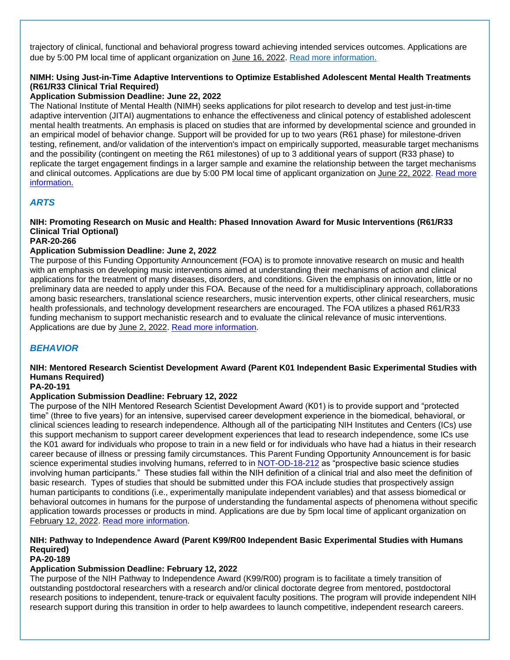trajectory of clinical, functional and behavioral progress toward achieving intended services outcomes. Applications are due by 5:00 PM local time of applicant organization on June 16, 2022. [Read more information.](https://grants.nih.gov/grants/guide/pa-files/PAR-21-292.html)

### **NIMH: Using Just-in-Time Adaptive Interventions to Optimize Established Adolescent Mental Health Treatments (R61/R33 Clinical Trial Required)**

### **Application Submission Deadline: June 22, 2022**

The National Institute of Mental Health (NIMH) seeks applications for pilot research to develop and test just-in-time adaptive intervention (JITAI) augmentations to enhance the effectiveness and clinical potency of established adolescent mental health treatments. An emphasis is placed on studies that are informed by developmental science and grounded in an empirical model of behavior change. Support will be provided for up to two years (R61 phase) for milestone-driven testing, refinement, and/or validation of the intervention's impact on empirically supported, measurable target mechanisms and the possibility (contingent on meeting the R61 milestones) of up to 3 additional years of support (R33 phase) to replicate the target engagement findings in a larger sample and examine the relationship between the target mechanisms and clinical outcomes. Applications are due by 5:00 PM local time of applicant organization on June 22, 2022. Read more [information.](https://grants.nih.gov/grants/guide/rfa-files/RFA-MH-22-150.html)

### <span id="page-21-0"></span>*ARTS*

### **NIH: Promoting Research on Music and Health: Phased Innovation Award for Music Interventions (R61/R33 Clinical Trial Optional)**

### **PAR-20-266**

### **Application Submission Deadline: June 2, 2022**

The purpose of this Funding Opportunity Announcement (FOA) is to promote innovative research on music and health with an emphasis on developing music interventions aimed at understanding their mechanisms of action and clinical applications for the treatment of many diseases, disorders, and conditions. Given the emphasis on innovation, little or no preliminary data are needed to apply under this FOA. Because of the need for a multidisciplinary approach, collaborations among basic researchers, translational science researchers, music intervention experts, other clinical researchers, music health professionals, and technology development researchers are encouraged. The FOA utilizes a phased R61/R33 funding mechanism to support mechanistic research and to evaluate the clinical relevance of music interventions. Applications are due by June 2, 2022. [Read more information.](https://grants.nih.gov/grants/guide/pa-files/PAR-20-266.html)

### <span id="page-21-1"></span>*BEHAVIOR*

### **NIH: Mentored Research Scientist Development Award (Parent K01 Independent Basic Experimental Studies with Humans Required)**

#### **PA-20-191**

### **Application Submission Deadline: February 12, 2022**

The purpose of the NIH Mentored Research Scientist Development Award (K01) is to provide support and "protected time" (three to five years) for an intensive, supervised career development experience in the biomedical, behavioral, or clinical sciences leading to research independence. Although all of the participating NIH Institutes and Centers (ICs) use this support mechanism to support career development experiences that lead to research independence, some ICs use the K01 award for individuals who propose to train in a new field or for individuals who have had a hiatus in their research career because of illness or pressing family circumstances. This Parent Funding Opportunity Announcement is for basic science experimental studies involving humans, referred to in [NOT-OD-18-212](https://grants.nih.gov/grants/guide/notice-files/NOT-OD-18-212.html) as "prospective basic science studies involving human participants." These studies fall within the NIH definition of a clinical trial and also meet the definition of basic research. Types of studies that should be submitted under this FOA include studies that prospectively assign human participants to conditions (i.e., experimentally manipulate independent variables) and that assess biomedical or behavioral outcomes in humans for the purpose of understanding the fundamental aspects of phenomena without specific application towards processes or products in mind. Applications are due by 5pm local time of applicant organization on February 12, 2022. [Read more information.](https://grants.nih.gov/grants/guide/pa-files/PA-20-191.html)

### **NIH: Pathway to Independence Award (Parent K99/R00 Independent Basic Experimental Studies with Humans Required)**

**PA-20-189**

### **Application Submission Deadline: February 12, 2022**

The purpose of the NIH Pathway to Independence Award (K99/R00) program is to facilitate a timely transition of outstanding postdoctoral researchers with a research and/or clinical doctorate degree from mentored, postdoctoral research positions to independent, tenure-track or equivalent faculty positions. The program will provide independent NIH research support during this transition in order to help awardees to launch competitive, independent research careers.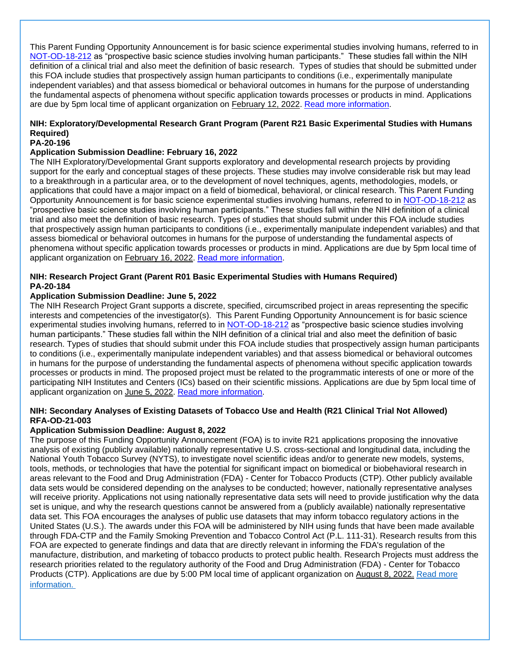This Parent Funding Opportunity Announcement is for basic science experimental studies involving humans, referred to in [NOT-OD-18-212](https://grants.nih.gov/grants/guide/notice-files/NOT-OD-18-212.html) as "prospective basic science studies involving human participants." These studies fall within the NIH definition of a clinical trial and also meet the definition of basic research. Types of studies that should be submitted under this FOA include studies that prospectively assign human participants to conditions (i.e., experimentally manipulate independent variables) and that assess biomedical or behavioral outcomes in humans for the purpose of understanding the fundamental aspects of phenomena without specific application towards processes or products in mind. Applications are due by 5pm local time of applicant organization on February 12, 2022. [Read more information.](https://grants.nih.gov/grants/guide/pa-files/PA-20-189.html)

### **NIH: Exploratory/Developmental Research Grant Program (Parent R21 Basic Experimental Studies with Humans Required)**

#### **PA-20-196**

#### **Application Submission Deadline: February 16, 2022**

The NIH Exploratory/Developmental Grant supports exploratory and developmental research projects by providing support for the early and conceptual stages of these projects. These studies may involve considerable risk but may lead to a breakthrough in a particular area, or to the development of novel techniques, agents, methodologies, models, or applications that could have a major impact on a field of biomedical, behavioral, or clinical research. This Parent Funding Opportunity Announcement is for basic science experimental studies involving humans, referred to in [NOT-OD-18-212](https://grants.nih.gov/grants/guide/notice-files/NOT-OD-18-212.html) as "prospective basic science studies involving human participants." These studies fall within the NIH definition of a clinical trial and also meet the definition of basic research. Types of studies that should submit under this FOA include studies that prospectively assign human participants to conditions (i.e., experimentally manipulate independent variables) and that assess biomedical or behavioral outcomes in humans for the purpose of understanding the fundamental aspects of phenomena without specific application towards processes or products in mind. Applications are due by 5pm local time of applicant organization on February 16, 2022. [Read more information.](https://grants.nih.gov/grants/guide/pa-files/PA-20-196.html)

### **NIH: Research Project Grant (Parent R01 Basic Experimental Studies with Humans Required) PA-20-184**

#### **Application Submission Deadline: June 5, 2022**

The NIH Research Project Grant supports a discrete, specified, circumscribed project in areas representing the specific interests and competencies of the investigator(s). This Parent Funding Opportunity Announcement is for basic science experimental studies involving humans, referred to in [NOT-OD-18-212](https://grants.nih.gov/grants/guide/notice-files/NOT-OD-18-212.html) as "prospective basic science studies involving human participants." These studies fall within the NIH definition of a clinical trial and also meet the definition of basic research. Types of studies that should submit under this FOA include studies that prospectively assign human participants to conditions (i.e., experimentally manipulate independent variables) and that assess biomedical or behavioral outcomes in humans for the purpose of understanding the fundamental aspects of phenomena without specific application towards processes or products in mind. The proposed project must be related to the programmatic interests of one or more of the participating NIH Institutes and Centers (ICs) based on their scientific missions. Applications are due by 5pm local time of applicant organization on June 5, 2022. [Read more information.](https://grants.nih.gov/grants/guide/pa-files/PA-20-184.html)

#### **NIH: Secondary Analyses of Existing Datasets of Tobacco Use and Health (R21 Clinical Trial Not Allowed) RFA-OD-21-003**

#### **Application Submission Deadline: August 8, 2022**

The purpose of this Funding Opportunity Announcement (FOA) is to invite R21 applications proposing the innovative analysis of existing (publicly available) nationally representative U.S. cross-sectional and longitudinal data, including the National Youth Tobacco Survey (NYTS), to investigate novel scientific ideas and/or to generate new models, systems, tools, methods, or technologies that have the potential for significant impact on biomedical or biobehavioral research in areas relevant to the Food and Drug Administration (FDA) - Center for Tobacco Products (CTP). Other publicly available data sets would be considered depending on the analyses to be conducted; however, nationally representative analyses will receive priority. Applications not using nationally representative data sets will need to provide justification why the data set is unique, and why the research questions cannot be answered from a (publicly available) nationally representative data set. This FOA encourages the analyses of public use datasets that may inform tobacco regulatory actions in the United States (U.S.). The awards under this FOA will be administered by NIH using funds that have been made available through FDA-CTP and the Family Smoking Prevention and Tobacco Control Act (P.L. 111-31). Research results from this FOA are expected to generate findings and data that are directly relevant in informing the FDA's regulation of the manufacture, distribution, and marketing of tobacco products to protect public health. Research Projects must address the research priorities related to the regulatory authority of the Food and Drug Administration (FDA) - Center for Tobacco Products (CTP). Applications are due by 5:00 PM local time of applicant organization on August 8, 2022. [Read more](https://grants.nih.gov/grants/guide/rfa-files/RFA-OD-21-003.html)  [information.](https://grants.nih.gov/grants/guide/rfa-files/RFA-OD-21-003.html)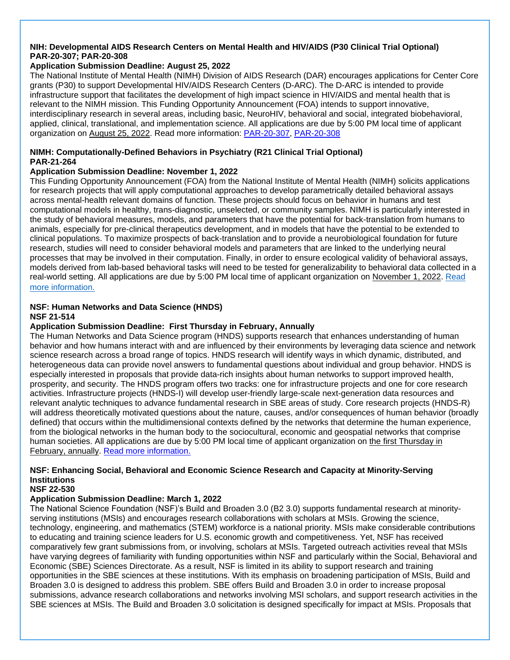#### **NIH: Developmental AIDS Research Centers on Mental Health and HIV/AIDS (P30 Clinical Trial Optional) PAR-20-307; PAR-20-308**

### **Application Submission Deadline: August 25, 2022**

The National Institute of Mental Health (NIMH) Division of AIDS Research (DAR) encourages applications for Center Core grants (P30) to support Developmental HIV/AIDS Research Centers (D-ARC). The D-ARC is intended to provide infrastructure support that facilitates the development of high impact science in HIV/AIDS and mental health that is relevant to the NIMH mission. This Funding Opportunity Announcement (FOA) intends to support innovative, interdisciplinary research in several areas, including basic, NeuroHIV, behavioral and social, integrated biobehavioral, applied, clinical, translational, and implementation science. All applications are due by 5:00 PM local time of applicant organization on August 25, 2022. Read more information: [PAR-20-307,](https://grants.nih.gov/grants/guide/pa-files/PAR-20-307.html) [PAR-20-308](https://grants.nih.gov/grants/guide/pa-files/PAR-20-308.html)

#### **NIMH: Computationally-Defined Behaviors in Psychiatry (R21 Clinical Trial Optional) PAR-21-264**

#### **Application Submission Deadline: November 1, 2022**

This Funding Opportunity Announcement (FOA) from the National Institute of Mental Health (NIMH) solicits applications for research projects that will apply computational approaches to develop parametrically detailed behavioral assays across mental-health relevant domains of function. These projects should focus on behavior in humans and test computational models in healthy, trans-diagnostic, unselected, or community samples. NIMH is particularly interested in the study of behavioral measures, models, and parameters that have the potential for back-translation from humans to animals, especially for pre-clinical therapeutics development, and in models that have the potential to be extended to clinical populations. To maximize prospects of back-translation and to provide a neurobiological foundation for future research, studies will need to consider behavioral models and parameters that are linked to the underlying neural processes that may be involved in their computation. Finally, in order to ensure ecological validity of behavioral assays, models derived from lab-based behavioral tasks will need to be tested for generalizability to behavioral data collected in a real-world setting. All applications are due by 5:00 PM local time of applicant organization on November 1, 2022. [Read](https://grants.nih.gov/grants/guide/pa-files/PAR-21-264.html)  [more information.](https://grants.nih.gov/grants/guide/pa-files/PAR-21-264.html)

#### **NSF: Human Networks and Data Science (HNDS) NSF 21-514**

### **Application Submission Deadline: First Thursday in February, Annually**

The Human Networks and Data Science program (HNDS) supports research that enhances understanding of human behavior and how humans interact with and are influenced by their environments by leveraging data science and network science research across a broad range of topics. HNDS research will identify ways in which dynamic, distributed, and heterogeneous data can provide novel answers to fundamental questions about individual and group behavior. HNDS is especially interested in proposals that provide data-rich insights about human networks to support improved health, prosperity, and security. The HNDS program offers two tracks: one for infrastructure projects and one for core research activities. Infrastructure projects (HNDS-I) will develop user-friendly large-scale next-generation data resources and relevant analytic techniques to advance fundamental research in SBE areas of study. Core research projects (HNDS-R) will address theoretically motivated questions about the nature, causes, and/or consequences of human behavior (broadly defined) that occurs within the multidimensional contexts defined by the networks that determine the human experience, from the biological networks in the human body to the sociocultural, economic and geospatial networks that comprise human societies. All applications are due by 5:00 PM local time of applicant organization on the first Thursday in February, annually. [Read more information.](https://www.nsf.gov/pubs/2021/nsf21514/nsf21514.htm)

### **NSF: Enhancing Social, Behavioral and Economic Science Research and Capacity at Minority-Serving Institutions**

#### **NSF 22-530**

### **Application Submission Deadline: March 1, 2022**

The National Science Foundation (NSF)'s Build and Broaden 3.0 (B2 3.0) supports fundamental research at minorityserving institutions (MSIs) and encourages research collaborations with scholars at MSIs. Growing the science, technology, engineering, and mathematics (STEM) workforce is a national priority. MSIs make considerable contributions to educating and training science leaders for U.S. economic growth and competitiveness. Yet, NSF has received comparatively few grant submissions from, or involving, scholars at MSIs. Targeted outreach activities reveal that MSIs have varying degrees of familiarity with funding opportunities within NSF and particularly within the Social, Behavioral and Economic (SBE) Sciences Directorate. As a result, NSF is limited in its ability to support research and training opportunities in the SBE sciences at these institutions. With its emphasis on broadening participation of MSIs, Build and Broaden 3.0 is designed to address this problem. SBE offers Build and Broaden 3.0 in order to increase proposal submissions, advance research collaborations and networks involving MSI scholars, and support research activities in the SBE sciences at MSIs. The Build and Broaden 3.0 solicitation is designed specifically for impact at MSIs. Proposals that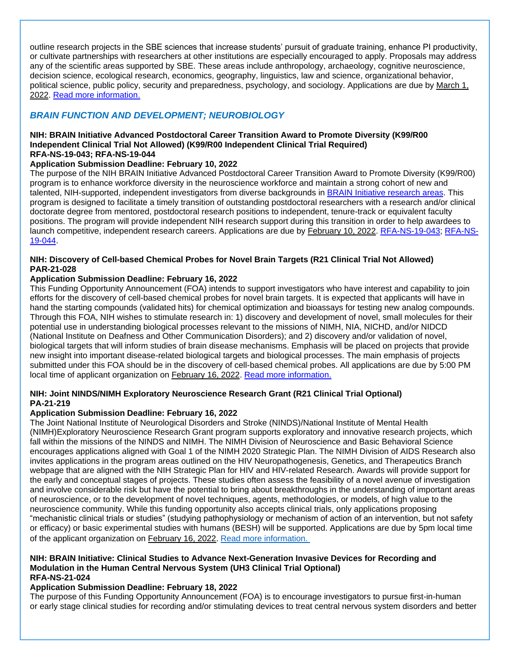outline research projects in the SBE sciences that increase students' pursuit of graduate training, enhance PI productivity, or cultivate partnerships with researchers at other institutions are especially encouraged to apply. Proposals may address any of the scientific areas supported by SBE. These areas include anthropology, archaeology, cognitive neuroscience, decision science, ecological research, economics, geography, linguistics, law and science, organizational behavior, political science, public policy, security and preparedness, psychology, and sociology. Applications are due by March 1, 2022. [Read more information.](https://www.nsf.gov/pubs/2022/nsf22530/nsf22530.htm?org=NSF)

### <span id="page-24-0"></span>*BRAIN FUNCTION AND DEVELOPMENT; NEUROBIOLOGY*

#### **NIH: BRAIN Initiative Advanced Postdoctoral Career Transition Award to Promote Diversity (K99/R00 Independent Clinical Trial Not Allowed) (K99/R00 Independent Clinical Trial Required) RFA-NS-19-043; RFA-NS-19-044**

### **Application Submission Deadline: February 10, 2022**

The purpose of the NIH BRAIN Initiative Advanced Postdoctoral Career Transition Award to Promote Diversity (K99/R00) program is to enhance workforce diversity in the neuroscience workforce and maintain a strong cohort of new and talented, NIH-supported, independent investigators from diverse backgrounds in [BRAIN Initiative research areas.](https://www.braininitiative.nih.gov/2025/index.htm) This program is designed to facilitate a timely transition of outstanding postdoctoral researchers with a research and/or clinical doctorate degree from mentored, postdoctoral research positions to independent, tenure-track or equivalent faculty positions. The program will provide independent NIH research support during this transition in order to help awardees to launch competitive, independent research careers. Applications are due by February 10, 2022. [RFA-NS-19-043;](https://grants.nih.gov/grants/guide/rfa-files/RFA-NS-19-043.html) [RFA-NS-](https://grants.nih.gov/grants/guide/rfa-files/RFA-NS-19-044.html)[19-044.](https://grants.nih.gov/grants/guide/rfa-files/RFA-NS-19-044.html)

#### **NIH: Discovery of Cell-based Chemical Probes for Novel Brain Targets (R21 Clinical Trial Not Allowed) PAR-21-028**

### **Application Submission Deadline: February 16, 2022**

This Funding Opportunity Announcement (FOA) intends to support investigators who have interest and capability to join efforts for the discovery of cell-based chemical probes for novel brain targets. It is expected that applicants will have in hand the starting compounds (validated hits) for chemical optimization and bioassays for testing new analog compounds. Through this FOA, NIH wishes to stimulate research in: 1) discovery and development of novel, small molecules for their potential use in understanding biological processes relevant to the missions of NIMH, NIA, NICHD, and/or NIDCD (National Institute on Deafness and Other Communication Disorders); and 2) discovery and/or validation of novel, biological targets that will inform studies of brain disease mechanisms. Emphasis will be placed on projects that provide new insight into important disease-related biological targets and biological processes. The main emphasis of projects submitted under this FOA should be in the discovery of cell-based chemical probes. All applications are due by 5:00 PM local time of applicant organization on February 16, 2022. [Read more information.](https://grants.nih.gov/grants/guide/pa-files/PAR-21-028.html)

#### **NIH: Joint NINDS/NIMH Exploratory Neuroscience Research Grant (R21 Clinical Trial Optional) PA-21-219**

### **Application Submission Deadline: February 16, 2022**

The Joint National Institute of Neurological Disorders and Stroke (NINDS)/National Institute of Mental Health (NIMH)Exploratory Neuroscience Research Grant program supports exploratory and innovative research projects, which fall within the missions of the NINDS and NIMH. The NIMH Division of Neuroscience and Basic Behavioral Science encourages applications aligned with Goal 1 of the NIMH 2020 Strategic Plan. The NIMH Division of AIDS Research also invites applications in the program areas outlined on the HIV Neuropathogenesis, Genetics, and Therapeutics Branch webpage that are aligned with the NIH Strategic Plan for HIV and HIV-related Research. Awards will provide support for the early and conceptual stages of projects. These studies often assess the feasibility of a novel avenue of investigation and involve considerable risk but have the potential to bring about breakthroughs in the understanding of important areas of neuroscience, or to the development of novel techniques, agents, methodologies, or models, of high value to the neuroscience community. While this funding opportunity also accepts clinical trials, only applications proposing "mechanistic clinical trials or studies" (studying pathophysiology or mechanism of action of an intervention, but not safety or efficacy) or basic experimental studies with humans (BESH) will be supported. Applications are due by 5pm local time of the applicant organization on February 16, 2022. [Read more information.](https://grants.nih.gov/grants/guide/pa-files/PA-21-219.html)

#### **NIH: BRAIN Initiative: Clinical Studies to Advance Next-Generation Invasive Devices for Recording and Modulation in the Human Central Nervous System (UH3 Clinical Trial Optional) RFA-NS-21-024**

### **Application Submission Deadline: February 18, 2022**

The purpose of this Funding Opportunity Announcement (FOA) is to encourage investigators to pursue first-in-human or early stage clinical studies for recording and/or stimulating devices to treat central nervous system disorders and better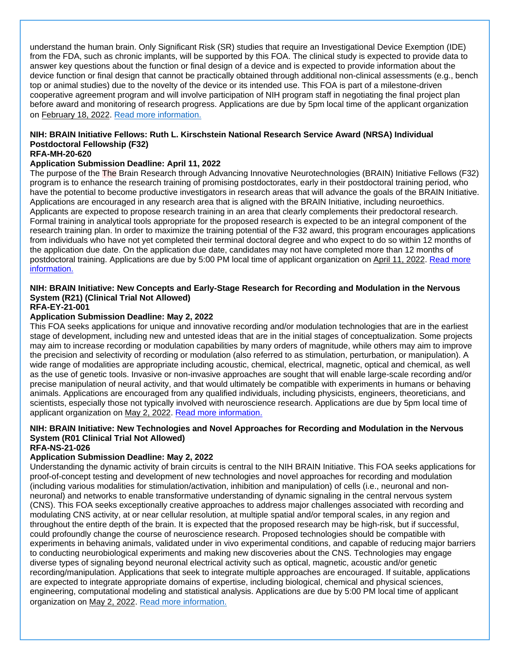understand the human brain. Only Significant Risk (SR) studies that require an Investigational Device Exemption (IDE) from the FDA, such as chronic implants, will be supported by this FOA. The clinical study is expected to provide data to answer key questions about the function or final design of a device and is expected to provide information about the device function or final design that cannot be practically obtained through additional non-clinical assessments (e.g., bench top or animal studies) due to the novelty of the device or its intended use. This FOA is part of a milestone-driven cooperative agreement program and will involve participation of NIH program staff in negotiating the final project plan before award and monitoring of research progress. Applications are due by 5pm local time of the applicant organization on February 18, 2022. [Read more information.](https://grants.nih.gov/grants/guide/rfa-files/RFA-NS-21-024.html)

### **NIH: BRAIN Initiative Fellows: Ruth L. Kirschstein National Research Service Award (NRSA) Individual Postdoctoral Fellowship (F32)**

#### **RFA-MH-20-620**

#### **Application Submission Deadline: April 11, 2022**

The purpose of the The Brain Research through Advancing Innovative Neurotechnologies (BRAIN) Initiative Fellows (F32) program is to enhance the research training of promising postdoctorates, early in their postdoctoral training period, who have the potential to become productive investigators in research areas that will advance the goals of the BRAIN Initiative. Applications are encouraged in any research area that is aligned with the BRAIN Initiative, including neuroethics. Applicants are expected to propose research training in an area that clearly complements their predoctoral research. Formal training in analytical tools appropriate for the proposed research is expected to be an integral component of the research training plan. In order to maximize the training potential of the F32 award, this program encourages applications from individuals who have not yet completed their terminal doctoral degree and who expect to do so within 12 months of the application due date. On the application due date, candidates may not have completed more than 12 months of postdoctoral training. Applications are due by 5:00 PM local time of applicant organization on April 11, 2022. [Read more](https://grants.nih.gov/grants/guide/rfa-files/RFA-MH-20-620.html)  [information.](https://grants.nih.gov/grants/guide/rfa-files/RFA-MH-20-620.html)

### **NIH: BRAIN Initiative: New Concepts and Early-Stage Research for Recording and Modulation in the Nervous System (R21) (Clinical Trial Not Allowed)**

**RFA-EY-21-001**

#### **Application Submission Deadline: May 2, 2022**

This FOA seeks applications for unique and innovative recording and/or modulation technologies that are in the earliest stage of development, including new and untested ideas that are in the initial stages of conceptualization. Some projects may aim to increase recording or modulation capabilities by many orders of magnitude, while others may aim to improve the precision and selectivity of recording or modulation (also referred to as stimulation, perturbation, or manipulation). A wide range of modalities are appropriate including acoustic, chemical, electrical, magnetic, optical and chemical, as well as the use of genetic tools. Invasive or non-invasive approaches are sought that will enable large-scale recording and/or precise manipulation of neural activity, and that would ultimately be compatible with experiments in humans or behaving animals. Applications are encouraged from any qualified individuals, including physicists, engineers, theoreticians, and scientists, especially those not typically involved with neuroscience research. Applications are due by 5pm local time of applicant organization on May 2, 2022. [Read more information.](https://grants.nih.gov/grants/guide/rfa-files/RFA-EY-21-001.html)

### **NIH: BRAIN Initiative: New Technologies and Novel Approaches for Recording and Modulation in the Nervous System (R01 Clinical Trial Not Allowed)**

## **RFA-NS-21-026**

### **Application Submission Deadline: May 2, 2022**

Understanding the dynamic activity of brain circuits is central to the NIH BRAIN Initiative. This FOA seeks applications for proof-of-concept testing and development of new technologies and novel approaches for recording and modulation (including various modalities for stimulation/activation, inhibition and manipulation) of cells (i.e., neuronal and nonneuronal) and networks to enable transformative understanding of dynamic signaling in the central nervous system (CNS). This FOA seeks exceptionally creative approaches to address major challenges associated with recording and modulating CNS activity, at or near cellular resolution, at multiple spatial and/or temporal scales, in any region and throughout the entire depth of the brain. It is expected that the proposed research may be high-risk, but if successful, could profoundly change the course of neuroscience research. Proposed technologies should be compatible with experiments in behaving animals, validated under in vivo experimental conditions, and capable of reducing major barriers to conducting neurobiological experiments and making new discoveries about the CNS. Technologies may engage diverse types of signaling beyond neuronal electrical activity such as optical, magnetic, acoustic and/or genetic recording/manipulation. Applications that seek to integrate multiple approaches are encouraged. If suitable, applications are expected to integrate appropriate domains of expertise, including biological, chemical and physical sciences, engineering, computational modeling and statistical analysis. Applications are due by 5:00 PM local time of applicant organization on May 2, 2022. [Read more information.](https://grants.nih.gov/grants/guide/rfa-files/RFA-NS-21-026.html)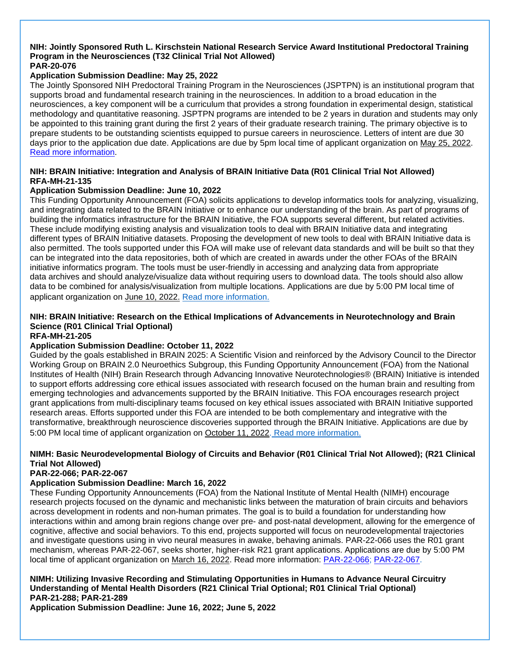#### **NIH: Jointly Sponsored Ruth L. Kirschstein National Research Service Award Institutional Predoctoral Training Program in the Neurosciences (T32 Clinical Trial Not Allowed) PAR-20-076**

### **Application Submission Deadline: May 25, 2022**

The Jointly Sponsored NIH Predoctoral Training Program in the Neurosciences (JSPTPN) is an institutional program that supports broad and fundamental research training in the neurosciences. In addition to a broad education in the neurosciences, a key component will be a curriculum that provides a strong foundation in experimental design, statistical methodology and quantitative reasoning. JSPTPN programs are intended to be 2 years in duration and students may only be appointed to this training grant during the first 2 years of their graduate research training. The primary objective is to prepare students to be outstanding scientists equipped to pursue careers in neuroscience. Letters of intent are due 30 days prior to the application due date. Applications are due by 5pm local time of applicant organization on May 25, 202[2.](https://grants.nih.gov/grants/guide/pa-files/PAR-20-076.html)  [Read more information.](https://grants.nih.gov/grants/guide/pa-files/PAR-20-076.html)

#### **NIH: BRAIN Initiative: Integration and Analysis of BRAIN Initiative Data (R01 Clinical Trial Not Allowed) RFA-MH-21-135**

#### **Application Submission Deadline: June 10, 2022**

This Funding Opportunity Announcement (FOA) solicits applications to develop informatics tools for analyzing, visualizing, and integrating data related to the BRAIN Initiative or to enhance our understanding of the brain. As part of programs of building the informatics infrastructure for the BRAIN Initiative, the FOA supports several different, but related activities. These include modifying existing analysis and visualization tools to deal with BRAIN Initiative data and integrating different types of BRAIN Initiative datasets. Proposing the development of new tools to deal with BRAIN Initiative data is also permitted. The tools supported under this FOA will make use of relevant data standards and will be built so that they can be integrated into the data repositories, both of which are created in awards under the other FOAs of the BRAIN initiative informatics program. The tools must be user-friendly in accessing and analyzing data from appropriate data archives and should analyze/visualize data without requiring users to download data. The tools should also allow data to be combined for analysis/visualization from multiple locations. Applications are due by 5:00 PM local time of applicant organization on June 10, 2022. [Read more information.](https://grants.nih.gov/grants/guide/rfa-files/RFA-MH-21-135.html)

### **NIH: BRAIN Initiative: Research on the Ethical Implications of Advancements in Neurotechnology and Brain Science (R01 Clinical Trial Optional)**

### **RFA-MH-21-205**

#### **Application Submission Deadline: October 11, 2022**

Guided by the goals established in BRAIN 2025: A Scientific Vision and reinforced by the Advisory Council to the Director Working Group on BRAIN 2.0 Neuroethics Subgroup, this Funding Opportunity Announcement (FOA) from the National Institutes of Health (NIH) Brain Research through Advancing Innovative Neurotechnologies® (BRAIN) Initiative is intended to support efforts addressing core ethical issues associated with research focused on the human brain and resulting from emerging technologies and advancements supported by the BRAIN Initiative. This FOA encourages research project grant applications from multi-disciplinary teams focused on key ethical issues associated with BRAIN Initiative supported research areas. Efforts supported under this FOA are intended to be both complementary and integrative with the transformative, breakthrough neuroscience discoveries supported through the BRAIN Initiative. Applications are due by 5:00 PM local time of applicant organization on October 11, 2022. [Read more information.](https://grants.nih.gov/grants/guide/rfa-files/RFA-MH-21-205.html)

### **NIMH: Basic Neurodevelopmental Biology of Circuits and Behavior (R01 Clinical Trial Not Allowed); (R21 Clinical Trial Not Allowed)**

#### **PAR-22-066; PAR-22-067**

### **Application Submission Deadline: March 16, 2022**

These Funding Opportunity Announcements (FOA) from the National Institute of Mental Health (NIMH) encourage research projects focused on the dynamic and mechanistic links between the maturation of brain circuits and behaviors across development in rodents and non-human primates. The goal is to build a foundation for understanding how interactions within and among brain regions change over pre- and post-natal development, allowing for the emergence of cognitive, affective and social behaviors. To this end, projects supported will focus on neurodevelopmental trajectories and investigate questions using in vivo neural measures in awake, behaving animals. PAR-22-066 uses the R01 grant mechanism, whereas PAR-22-067, seeks shorter, higher-risk R21 grant applications. Applications are due by 5:00 PM local time of applicant organization on March 16, 2022. Read more information: [PAR-22-066;](https://grants.nih.gov/grants/guide/pa-files/PAR-22-066.html) [PAR-22-067.](https://grants.nih.gov/grants/guide/pa-files/PAR-22-067.html)

**NIMH: Utilizing Invasive Recording and Stimulating Opportunities in Humans to Advance Neural Circuitry Understanding of Mental Health Disorders (R21 Clinical Trial Optional; R01 Clinical Trial Optional) PAR-21-288; PAR-21-289**

**Application Submission Deadline: June 16, 2022; June 5, 2022**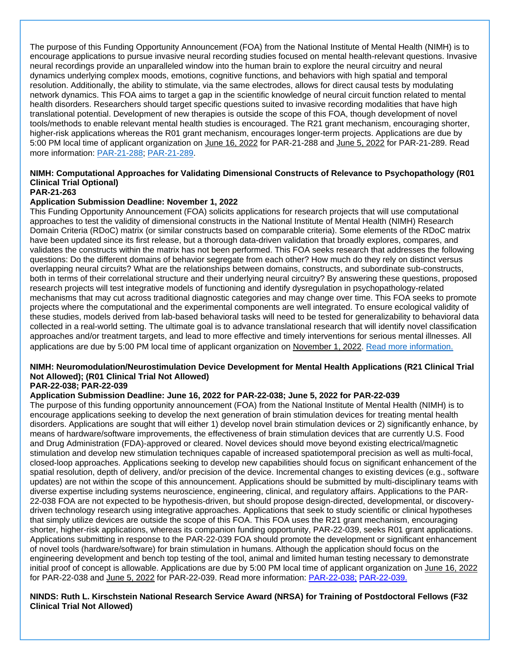The purpose of this Funding Opportunity Announcement (FOA) from the National Institute of Mental Health (NIMH) is to encourage applications to pursue invasive neural recording studies focused on mental health-relevant questions. Invasive neural recordings provide an unparalleled window into the human brain to explore the neural circuitry and neural dynamics underlying complex moods, emotions, cognitive functions, and behaviors with high spatial and temporal resolution. Additionally, the ability to stimulate, via the same electrodes, allows for direct causal tests by modulating network dynamics. This FOA aims to target a gap in the scientific knowledge of neural circuit function related to mental health disorders. Researchers should target specific questions suited to invasive recording modalities that have high translational potential. Development of new therapies is outside the scope of this FOA, though development of novel tools/methods to enable relevant mental health studies is encouraged. The R21 grant mechanism, encouraging shorter, higher-risk applications whereas the R01 grant mechanism, encourages longer-term projects. Applications are due by 5:00 PM local time of applicant organization on June 16, 2022 for PAR-21-288 and June 5, 2022 for PAR-21-289. Read more information: [PAR-21-288;](https://grants.nih.gov/grants/guide/pa-files/PAR-21-288.html) [PAR-21-289.](https://grants.nih.gov/grants/guide/pa-files/PAR-21-289.html)

### **NIMH: Computational Approaches for Validating Dimensional Constructs of Relevance to Psychopathology (R01 Clinical Trial Optional)**

### **PAR-21-263**

#### **Application Submission Deadline: November 1, 2022**

This Funding Opportunity Announcement (FOA) solicits applications for research projects that will use computational approaches to test the validity of dimensional constructs in the National Institute of Mental Health (NIMH) Research Domain Criteria (RDoC) matrix (or similar constructs based on comparable criteria). Some elements of the RDoC matrix have been updated since its first release, but a thorough data-driven validation that broadly explores, compares, and validates the constructs within the matrix has not been performed. This FOA seeks research that addresses the following questions: Do the different domains of behavior segregate from each other? How much do they rely on distinct versus overlapping neural circuits? What are the relationships between domains, constructs, and subordinate sub-constructs, both in terms of their correlational structure and their underlying neural circuitry? By answering these questions, proposed research projects will test integrative models of functioning and identify dysregulation in psychopathology-related mechanisms that may cut across traditional diagnostic categories and may change over time. This FOA seeks to promote projects where the computational and the experimental components are well integrated. To ensure ecological validity of these studies, models derived from lab-based behavioral tasks will need to be tested for generalizability to behavioral data collected in a real-world setting. The ultimate goal is to advance translational research that will identify novel classification approaches and/or treatment targets, and lead to more effective and timely interventions for serious mental illnesses. All applications are due by 5:00 PM local time of applicant organization on November 1, 2022. [Read more information.](https://grants.nih.gov/grants/guide/pa-files/PAR-21-263.html)

#### **NIMH: Neuromodulation/Neurostimulation Device Development for Mental Health Applications (R21 Clinical Trial Not Allowed); (R01 Clinical Trial Not Allowed) PAR-22-038; PAR-22-039**

### **Application Submission Deadline: June 16, 2022 for PAR-22-038; June 5, 2022 for PAR-22-039**

The purpose of this funding opportunity announcement (FOA) from the National Institute of Mental Health (NIMH) is to encourage applications seeking to develop the next generation of brain stimulation devices for treating mental health disorders. Applications are sought that will either 1) develop novel brain stimulation devices or 2) significantly enhance, by means of hardware/software improvements, the effectiveness of brain stimulation devices that are currently U.S. Food and Drug Administration (FDA)-approved or cleared. Novel devices should move beyond existing electrical/magnetic stimulation and develop new stimulation techniques capable of increased spatiotemporal precision as well as multi-focal, closed-loop approaches. Applications seeking to develop new capabilities should focus on significant enhancement of the spatial resolution, depth of delivery, and/or precision of the device. Incremental changes to existing devices (e.g., software updates) are not within the scope of this announcement. Applications should be submitted by multi-disciplinary teams with diverse expertise including systems neuroscience, engineering, clinical, and regulatory affairs. Applications to the PAR-22-038 FOA are not expected to be hypothesis-driven, but should propose design-directed, developmental, or discoverydriven technology research using integrative approaches. Applications that seek to study scientific or clinical hypotheses that simply utilize devices are outside the scope of this FOA. This FOA uses the R21 grant mechanism, encouraging shorter, higher-risk applications, whereas its companion funding opportunity, PAR-22-039, seeks R01 grant applications. Applications submitting in response to the PAR-22-039 FOA should promote the development or significant enhancement of novel tools (hardware/software) for brain stimulation in humans. Although the application should focus on the engineering development and bench top testing of the tool, animal and limited human testing necessary to demonstrate initial proof of concept is allowable. Applications are due by 5:00 PM local time of applicant organization on June 16, 2022 for PAR-22-038 and June 5, 2022 for PAR-22-039. Read more information: [PAR-22-038;](https://grants.nih.gov/grants/guide/pa-files/PAR-22-038.html) [PAR-22-039.](https://grants.nih.gov/grants/guide/pa-files/PAR-22-039.html)

#### **NINDS: Ruth L. Kirschstein National Research Service Award (NRSA) for Training of Postdoctoral Fellows (F32 Clinical Trial Not Allowed)**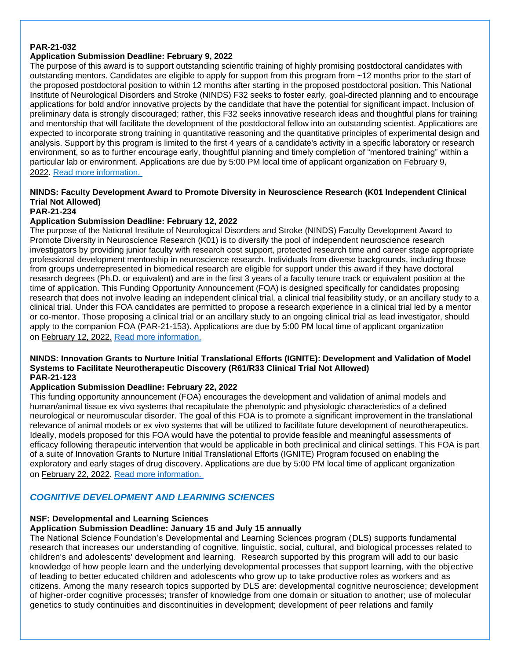#### **PAR-21-032**

### **Application Submission Deadline: February 9, 2022**

The purpose of this award is to support outstanding scientific training of highly promising postdoctoral candidates with outstanding mentors. Candidates are eligible to apply for support from this program from ~12 months prior to the start of the proposed postdoctoral position to within 12 months after starting in the proposed postdoctoral position. This National Institute of Neurological Disorders and Stroke (NINDS) F32 seeks to foster early, goal-directed planning and to encourage applications for bold and/or innovative projects by the candidate that have the potential for significant impact. Inclusion of preliminary data is strongly discouraged; rather, this F32 seeks innovative research ideas and thoughtful plans for training and mentorship that will facilitate the development of the postdoctoral fellow into an outstanding scientist. Applications are expected to incorporate strong training in quantitative reasoning and the quantitative principles of experimental design and analysis. Support by this program is limited to the first 4 years of a candidate's activity in a specific laboratory or research environment, so as to further encourage early, thoughtful planning and timely completion of "mentored training" within a particular lab or environment. Applications are due by 5:00 PM local time of applicant organization on February 9, 2022. [Read more information.](https://grants.nih.gov/grants/guide/pa-files/PAR-21-032.html)

### **NINDS: Faculty Development Award to Promote Diversity in Neuroscience Research (K01 Independent Clinical Trial Not Allowed)**

**PAR-21-234**

#### **Application Submission Deadline: February 12, 2022**

The purpose of the National Institute of Neurological Disorders and Stroke (NINDS) Faculty Development Award to Promote Diversity in Neuroscience Research (K01) is to diversify the pool of independent neuroscience research investigators by providing junior faculty with research cost support, protected research time and career stage appropriate professional development mentorship in neuroscience research. Individuals from diverse backgrounds, including those from groups underrepresented in biomedical research are eligible for support under this award if they have doctoral research degrees (Ph.D. or equivalent) and are in the first 3 years of a faculty tenure track or equivalent position at the time of application. This Funding Opportunity Announcement (FOA) is designed specifically for candidates proposing research that does not involve leading an independent clinical trial, a clinical trial feasibility study, or an ancillary study to a clinical trial. Under this FOA candidates are permitted to propose a research experience in a clinical trial led by a mentor or co-mentor. Those proposing a clinical trial or an ancillary study to an ongoing clinical trial as lead investigator, should apply to the companion FOA (PAR-21-153). Applications are due by 5:00 PM local time of applicant organization on February 12, 2022. [Read more information.](https://grants.nih.gov/grants/guide/pa-files/PAR-21-234.html)

#### **NINDS: Innovation Grants to Nurture Initial Translational Efforts (IGNITE): Development and Validation of Model Systems to Facilitate Neurotherapeutic Discovery (R61/R33 Clinical Trial Not Allowed) PAR-21-123**

#### **Application Submission Deadline: February 22, 2022**

This funding opportunity announcement (FOA) encourages the development and validation of animal models and human/animal tissue ex vivo systems that recapitulate the phenotypic and physiologic characteristics of a defined neurological or neuromuscular disorder. The goal of this FOA is to promote a significant improvement in the translational relevance of animal models or ex vivo systems that will be utilized to facilitate future development of neurotherapeutics. Ideally, models proposed for this FOA would have the potential to provide feasible and meaningful assessments of efficacy following therapeutic intervention that would be applicable in both preclinical and clinical settings. This FOA is part of a suite of Innovation Grants to Nurture Initial Translational Efforts (IGNITE) Program focused on enabling the exploratory and early stages of drug discovery. Applications are due by 5:00 PM local time of applicant organization on February 22, 2022. [Read more information.](https://grants.nih.gov/grants/guide/pa-files/PAR-21-123.html)

### <span id="page-28-0"></span>*COGNITIVE DEVELOPMENT AND LEARNING SCIENCES*

### **NSF: Developmental and Learning Sciences**

### **Application Submission Deadline: January 15 and July 15 annually**

The National Science Foundation's Developmental and Learning Sciences program (DLS) supports fundamental research that increases our understanding of cognitive, linguistic, social, cultural, and biological processes related to children's and adolescents' development and learning. Research supported by this program will add to our basic knowledge of how people learn and the underlying developmental processes that support learning, with the objective of leading to better educated children and adolescents who grow up to take productive roles as workers and as citizens. Among the many research topics supported by DLS are: developmental cognitive neuroscience; development of higher-order cognitive processes; transfer of knowledge from one domain or situation to another; use of molecular genetics to study continuities and discontinuities in development; development of peer relations and family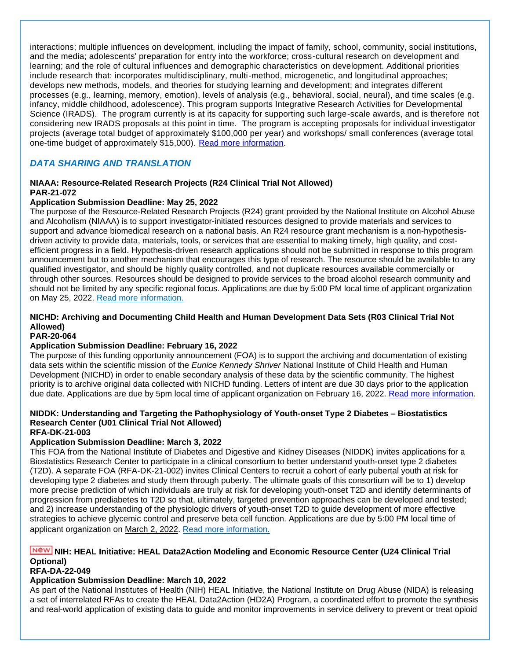interactions; multiple influences on development, including the impact of family, school, community, social institutions, and the media; adolescents' preparation for entry into the workforce; cross-cultural research on development and learning; and the role of cultural influences and demographic characteristics on development. Additional priorities include research that: incorporates multidisciplinary, multi-method, microgenetic, and longitudinal approaches; develops new methods, models, and theories for studying learning and development; and integrates different processes (e.g., learning, memory, emotion), levels of analysis (e.g., behavioral, social, neural), and time scales (e.g. infancy, middle childhood, adolescence). This program supports Integrative Research Activities for Developmental Science (IRADS). The program currently is at its capacity for supporting such large-scale awards, and is therefore not considering new IRADS proposals at this point in time. The program is accepting proposals for individual investigator projects (average total budget of approximately \$100,000 per year) and workshops/ small conferences (average total one-time budget of approximately \$15,000). [Read more information.](http://www.nsf.gov/funding/pgm_summ.jsp?pims_id=8671&WT.mc_id=USNSF_39)

### <span id="page-29-0"></span>*DATA SHARING AND TRANSLATION*

#### **NIAAA: Resource-Related Research Projects (R24 Clinical Trial Not Allowed) PAR-21-072**

#### **Application Submission Deadline: May 25, 2022**

The purpose of the Resource-Related Research Projects (R24) grant provided by the National Institute on Alcohol Abuse and Alcoholism (NIAAA) is to support investigator-initiated resources designed to provide materials and services to support and advance biomedical research on a national basis. An R24 resource grant mechanism is a non-hypothesisdriven activity to provide data, materials, tools, or services that are essential to making timely, high quality, and costefficient progress in a field. Hypothesis-driven research applications should not be submitted in response to this program announcement but to another mechanism that encourages this type of research. The resource should be available to any qualified investigator, and should be highly quality controlled, and not duplicate resources available commercially or through other sources. Resources should be designed to provide services to the broad alcohol research community and should not be limited by any specific regional focus. Applications are due by 5:00 PM local time of applicant organization on May 25, 2022. [Read more information.](https://grants.nih.gov/grants/guide/pa-files/PAR-21-072.html)

#### **NICHD: Archiving and Documenting Child Health and Human Development Data Sets (R03 Clinical Trial Not Allowed)**

#### **PAR-20-064**

### **Application Submission Deadline: February 16, 2022**

The purpose of this funding opportunity announcement (FOA) is to support the archiving and documentation of existing data sets within the scientific mission of the *Eunice Kennedy Shriver* National Institute of Child Health and Human Development (NICHD) in order to enable secondary analysis of these data by the scientific community. The highest priority is to archive original data collected with NICHD funding. Letters of intent are due 30 days prior to the application due date. Applications are due by 5pm local time of applicant organization on February 16, 2022. [Read more information.](https://grants.nih.gov/grants/guide/pa-files/PAR-20-064.html)

### **NIDDK: Understanding and Targeting the Pathophysiology of Youth-onset Type 2 Diabetes – Biostatistics Research Center (U01 Clinical Trial Not Allowed)**

### **RFA-DK-21-003**

### **Application Submission Deadline: March 3, 2022**

This FOA from the National Institute of Diabetes and Digestive and Kidney Diseases (NIDDK) invites applications for a Biostatistics Research Center to participate in a clinical consortium to better understand youth-onset type 2 diabetes (T2D). A separate FOA (RFA-DK-21-002) invites Clinical Centers to recruit a cohort of early pubertal youth at risk for developing type 2 diabetes and study them through puberty. The ultimate goals of this consortium will be to 1) develop more precise prediction of which individuals are truly at risk for developing youth-onset T2D and identify determinants of progression from prediabetes to T2D so that, ultimately, targeted prevention approaches can be developed and tested; and 2) increase understanding of the physiologic drivers of youth-onset T2D to guide development of more effective strategies to achieve glycemic control and preserve beta cell function. Applications are due by 5:00 PM local time of applicant organization on March 2, 2022. [Read more information.](https://grants.nih.gov/grants/guide/rfa-files/RFA-DK-21-003.html)

### **NICH: HEAL Initiative: HEAL Data2Action Modeling and Economic Resource Center (U24 Clinical Trial Optional)**

#### **RFA-DA-22-049**

### **Application Submission Deadline: March 10, 2022**

As part of the National Institutes of Health (NIH) HEAL Initiative, the National Institute on Drug Abuse (NIDA) is releasing a set of interrelated RFAs to create the HEAL Data2Action (HD2A) Program, a coordinated effort to promote the synthesis and real-world application of existing data to guide and monitor improvements in service delivery to prevent or treat opioid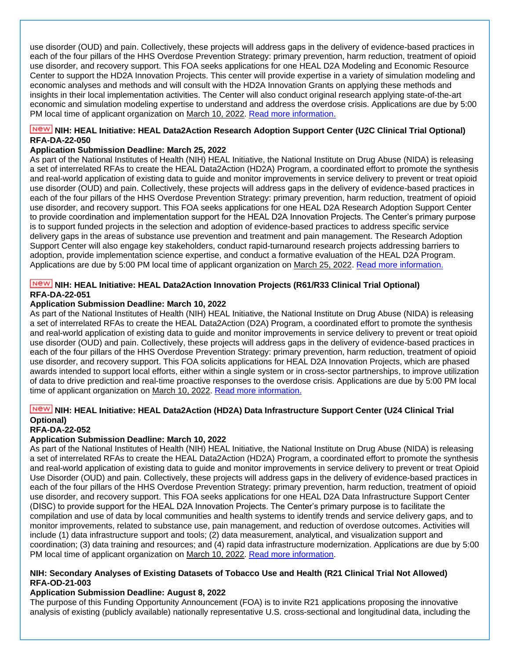use disorder (OUD) and pain. Collectively, these projects will address gaps in the delivery of evidence-based practices in each of the four pillars of the HHS Overdose Prevention Strategy: primary prevention, harm reduction, treatment of opioid use disorder, and recovery support. This FOA seeks applications for one HEAL D2A Modeling and Economic Resource Center to support the HD2A Innovation Projects. This center will provide expertise in a variety of simulation modeling and economic analyses and methods and will consult with the HD2A Innovation Grants on applying these methods and insights in their local implementation activities. The Center will also conduct original research applying state-of-the-art economic and simulation modeling expertise to understand and address the overdose crisis. Applications are due by 5:00 PM local time of applicant organization on March 10, 2022. [Read more information.](https://grants.nih.gov/grants/guide/rfa-files/RFA-DA-22-049.html)

### **NIME: HEAL Initiative: HEAL Data2Action Research Adoption Support Center (U2C Clinical Trial Optional) RFA-DA-22-050**

#### **Application Submission Deadline: March 25, 2022**

As part of the National Institutes of Health (NIH) HEAL Initiative, the National Institute on Drug Abuse (NIDA) is releasing a set of interrelated RFAs to create the HEAL Data2Action (HD2A) Program, a coordinated effort to promote the synthesis and real-world application of existing data to guide and monitor improvements in service delivery to prevent or treat opioid use disorder (OUD) and pain. Collectively, these projects will address gaps in the delivery of evidence-based practices in each of the four pillars of the HHS Overdose Prevention Strategy: primary prevention, harm reduction, treatment of opioid use disorder, and recovery support. This FOA seeks applications for one HEAL D2A Research Adoption Support Center to provide coordination and implementation support for the HEAL D2A Innovation Projects. The Center's primary purpose is to support funded projects in the selection and adoption of evidence-based practices to address specific service delivery gaps in the areas of substance use prevention and treatment and pain management. The Research Adoption Support Center will also engage key stakeholders, conduct rapid-turnaround research projects addressing barriers to adoption, provide implementation science expertise, and conduct a formative evaluation of the HEAL D2A Program. Applications are due by 5:00 PM local time of applicant organization on March 25, 2022. [Read more information.](https://grants.nih.gov/grants/guide/rfa-files/RFA-DA-22-050.html)

### **NIME: HEAL Initiative: HEAL Data2Action Innovation Projects (R61/R33 Clinical Trial Optional) RFA-DA-22-051**

#### **Application Submission Deadline: March 10, 2022**

As part of the National Institutes of Health (NIH) HEAL Initiative, the National Institute on Drug Abuse (NIDA) is releasing a set of interrelated RFAs to create the HEAL Data2Action (D2A) Program, a coordinated effort to promote the synthesis and real-world application of existing data to guide and monitor improvements in service delivery to prevent or treat opioid use disorder (OUD) and pain. Collectively, these projects will address gaps in the delivery of evidence-based practices in each of the four pillars of the HHS Overdose Prevention Strategy: primary prevention, harm reduction, treatment of opioid use disorder, and recovery support. This FOA solicits applications for HEAL D2A Innovation Projects, which are phased awards intended to support local efforts, either within a single system or in cross-sector partnerships, to improve utilization of data to drive prediction and real-time proactive responses to the overdose crisis. Applications are due by 5:00 PM local time of applicant organization on March 10, 2022. [Read more information.](https://grants.nih.gov/grants/guide/rfa-files/RFA-DA-22-051.html)

### **NIME: HEAL Initiative: HEAL Data2Action (HD2A) Data Infrastructure Support Center (U24 Clinical Trial Optional)**

#### **RFA-DA-22-052**

### **Application Submission Deadline: March 10, 2022**

As part of the National Institutes of Health (NIH) HEAL Initiative, the National Institute on Drug Abuse (NIDA) is releasing a set of interrelated RFAs to create the HEAL Data2Action (HD2A) Program, a coordinated effort to promote the synthesis and real-world application of existing data to guide and monitor improvements in service delivery to prevent or treat Opioid Use Disorder (OUD) and pain. Collectively, these projects will address gaps in the delivery of evidence-based practices in each of the four pillars of the HHS Overdose Prevention Strategy: primary prevention, harm reduction, treatment of opioid use disorder, and recovery support. This FOA seeks applications for one HEAL D2A Data Infrastructure Support Center (DISC) to provide support for the HEAL D2A Innovation Projects. The Center's primary purpose is to facilitate the compilation and use of data by local communities and health systems to identify trends and service delivery gaps, and to monitor improvements, related to substance use, pain management, and reduction of overdose outcomes. Activities will include (1) data infrastructure support and tools; (2) data measurement, analytical, and visualization support and coordination; (3) data training and resources; and (4) rapid data infrastructure modernization. Applications are due by 5:00 PM local time of applicant organization on March 10, 2022. [Read more information.](https://grants.nih.gov/grants/guide/rfa-files/RFA-DA-22-052.html)

#### **NIH: Secondary Analyses of Existing Datasets of Tobacco Use and Health (R21 Clinical Trial Not Allowed) RFA-OD-21-003**

#### **Application Submission Deadline: August 8, 2022**

The purpose of this Funding Opportunity Announcement (FOA) is to invite R21 applications proposing the innovative analysis of existing (publicly available) nationally representative U.S. cross-sectional and longitudinal data, including the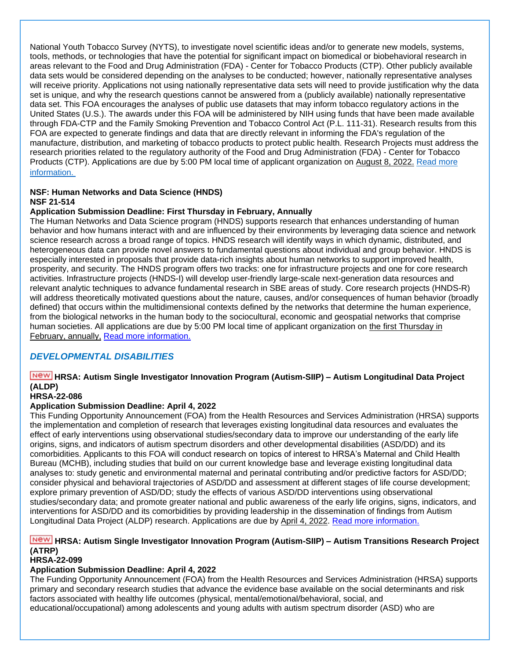National Youth Tobacco Survey (NYTS), to investigate novel scientific ideas and/or to generate new models, systems, tools, methods, or technologies that have the potential for significant impact on biomedical or biobehavioral research in areas relevant to the Food and Drug Administration (FDA) - Center for Tobacco Products (CTP). Other publicly available data sets would be considered depending on the analyses to be conducted; however, nationally representative analyses will receive priority. Applications not using nationally representative data sets will need to provide justification why the data set is unique, and why the research questions cannot be answered from a (publicly available) nationally representative data set. This FOA encourages the analyses of public use datasets that may inform tobacco regulatory actions in the United States (U.S.). The awards under this FOA will be administered by NIH using funds that have been made available through FDA-CTP and the Family Smoking Prevention and Tobacco Control Act (P.L. 111-31). Research results from this FOA are expected to generate findings and data that are directly relevant in informing the FDA's regulation of the manufacture, distribution, and marketing of tobacco products to protect public health. Research Projects must address the research priorities related to the regulatory authority of the Food and Drug Administration (FDA) - Center for Tobacco Products (CTP). Applications are due by 5:00 PM local time of applicant organization on August 8, 2022. [Read more](https://grants.nih.gov/grants/guide/rfa-files/RFA-OD-21-003.html)  [information.](https://grants.nih.gov/grants/guide/rfa-files/RFA-OD-21-003.html)

### **NSF: Human Networks and Data Science (HNDS)**

### **NSF 21-514**

### **Application Submission Deadline: First Thursday in February, Annually**

The Human Networks and Data Science program (HNDS) supports research that enhances understanding of human behavior and how humans interact with and are influenced by their environments by leveraging data science and network science research across a broad range of topics. HNDS research will identify ways in which dynamic, distributed, and heterogeneous data can provide novel answers to fundamental questions about individual and group behavior. HNDS is especially interested in proposals that provide data-rich insights about human networks to support improved health, prosperity, and security. The HNDS program offers two tracks: one for infrastructure projects and one for core research activities. Infrastructure projects (HNDS-I) will develop user-friendly large-scale next-generation data resources and relevant analytic techniques to advance fundamental research in SBE areas of study. Core research projects (HNDS-R) will address theoretically motivated questions about the nature, causes, and/or consequences of human behavior (broadly defined) that occurs within the multidimensional contexts defined by the networks that determine the human experience, from the biological networks in the human body to the sociocultural, economic and geospatial networks that comprise human societies. All applications are due by 5:00 PM local time of applicant organization on the first Thursday in February, annually, [Read more information.](https://www.nsf.gov/pubs/2021/nsf21514/nsf21514.htm)

### <span id="page-31-0"></span>*DEVELOPMENTAL DISABILITIES*

### **HRSA: Autism Single Investigator Innovation Program (Autism-SIIP) – Autism Longitudinal Data Project (ALDP)**

### **HRSA-22-086**

### **Application Submission Deadline: April 4, 2022**

This Funding Opportunity Announcement (FOA) from the Health Resources and Services Administration (HRSA) supports the implementation and completion of research that leverages existing longitudinal data resources and evaluates the effect of early interventions using observational studies/secondary data to improve our understanding of the early life origins, signs, and indicators of autism spectrum disorders and other developmental disabilities (ASD/DD) and its comorbidities. Applicants to this FOA will conduct research on topics of interest to HRSA's Maternal and Child Health Bureau (MCHB), including studies that build on our current knowledge base and leverage existing longitudinal data analyses to: study genetic and environmental maternal and perinatal contributing and/or predictive factors for ASD/DD; consider physical and behavioral trajectories of ASD/DD and assessment at different stages of life course development; explore primary prevention of ASD/DD; study the effects of various ASD/DD interventions using observational studies/secondary data; and promote greater national and public awareness of the early life origins, signs, indicators, and interventions for ASD/DD and its comorbidities by providing leadership in the dissemination of findings from Autism Longitudinal Data Project (ALDP) research. Applications are due by April 4, 2022. [Read more information.](https://www.grants.gov/web/grants/view-opportunity.html?oppId=334389)

### **HRSA: Autism Single Investigator Innovation Program (Autism-SIIP) – Autism Transitions Research Project (ATRP)**

### **HRSA-22-099**

### **Application Submission Deadline: April 4, 2022**

The Funding Opportunity Announcement (FOA) from the Health Resources and Services Administration (HRSA) supports primary and secondary research studies that advance the evidence base available on the social determinants and risk factors associated with healthy life outcomes (physical, mental/emotional/behavioral, social, and educational/occupational) among adolescents and young adults with autism spectrum disorder (ASD) who are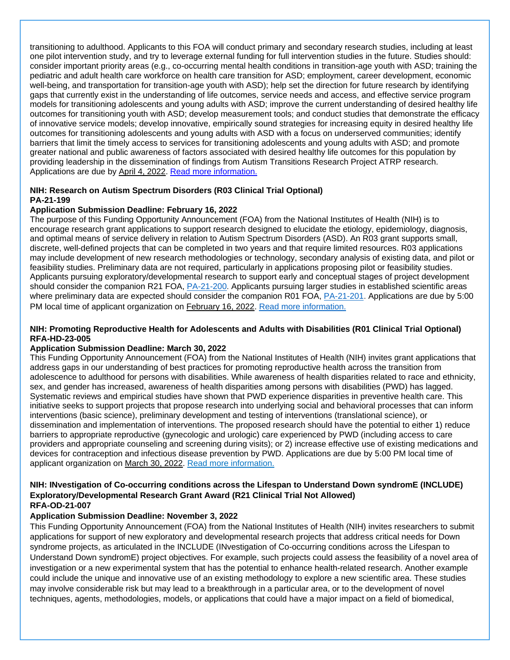transitioning to adulthood. Applicants to this FOA will conduct primary and secondary research studies, including at least one pilot intervention study, and try to leverage external funding for full intervention studies in the future. Studies should: consider important priority areas (e.g., co-occurring mental health conditions in transition-age youth with ASD; training the pediatric and adult health care workforce on health care transition for ASD; employment, career development, economic well-being, and transportation for transition-age youth with ASD); help set the direction for future research by identifying gaps that currently exist in the understanding of life outcomes, service needs and access, and effective service program models for transitioning adolescents and young adults with ASD; improve the current understanding of desired healthy life outcomes for transitioning youth with ASD; develop measurement tools; and conduct studies that demonstrate the efficacy of innovative service models; develop innovative, empirically sound strategies for increasing equity in desired healthy life outcomes for transitioning adolescents and young adults with ASD with a focus on underserved communities; identify barriers that limit the timely access to services for transitioning adolescents and young adults with ASD; and promote greater national and public awareness of factors associated with desired healthy life outcomes for this population by providing leadership in the dissemination of findings from Autism Transitions Research Project ATRP research. Applications are due by April 4, 2022. [Read more information.](https://www.grants.gov/web/grants/view-opportunity.html?oppId=334402)

### **NIH: Research on Autism Spectrum Disorders (R03 Clinical Trial Optional) PA-21-199**

### **Application Submission Deadline: February 16, 2022**

The purpose of this Funding Opportunity Announcement (FOA) from the National Institutes of Health (NIH) is to encourage research grant applications to support research designed to elucidate the etiology, epidemiology, diagnosis, and optimal means of service delivery in relation to Autism Spectrum Disorders (ASD). An R03 grant supports small, discrete, well-defined projects that can be completed in two years and that require limited resources. R03 applications may include development of new research methodologies or technology, secondary analysis of existing data, and pilot or feasibility studies. Preliminary data are not required, particularly in applications proposing pilot or feasibility studies. Applicants pursuing exploratory/developmental research to support early and conceptual stages of project development should consider the companion R21 FOA, [PA-21-200.](https://grants.nih.gov/grants/guide/pa-files/PA-21-200.html) Applicants pursuing larger studies in established scientific areas where preliminary data are expected should consider the companion R01 FOA, [PA-21-201.](https://grants.nih.gov/grants/guide/pa-files/PA-21-201.html) Applications are due by 5:00 PM local time of applicant organization on February 16, 2022. [Read more information.](https://grants.nih.gov/grants/guide/pa-files/PA-21-199.html)

### **NIH: Promoting Reproductive Health for Adolescents and Adults with Disabilities (R01 Clinical Trial Optional) RFA-HD-23-005**

### **Application Submission Deadline: March 30, 2022**

This Funding Opportunity Announcement (FOA) from the National Institutes of Health (NIH) invites grant applications that address gaps in our understanding of best practices for promoting reproductive health across the transition from adolescence to adulthood for persons with disabilities. While awareness of health disparities related to race and ethnicity, sex, and gender has increased, awareness of health disparities among persons with disabilities (PWD) has lagged. Systematic reviews and empirical studies have shown that PWD experience disparities in preventive health care. This initiative seeks to support projects that propose research into underlying social and behavioral processes that can inform interventions (basic science), preliminary development and testing of interventions (translational science), or dissemination and implementation of interventions. The proposed research should have the potential to either 1) reduce barriers to appropriate reproductive (gynecologic and urologic) care experienced by PWD (including access to care providers and appropriate counseling and screening during visits); or 2) increase effective use of existing medications and devices for contraception and infectious disease prevention by PWD. Applications are due by 5:00 PM local time of applicant organization on March 30, 2022. [Read more information.](https://grants.nih.gov/grants/guide/rfa-files/RFA-HD-23-005.html)

#### **NIH: INvestigation of Co-occurring conditions across the Lifespan to Understand Down syndromE (INCLUDE) Exploratory/Developmental Research Grant Award (R21 Clinical Trial Not Allowed) RFA-OD-21-007**

### **Application Submission Deadline: November 3, 2022**

This Funding Opportunity Announcement (FOA) from the National Institutes of Health (NIH) invites researchers to submit applications for support of new exploratory and developmental research projects that address critical needs for Down syndrome projects, as articulated in the INCLUDE (INvestigation of Co-occurring conditions across the Lifespan to Understand Down syndromE) project objectives. For example, such projects could assess the feasibility of a novel area of investigation or a new experimental system that has the potential to enhance health-related research. Another example could include the unique and innovative use of an existing methodology to explore a new scientific area. These studies may involve considerable risk but may lead to a breakthrough in a particular area, or to the development of novel techniques, agents, methodologies, models, or applications that could have a major impact on a field of biomedical,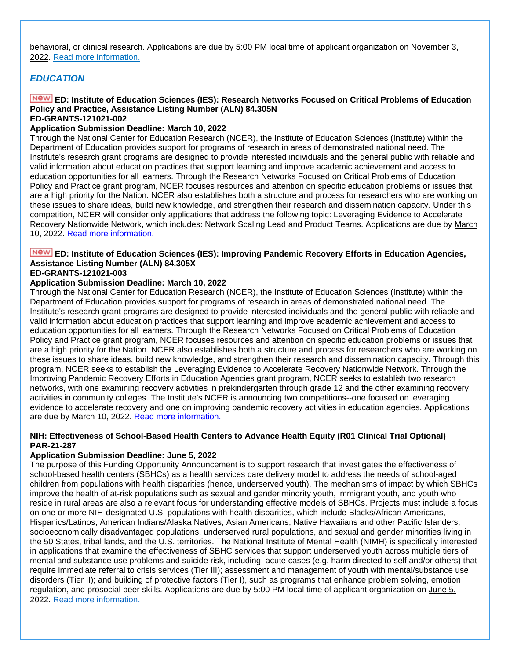behavioral, or clinical research. Applications are due by 5:00 PM local time of applicant organization on November 3, 2022. [Read more information.](https://grants.nih.gov/grants/guide/rfa-files/RFA-OD-21-007.html)

### <span id="page-33-0"></span>*EDUCATION*

### **ED: Institute of Education Sciences (IES): Research Networks Focused on Critical Problems of Education Policy and Practice, Assistance Listing Number (ALN) 84.305N**

#### **ED-GRANTS-121021-002**

### **Application Submission Deadline: March 10, 2022**

Through the National Center for Education Research (NCER), the Institute of Education Sciences (Institute) within the Department of Education provides support for programs of research in areas of demonstrated national need. The Institute's research grant programs are designed to provide interested individuals and the general public with reliable and valid information about education practices that support learning and improve academic achievement and access to education opportunities for all learners. Through the Research Networks Focused on Critical Problems of Education Policy and Practice grant program, NCER focuses resources and attention on specific education problems or issues that are a high priority for the Nation. NCER also establishes both a structure and process for researchers who are working on these issues to share ideas, build new knowledge, and strengthen their research and dissemination capacity. Under this competition, NCER will consider only applications that address the following topic: Leveraging Evidence to Accelerate Recovery Nationwide Network, which includes: Network Scaling Lead and Product Teams. Applications are due by March 10, 2022. [Read more information.](https://www.govinfo.gov/content/pkg/FR-2021-12-10/pdf/2021-26765.pdf)

### **ED: Institute of Education Sciences (IES): Improving Pandemic Recovery Efforts in Education Agencies, Assistance Listing Number (ALN) 84.305X**

#### **ED-GRANTS-121021-003**

#### **Application Submission Deadline: March 10, 2022**

Through the National Center for Education Research (NCER), the Institute of Education Sciences (Institute) within the Department of Education provides support for programs of research in areas of demonstrated national need. The Institute's research grant programs are designed to provide interested individuals and the general public with reliable and valid information about education practices that support learning and improve academic achievement and access to education opportunities for all learners. Through the Research Networks Focused on Critical Problems of Education Policy and Practice grant program, NCER focuses resources and attention on specific education problems or issues that are a high priority for the Nation. NCER also establishes both a structure and process for researchers who are working on these issues to share ideas, build new knowledge, and strengthen their research and dissemination capacity. Through this program, NCER seeks to establish the Leveraging Evidence to Accelerate Recovery Nationwide Network. Through the Improving Pandemic Recovery Efforts in Education Agencies grant program, NCER seeks to establish two research networks, with one examining recovery activities in prekindergarten through grade 12 and the other examining recovery activities in community colleges. The Institute's NCER is announcing two competitions--one focused on leveraging evidence to accelerate recovery and one on improving pandemic recovery activities in education agencies. Applications are due by March 10, 2022. [Read more information.](https://www.govinfo.gov/content/pkg/FR-2021-12-10/pdf/2021-26765.pdf)

#### **NIH: Effectiveness of School-Based Health Centers to Advance Health Equity (R01 Clinical Trial Optional) PAR-21-287**

#### **Application Submission Deadline: June 5, 2022**

The purpose of this Funding Opportunity Announcement is to support research that investigates the effectiveness of school-based health centers (SBHCs) as a health services care delivery model to address the needs of school-aged children from populations with health disparities (hence, underserved youth). The mechanisms of impact by which SBHCs improve the health of at-risk populations such as sexual and gender minority youth, immigrant youth, and youth who reside in rural areas are also a relevant focus for understanding effective models of SBHCs. Projects must include a focus on one or more NIH-designated U.S. populations with health disparities, which include Blacks/African Americans, Hispanics/Latinos, American Indians/Alaska Natives, Asian Americans, Native Hawaiians and other Pacific Islanders, socioeconomically disadvantaged populations, underserved rural populations, and sexual and gender minorities living in the 50 States, tribal lands, and the U.S. territories. The National Institute of Mental Health (NIMH) is specifically interested in applications that examine the effectiveness of SBHC services that support underserved youth across multiple tiers of mental and substance use problems and suicide risk, including: acute cases (e.g. harm directed to self and/or others) that require immediate referral to crisis services (Tier III); assessment and management of youth with mental/substance use disorders (Tier II); and building of protective factors (Tier I), such as programs that enhance problem solving, emotion regulation, and prosocial peer skills. Applications are due by 5:00 PM local time of applicant organization on June 5, 2022. [Read more information.](https://grants.nih.gov/grants/guide/pa-files/PAR-21-287.html)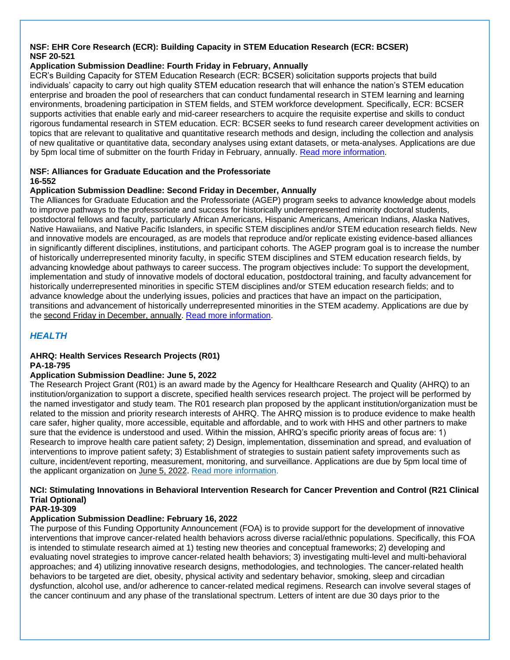### **NSF: EHR Core Research (ECR): Building Capacity in STEM Education Research (ECR: BCSER) NSF 20-521**

### **Application Submission Deadline: Fourth Friday in February, Annually**

ECR's Building Capacity for STEM Education Research (ECR: BCSER) solicitation supports projects that build individuals' capacity to carry out high quality STEM education research that will enhance the nation's STEM education enterprise and broaden the pool of researchers that can conduct fundamental research in STEM learning and learning environments, broadening participation in STEM fields, and STEM workforce development. Specifically, ECR: BCSER supports activities that enable early and mid-career researchers to acquire the requisite expertise and skills to conduct rigorous fundamental research in STEM education. ECR: BCSER seeks to fund research career development activities on topics that are relevant to qualitative and quantitative research methods and design, including the collection and analysis of new qualitative or quantitative data, secondary analyses using extant datasets, or meta-analyses. Applications are due by 5pm local time of submitter on the fourth Friday in February, annually. [Read more information.](https://www.nsf.gov/pubs/2020/nsf20521/nsf20521.htm)

#### **NSF: Alliances for Graduate Education and the Professoriate 16-552**

### **Application Submission Deadline: Second Friday in December, Annually**

The Alliances for Graduate Education and the Professoriate (AGEP) program seeks to advance knowledge about models to improve pathways to the professoriate and success for historically underrepresented minority doctoral students, postdoctoral fellows and faculty, particularly African Americans, Hispanic Americans, American Indians, Alaska Natives, Native Hawaiians, and Native Pacific Islanders, in specific STEM disciplines and/or STEM education research fields. New and innovative models are encouraged, as are models that reproduce and/or replicate existing evidence-based alliances in significantly different disciplines, institutions, and participant cohorts. The AGEP program goal is to increase the number of historically underrepresented minority faculty, in specific STEM disciplines and STEM education research fields, by advancing knowledge about pathways to career success. The program objectives include: To support the development, implementation and study of innovative models of doctoral education, postdoctoral training, and faculty advancement for historically underrepresented minorities in specific STEM disciplines and/or STEM education research fields; and to advance knowledge about the underlying issues, policies and practices that have an impact on the participation, transitions and advancement of historically underrepresented minorities in the STEM academy. Applications are due by the second Friday in December, annually. Read [more information.](https://www.nsf.gov/pubs/2016/nsf16552/nsf16552.htm)

### <span id="page-34-0"></span>*HEALTH*

#### **AHRQ: Health Services Research Projects (R01) PA-18-795**

#### **Application Submission Deadline: June 5, 2022**

The Research Project Grant (R01) is an award made by the Agency for Healthcare Research and Quality (AHRQ) to an institution/organization to support a discrete, specified health services research project. The project will be performed by the named investigator and study team. The R01 research plan proposed by the applicant institution/organization must be related to the mission and priority research interests of AHRQ. The AHRQ mission is to produce evidence to make health care safer, higher quality, more accessible, equitable and affordable, and to work with HHS and other partners to make sure that the evidence is understood and used. Within the mission, AHRQ's specific priority areas of focus are: 1) Research to improve health care patient safety; 2) Design, implementation, dissemination and spread, and evaluation of interventions to improve patient safety; 3) Establishment of strategies to sustain patient safety improvements such as culture, incident/event reporting, measurement, monitoring, and surveillance. Applications are due by 5pm local time of the applicant organization on June 5, 2022. [Read more information.](https://grants.nih.gov/grants/guide/pa-files/pa-18-795.html)

### **NCI: Stimulating Innovations in Behavioral Intervention Research for Cancer Prevention and Control (R21 Clinical Trial Optional)**

#### **PAR-19-309**

### **Application Submission Deadline: February 16, 2022**

The purpose of this Funding Opportunity Announcement (FOA) is to provide support for the development of innovative interventions that improve cancer-related health behaviors across diverse racial/ethnic populations. Specifically, this FOA is intended to stimulate research aimed at 1) testing new theories and conceptual frameworks; 2) developing and evaluating novel strategies to improve cancer-related health behaviors; 3) investigating multi-level and multi-behavioral approaches; and 4) utilizing innovative research designs, methodologies, and technologies. The cancer-related health behaviors to be targeted are diet, obesity, physical activity and sedentary behavior, smoking, sleep and circadian dysfunction, alcohol use, and/or adherence to cancer-related medical regimens. Research can involve several stages of the cancer continuum and any phase of the translational spectrum. Letters of intent are due 30 days prior to the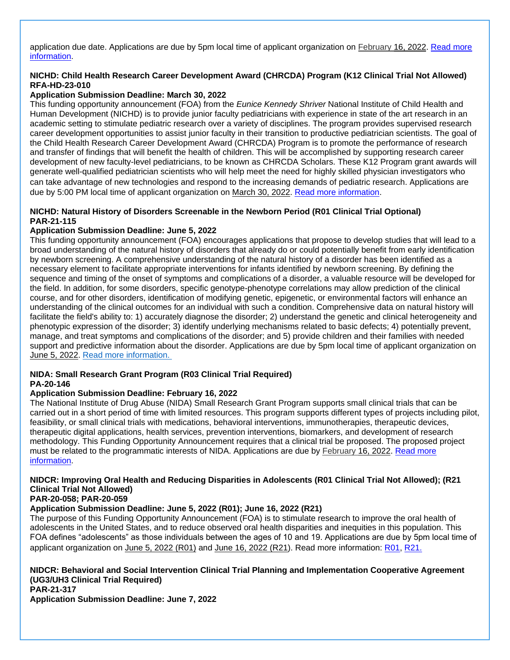application due date. Applications are due by 5pm local time of applicant organization on February 16, 2022. Read more [information.](https://grants.nih.gov/grants/guide/pa-files/PAR-19-309.html)

### **NICHD: Child Health Research Career Development Award (CHRCDA) Program (K12 Clinical Trial Not Allowed) RFA-HD-23-010**

### **Application Submission Deadline: March 30, 2022**

This funding opportunity announcement (FOA) from the *Eunice Kennedy Shriver* National Institute of Child Health and Human Development (NICHD) is to provide junior faculty pediatricians with experience in state of the art research in an academic setting to stimulate pediatric research over a variety of disciplines. The program provides supervised research career development opportunities to assist junior faculty in their transition to productive pediatrician scientists. The goal of the Child Health Research Career Development Award (CHRCDA) Program is to promote the performance of research and transfer of findings that will benefit the health of children. This will be accomplished by supporting research career development of new faculty-level pediatricians, to be known as CHRCDA Scholars. These K12 Program grant awards will generate well-qualified pediatrician scientists who will help meet the need for highly skilled physician investigators who can take advantage of new technologies and respond to the increasing demands of pediatric research. Applications are due by 5:00 PM local time of applicant organization on March 30, 2022. [Read more information.](https://grants.nih.gov/grants/guide/rfa-files/RFA-HD-23-010.html)

### **NICHD: Natural History of Disorders Screenable in the Newborn Period (R01 Clinical Trial Optional) PAR-21-115**

#### **Application Submission Deadline: June 5, 2022**

This funding opportunity announcement (FOA) encourages applications that propose to develop studies that will lead to a broad understanding of the natural history of disorders that already do or could potentially benefit from early identification by newborn screening. A comprehensive understanding of the natural history of a disorder has been identified as a necessary element to facilitate appropriate interventions for infants identified by newborn screening. By defining the sequence and timing of the onset of symptoms and complications of a disorder, a valuable resource will be developed for the field. In addition, for some disorders, specific genotype-phenotype correlations may allow prediction of the clinical course, and for other disorders, identification of modifying genetic, epigenetic, or environmental factors will enhance an understanding of the clinical outcomes for an individual with such a condition. Comprehensive data on natural history will facilitate the field's ability to: 1) accurately diagnose the disorder; 2) understand the genetic and clinical heterogeneity and phenotypic expression of the disorder; 3) identify underlying mechanisms related to basic defects; 4) potentially prevent, manage, and treat symptoms and complications of the disorder; and 5) provide children and their families with needed support and predictive information about the disorder. Applications are due by 5pm local time of applicant organization on June 5, 2022. [Read more information.](https://grants.nih.gov/grants/guide/pa-files/PAR-21-115.html)

#### **NIDA: Small Research Grant Program (R03 Clinical Trial Required) PA-20-146**

#### **Application Submission Deadline: February 16, 2022**

The National Institute of Drug Abuse (NIDA) Small Research Grant Program supports small clinical trials that can be carried out in a short period of time with limited resources. This program supports different types of projects including pilot, feasibility, or small clinical trials with medications, behavioral interventions, immunotherapies, therapeutic devices, therapeutic digital applications, health services, prevention interventions, biomarkers, and development of research methodology. This Funding Opportunity Announcement requires that a clinical trial be proposed. The proposed project must be related to the programmatic interests of NIDA. Applications are due by February 16, 2022. [Read more](https://grants.nih.gov/grants/guide/pa-files/PA-20-146.html)  [information.](https://grants.nih.gov/grants/guide/pa-files/PA-20-146.html)

### **NIDCR: Improving Oral Health and Reducing Disparities in Adolescents (R01 Clinical Trial Not Allowed); (R21 Clinical Trial Not Allowed)**

#### **PAR-20-058; PAR-20-059**

### **Application Submission Deadline: June 5, 2022 (R01); June 16, 2022 (R21)**

The purpose of this Funding Opportunity Announcement (FOA) is to stimulate research to improve the oral health of adolescents in the United States, and to reduce observed oral health disparities and inequities in this population. This FOA defines "adolescents" as those individuals between the ages of 10 and 19. Applications are due by 5pm local time of applicant organization on June 5, 2022 (R01) and June 16, 2022 (R21). Read more information: [R01,](https://grants.nih.gov/grants/guide/pa-files/PAR-20-058.html) [R21.](https://grants.nih.gov/grants/guide/pa-files/PAR-20-059.html)

**NIDCR: Behavioral and Social Intervention Clinical Trial Planning and Implementation Cooperative Agreement (UG3/UH3 Clinical Trial Required) PAR-21-317**

**Application Submission Deadline: June 7, 2022**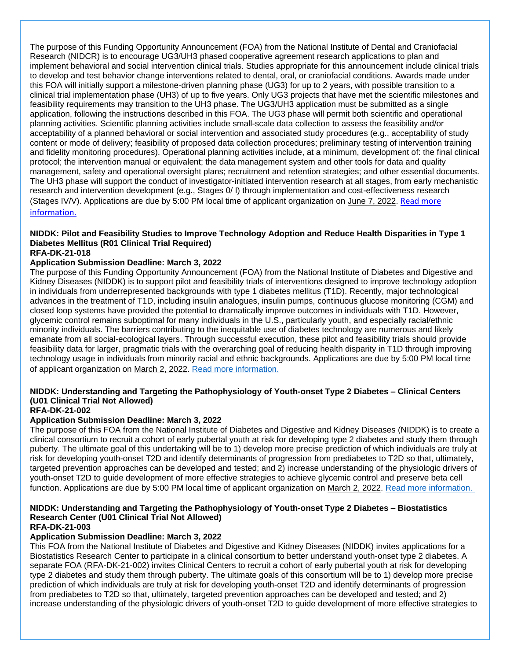The purpose of this Funding Opportunity Announcement (FOA) from the National Institute of Dental and Craniofacial Research (NIDCR) is to encourage UG3/UH3 phased cooperative agreement research applications to plan and implement behavioral and social intervention clinical trials. Studies appropriate for this announcement include clinical trials to develop and test behavior change interventions related to dental, oral, or craniofacial conditions. Awards made under this FOA will initially support a milestone-driven planning phase (UG3) for up to 2 years, with possible transition to a clinical trial implementation phase (UH3) of up to five years. Only UG3 projects that have met the scientific milestones and feasibility requirements may transition to the UH3 phase. The UG3/UH3 application must be submitted as a single application, following the instructions described in this FOA. The UG3 phase will permit both scientific and operational planning activities. Scientific planning activities include small-scale data collection to assess the feasibility and/or acceptability of a planned behavioral or social intervention and associated study procedures (e.g., acceptability of study content or mode of delivery; feasibility of proposed data collection procedures; preliminary testing of intervention training and fidelity monitoring procedures). Operational planning activities include, at a minimum, development of: the final clinical protocol; the intervention manual or equivalent; the data management system and other tools for data and quality management, safety and operational oversight plans; recruitment and retention strategies; and other essential documents. The UH3 phase will support the conduct of investigator-initiated intervention research at all stages, from early mechanistic research and intervention development (e.g., Stages 0/ I) through implementation and cost-effectiveness research (Stages IV/V). Applications are due by 5:00 PM local time of applicant organization on June 7, 2022. [Read more](https://grants.nih.gov/grants/guide/pa-files/PAR-21-317.html)  [information.](https://grants.nih.gov/grants/guide/pa-files/PAR-21-317.html)

### **NIDDK: Pilot and Feasibility Studies to Improve Technology Adoption and Reduce Health Disparities in Type 1 Diabetes Mellitus (R01 Clinical Trial Required)**

### **RFA-DK-21-018**

### **Application Submission Deadline: March 3, 2022**

The purpose of this Funding Opportunity Announcement (FOA) from the National Institute of Diabetes and Digestive and Kidney Diseases (NIDDK) is to support pilot and feasibility trials of interventions designed to improve technology adoption in individuals from underrepresented backgrounds with type 1 diabetes mellitus (T1D). Recently, major technological advances in the treatment of T1D, including insulin analogues, insulin pumps, continuous glucose monitoring (CGM) and closed loop systems have provided the potential to dramatically improve outcomes in individuals with T1D. However, glycemic control remains suboptimal for many individuals in the U.S., particularly youth, and especially racial/ethnic minority individuals. The barriers contributing to the inequitable use of diabetes technology are numerous and likely emanate from all social-ecological layers. Through successful execution, these pilot and feasibility trials should provide feasibility data for larger, pragmatic trials with the overarching goal of reducing health disparity in T1D through improving technology usage in individuals from minority racial and ethnic backgrounds. Applications are due by 5:00 PM local time of applicant organization on March 2, 2022. [Read more information.](https://grants.nih.gov/grants/guide/rfa-files/RFA-DK-21-018.html)

### **NIDDK: Understanding and Targeting the Pathophysiology of Youth-onset Type 2 Diabetes – Clinical Centers (U01 Clinical Trial Not Allowed)**

### **RFA-DK-21-002**

#### **Application Submission Deadline: March 3, 2022**

The purpose of this FOA from the National Institute of Diabetes and Digestive and Kidney Diseases (NIDDK) is to create a clinical consortium to recruit a cohort of early pubertal youth at risk for developing type 2 diabetes and study them through puberty. The ultimate goal of this undertaking will be to 1) develop more precise prediction of which individuals are truly at risk for developing youth-onset T2D and identify determinants of progression from prediabetes to T2D so that, ultimately, targeted prevention approaches can be developed and tested; and 2) increase understanding of the physiologic drivers of youth-onset T2D to guide development of more effective strategies to achieve glycemic control and preserve beta cell function. Applications are due by 5:00 PM local time of applicant organization on March 2, 2022. [Read more information.](https://grants.nih.gov/grants/guide/rfa-files/RFA-DK-21-002.html)

#### **NIDDK: Understanding and Targeting the Pathophysiology of Youth-onset Type 2 Diabetes – Biostatistics Research Center (U01 Clinical Trial Not Allowed) RFA-DK-21-003**

### **Application Submission Deadline: March 3, 2022**

This FOA from the National Institute of Diabetes and Digestive and Kidney Diseases (NIDDK) invites applications for a Biostatistics Research Center to participate in a clinical consortium to better understand youth-onset type 2 diabetes. A separate FOA (RFA-DK-21-002) invites Clinical Centers to recruit a cohort of early pubertal youth at risk for developing type 2 diabetes and study them through puberty. The ultimate goals of this consortium will be to 1) develop more precise prediction of which individuals are truly at risk for developing youth-onset T2D and identify determinants of progression from prediabetes to T2D so that, ultimately, targeted prevention approaches can be developed and tested; and 2) increase understanding of the physiologic drivers of youth-onset T2D to guide development of more effective strategies to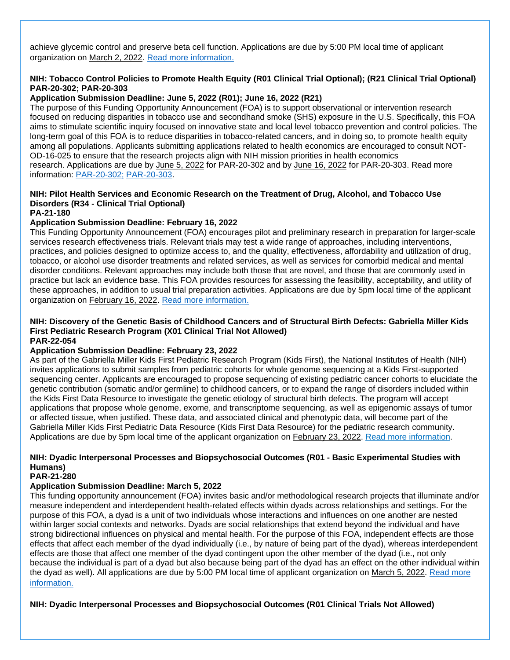achieve glycemic control and preserve beta cell function. Applications are due by 5:00 PM local time of applicant organization on March 2, 2022. [Read more information.](https://grants.nih.gov/grants/guide/rfa-files/RFA-DK-21-003.html)

#### **NIH: Tobacco Control Policies to Promote Health Equity (R01 Clinical Trial Optional); (R21 Clinical Trial Optional) PAR-20-302; PAR-20-303**

### **Application Submission Deadline: June 5, 2022 (R01); June 16, 2022 (R21)**

The purpose of this Funding Opportunity Announcement (FOA) is to support observational or intervention research focused on reducing disparities in tobacco use and secondhand smoke (SHS) exposure in the U.S. Specifically, this FOA aims to stimulate scientific inquiry focused on innovative state and local level tobacco prevention and control policies. The long-term goal of this FOA is to reduce disparities in tobacco-related cancers, and in doing so, to promote health equity among all populations. Applicants submitting applications related to health economics are encouraged to consult NOT-OD-16-025 to ensure that the research projects align with NIH mission priorities in health economics research. Applications are due by June 5, 2022 for PAR-20-302 and by June 16, 2022 for PAR-20-303. Read more information: [PAR-20-302;](https://grants.nih.gov/grants/guide/pa-files/PAR-20-302.html) [PAR-20-303.](https://grants.nih.gov/grants/guide/pa-files/PAR-20-303.html)

### **NIH: Pilot Health Services and Economic Research on the Treatment of Drug, Alcohol, and Tobacco Use Disorders (R34 - Clinical Trial Optional)**

**PA-21-180**

### **Application Submission Deadline: February 16, 2022**

This Funding Opportunity Announcement (FOA) encourages pilot and preliminary research in preparation for larger-scale services research effectiveness trials. Relevant trials may test a wide range of approaches, including interventions, practices, and policies designed to optimize access to, and the quality, effectiveness, affordability and utilization of drug, tobacco, or alcohol use disorder treatments and related services, as well as services for comorbid medical and mental disorder conditions. Relevant approaches may include both those that are novel, and those that are commonly used in practice but lack an evidence base. This FOA provides resources for assessing the feasibility, acceptability, and utility of these approaches, in addition to usual trial preparation activities. Applications are due by 5pm local time of the applicant organization on February 16, 2022. [Read more information.](https://grants.nih.gov/grants/guide/pa-files/PA-21-180.html)

#### **NIH: Discovery of the Genetic Basis of Childhood Cancers and of Structural Birth Defects: Gabriella Miller Kids First Pediatric Research Program (X01 Clinical Trial Not Allowed) PAR-22-054**

### **Application Submission Deadline: February 23, 2022**

As part of the Gabriella Miller Kids First Pediatric Research Program (Kids First), the National Institutes of Health (NIH) invites applications to submit samples from pediatric cohorts for whole genome sequencing at a Kids First-supported sequencing center. Applicants are encouraged to propose sequencing of existing pediatric cancer cohorts to elucidate the genetic contribution (somatic and/or germline) to childhood cancers, or to expand the range of disorders included within the Kids First Data Resource to investigate the genetic etiology of structural birth defects. The program will accept applications that propose whole genome, exome, and transcriptome sequencing, as well as epigenomic assays of tumor or affected tissue, when justified. These data, and associated clinical and phenotypic data, will become part of the Gabriella Miller Kids First Pediatric Data Resource (Kids First Data Resource) for the pediatric research community. Applications are due by 5pm local time of the applicant organization on February 23, 2022. [Read more information.](https://grants.nih.gov/grants/guide/pa-files/PAR-22-054.html)

### **NIH: Dyadic Interpersonal Processes and Biopsychosocial Outcomes (R01 - Basic Experimental Studies with Humans)**

### **PAR-21-280**

### **Application Submission Deadline: March 5, 2022**

This funding opportunity announcement (FOA) invites basic and/or methodological research projects that illuminate and/or measure independent and interdependent health-related effects within dyads across relationships and settings. For the purpose of this FOA, a dyad is a unit of two individuals whose interactions and influences on one another are nested within larger social contexts and networks. Dyads are social relationships that extend beyond the individual and have strong bidirectional influences on physical and mental health. For the purpose of this FOA, independent effects are those effects that affect each member of the dyad individually (i.e., by nature of being part of the dyad), whereas interdependent effects are those that affect one member of the dyad contingent upon the other member of the dyad (i.e., not only because the individual is part of a dyad but also because being part of the dyad has an effect on the other individual within the dyad as well). All applications are due by 5:00 PM local time of applicant organization on March 5, 2022. [Read more](https://grants.nih.gov/grants/guide/pa-files/PAR-21-280.html)  [information.](https://grants.nih.gov/grants/guide/pa-files/PAR-21-280.html)

**NIH: Dyadic Interpersonal Processes and Biopsychosocial Outcomes (R01 Clinical Trials Not Allowed)**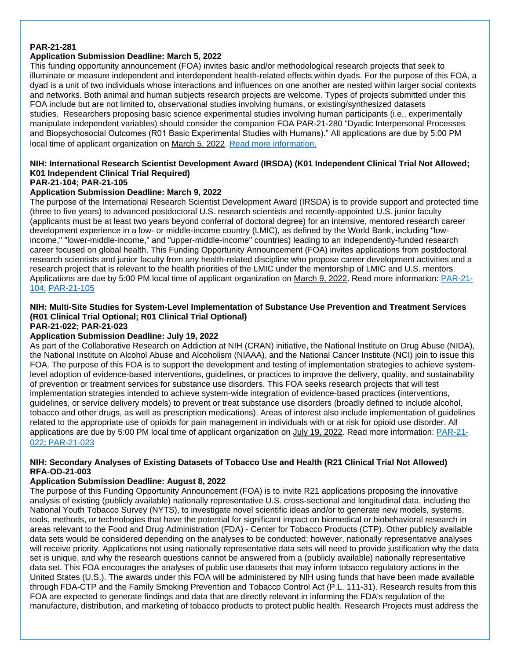### **PAR-21-281**

### **Application Submission Deadline: March 5, 2022**

This funding opportunity announcement (FOA) invites basic and/or methodological research projects that seek to illuminate or measure independent and interdependent health-related effects within dyads. For the purpose of this FOA, a dyad is a unit of two individuals whose interactions and influences on one another are nested within larger social contexts and networks. Both animal and human subjects research projects are welcome. Types of projects submitted under this FOA include but are not limited to, observational studies involving humans, or existing/synthesized datasets studies. Researchers proposing basic science experimental studies involving human participants (i.e., experimentally manipulate independent variables) should consider the companion FOA PAR-21-280 "Dyadic Interpersonal Processes and Biopsychosocial Outcomes (R01 Basic Experimental Studies with Humans)." All applications are due by 5:00 PM local time of applicant organization on March 5, 2022. [Read more information.](https://grants.nih.gov/grants/guide/pa-files/PAR-21-281.html)

### **NIH: International Research Scientist Development Award (IRSDA) (K01 Independent Clinical Trial Not Allowed; K01 Independent Clinical Trial Required)**

### **PAR-21-104; PAR-21-105**

### **Application Submission Deadline: March 9, 2022**

The purpose of the International Research Scientist Development Award (IRSDA) is to provide support and protected time (three to five years) to advanced postdoctoral U.S. research scientists and recently-appointed U.S. junior faculty (applicants must be at least two years beyond conferral of doctoral degree) for an intensive, mentored research career development experience in a low- or middle-income country (LMIC), as defined by the World Bank, including "lowincome," "lower-middle-income," and "upper-middle-income" countries) leading to an independently-funded research career focused on global health. This Funding Opportunity Announcement (FOA) invites applications from postdoctoral research scientists and junior faculty from any health-related discipline who propose career development activities and a research project that is relevant to the health priorities of the LMIC under the mentorship of LMIC and U.S. mentors. Applications are due by 5:00 PM local time of applicant organization on March 9, 2022. Read more information: [PAR-21-](https://grants.nih.gov/grants/guide/pa-files/PAR-21-104.html#_Section_I._Funding) [104;](https://grants.nih.gov/grants/guide/pa-files/PAR-21-104.html#_Section_I._Funding) [PAR-21-105](https://grants.nih.gov/grants/guide/pa-files/PAR-21-105.html)

### **NIH: Multi-Site Studies for System-Level Implementation of Substance Use Prevention and Treatment Services (R01 Clinical Trial Optional; R01 Clinical Trial Optional)**

### **PAR-21-022; PAR-21-023**

### **Application Submission Deadline: July 19, 2022**

As part of the Collaborative Research on Addiction at NIH (CRAN) initiative, the National Institute on Drug Abuse (NIDA), the National Institute on Alcohol Abuse and Alcoholism (NIAAA), and the National Cancer Institute (NCI) join to issue this FOA. The purpose of this FOA is to support the development and testing of implementation strategies to achieve systemlevel adoption of evidence-based interventions, guidelines, or practices to improve the delivery, quality, and sustainability of prevention or treatment services for substance use disorders. This FOA seeks research projects that will test implementation strategies intended to achieve system-wide integration of evidence-based practices (interventions, guidelines, or service delivery models) to prevent or treat substance use disorders (broadly defined to include alcohol, tobacco and other drugs, as well as prescription medications). Areas of interest also include implementation of guidelines related to the appropriate use of opioids for pain management in individuals with or at risk for opioid use disorder. All applications are due by 5:00 PM local time of applicant organization on July 19, 2022. Read more information: [PAR-21-](https://grants.nih.gov/grants/guide/pa-files/PAR-21-022.html) [022](https://grants.nih.gov/grants/guide/pa-files/PAR-21-022.html); [PAR-21-023](https://grants.nih.gov/grants/guide/pa-files/PAR-21-023.html)

#### **NIH: Secondary Analyses of Existing Datasets of Tobacco Use and Health (R21 Clinical Trial Not Allowed) RFA-OD-21-003**

#### **Application Submission Deadline: August 8, 2022**

The purpose of this Funding Opportunity Announcement (FOA) is to invite R21 applications proposing the innovative analysis of existing (publicly available) nationally representative U.S. cross-sectional and longitudinal data, including the National Youth Tobacco Survey (NYTS), to investigate novel scientific ideas and/or to generate new models, systems, tools, methods, or technologies that have the potential for significant impact on biomedical or biobehavioral research in areas relevant to the Food and Drug Administration (FDA) - Center for Tobacco Products (CTP). Other publicly available data sets would be considered depending on the analyses to be conducted; however, nationally representative analyses will receive priority. Applications not using nationally representative data sets will need to provide justification why the data set is unique, and why the research questions cannot be answered from a (publicly available) nationally representative data set. This FOA encourages the analyses of public use datasets that may inform tobacco regulatory actions in the United States (U.S.). The awards under this FOA will be administered by NIH using funds that have been made available through FDA-CTP and the Family Smoking Prevention and Tobacco Control Act (P.L. 111-31). Research results from this FOA are expected to generate findings and data that are directly relevant in informing the FDA's regulation of the manufacture, distribution, and marketing of tobacco products to protect public health. Research Projects must address the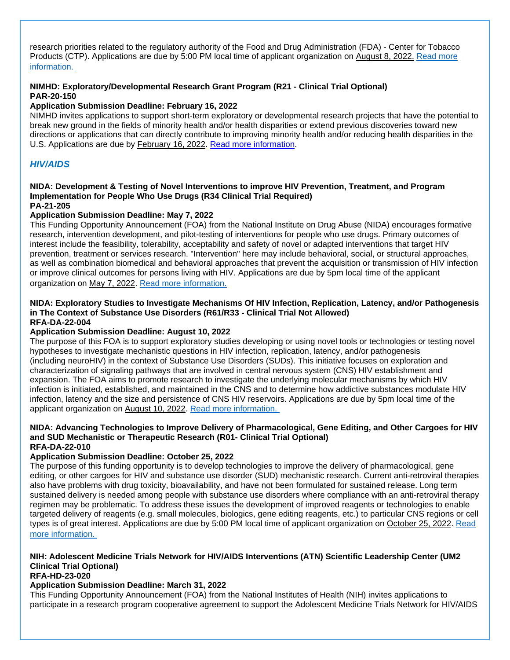research priorities related to the regulatory authority of the Food and Drug Administration (FDA) - Center for Tobacco Products (CTP). Applications are due by 5:00 PM local time of applicant organization on August 8, 2022. [Read more](https://grants.nih.gov/grants/guide/rfa-files/RFA-OD-21-003.html)  [information.](https://grants.nih.gov/grants/guide/rfa-files/RFA-OD-21-003.html)

### **NIMHD: Exploratory/Developmental Research Grant Program (R21 - Clinical Trial Optional) PAR-20-150**

#### **Application Submission Deadline: February 16, 2022**

NIMHD invites applications to support short-term exploratory or developmental research projects that have the potential to break new ground in the fields of minority health and/or health disparities or extend previous discoveries toward new directions or applications that can directly contribute to improving minority health and/or reducing health disparities in the U.S. Applications are due by February 16, 2022. [Read more information.](https://grants.nih.gov/grants/guide/pa-files/PAR-20-150.html)

### <span id="page-39-0"></span>*HIV/AIDS*

#### **NIDA: Development & Testing of Novel Interventions to improve HIV Prevention, Treatment, and Program Implementation for People Who Use Drugs (R34 Clinical Trial Required) PA-21-205**

#### **Application Submission Deadline: May 7, 2022**

This Funding Opportunity Announcement (FOA) from the National Institute on Drug Abuse (NIDA) encourages formative research, intervention development, and pilot-testing of interventions for people who use drugs. Primary outcomes of interest include the feasibility, tolerability, acceptability and safety of novel or adapted interventions that target HIV prevention, treatment or services research. "Intervention" here may include behavioral, social, or structural approaches, as well as combination biomedical and behavioral approaches that prevent the acquisition or transmission of HIV infection or improve clinical outcomes for persons living with HIV. Applications are due by 5pm local time of the applicant organization on May 7, 2022. [Read more information.](https://grants.nih.gov/grants/guide/pa-files/PA-21-205.html)

#### **NIDA: Exploratory Studies to Investigate Mechanisms Of HIV Infection, Replication, Latency, and/or Pathogenesis in The Context of Substance Use Disorders (R61/R33 - Clinical Trial Not Allowed) RFA-DA-22-004**

#### **Application Submission Deadline: August 10, 2022**

The purpose of this FOA is to support exploratory studies developing or using novel tools or technologies or testing novel hypotheses to investigate mechanistic questions in HIV infection, replication, latency, and/or pathogenesis (including neuroHIV) in the context of Substance Use Disorders (SUDs). This initiative focuses on exploration and characterization of signaling pathways that are involved in central nervous system (CNS) HIV establishment and expansion. The FOA aims to promote research to investigate the underlying molecular mechanisms by which HIV infection is initiated, established, and maintained in the CNS and to determine how addictive substances modulate HIV infection, latency and the size and persistence of CNS HIV reservoirs. Applications are due by 5pm local time of the applicant organization on August 10, 2022. [Read more information.](https://grants.nih.gov/grants/guide/rfa-files/RFA-DA-22-004.html)

#### **NIDA: Advancing Technologies to Improve Delivery of Pharmacological, Gene Editing, and Other Cargoes for HIV and SUD Mechanistic or Therapeutic Research (R01- Clinical Trial Optional) RFA-DA-22-010**

#### **Application Submission Deadline: October 25, 2022**

The purpose of this funding opportunity is to develop technologies to improve the delivery of pharmacological, gene editing, or other cargoes for HIV and substance use disorder (SUD) mechanistic research. Current anti-retroviral therapies also have problems with drug toxicity, bioavailability, and have not been formulated for sustained release. Long term sustained delivery is needed among people with substance use disorders where compliance with an anti-retroviral therapy regimen may be problematic. To address these issues the development of improved reagents or technologies to enable targeted delivery of reagents (e.g. small molecules, biologics, gene editing reagents, etc.) to particular CNS regions or cell types is of great interest. Applications are due by 5:00 PM local time of applicant organization on October 25, 2022. [Read](https://grants.nih.gov/grants/guide/rfa-files/RFA-DA-22-010.html)  [more information.](https://grants.nih.gov/grants/guide/rfa-files/RFA-DA-22-010.html)

### **NIH: Adolescent Medicine Trials Network for HIV/AIDS Interventions (ATN) Scientific Leadership Center (UM2 Clinical Trial Optional)**

#### **RFA-HD-23-020**

#### **Application Submission Deadline: March 31, 2022**

This Funding Opportunity Announcement (FOA) from the National Institutes of Health (NIH) invites applications to participate in a research program cooperative agreement to support the Adolescent Medicine Trials Network for HIV/AIDS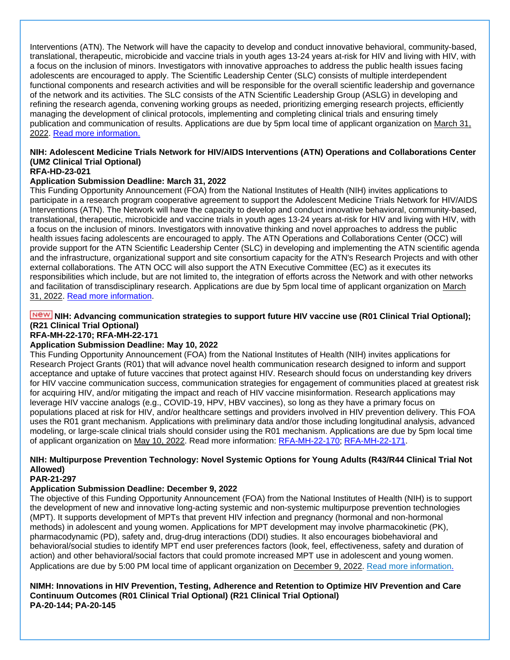Interventions (ATN). The Network will have the capacity to develop and conduct innovative behavioral, community-based, translational, therapeutic, microbicide and vaccine trials in youth ages 13-24 years at-risk for HIV and living with HIV, with a focus on the inclusion of minors. Investigators with innovative approaches to address the public health issues facing adolescents are encouraged to apply. The Scientific Leadership Center (SLC) consists of multiple interdependent functional components and research activities and will be responsible for the overall scientific leadership and governance of the network and its activities. The SLC consists of the ATN Scientific Leadership Group (ASLG) in developing and refining the research agenda, convening working groups as needed, prioritizing emerging research projects, efficiently managing the development of clinical protocols, implementing and completing clinical trials and ensuring timely publication and communication of results. Applications are due by 5pm local time of applicant organization on March 31, 2022. [Read more information.](https://grants.nih.gov/grants/guide/rfa-files/RFA-HD-23-020.html)

### **NIH: Adolescent Medicine Trials Network for HIV/AIDS Interventions (ATN) Operations and Collaborations Center (UM2 Clinical Trial Optional)**

### **RFA-HD-23-021**

### **Application Submission Deadline: March 31, 2022**

This Funding Opportunity Announcement (FOA) from the National Institutes of Health (NIH) invites applications to participate in a research program cooperative agreement to support the Adolescent Medicine Trials Network for HIV/AIDS Interventions (ATN). The Network will have the capacity to develop and conduct innovative behavioral, community-based, translational, therapeutic, microbicide and vaccine trials in youth ages 13-24 years at-risk for HIV and living with HIV, with a focus on the inclusion of minors. Investigators with innovative thinking and novel approaches to address the public health issues facing adolescents are encouraged to apply. The ATN Operations and Collaborations Center (OCC) will provide support for the ATN Scientific Leadership Center (SLC) in developing and implementing the ATN scientific agenda and the infrastructure, organizational support and site consortium capacity for the ATN's Research Projects and with other external collaborations. The ATN OCC will also support the ATN Executive Committee (EC) as it executes its responsibilities which include, but are not limited to, the integration of efforts across the Network and with other networks and facilitation of transdisciplinary research. Applications are due by 5pm local time of applicant organization on March 31, 2022. [Read more information.](https://grants.nih.gov/grants/guide/rfa-files/RFA-HD-23-021.html)

### **NIGM:** NIH: Advancing communication strategies to support future HIV vaccine use (R01 Clinical Trial Optional); **(R21 Clinical Trial Optional)**

### **RFA-MH-22-170; RFA-MH-22-171**

### **Application Submission Deadline: May 10, 2022**

This Funding Opportunity Announcement (FOA) from the National Institutes of Health (NIH) invites applications for Research Project Grants (R01) that will advance novel health communication research designed to inform and support acceptance and uptake of future vaccines that protect against HIV. Research should focus on understanding key drivers for HIV vaccine communication success, communication strategies for engagement of communities placed at greatest risk for acquiring HIV, and/or mitigating the impact and reach of HIV vaccine misinformation. Research applications may leverage HIV vaccine analogs (e.g., COVID-19, HPV, HBV vaccines), so long as they have a primary focus on populations placed at risk for HIV, and/or healthcare settings and providers involved in HIV prevention delivery. This FOA uses the R01 grant mechanism. Applications with preliminary data and/or those including longitudinal analysis, advanced modeling, or large-scale clinical trials should consider using the R01 mechanism. Applications are due by 5pm local time of applicant organization on May 10, 2022. Read more information: [RFA-MH-22-170;](https://grants.nih.gov/grants/guide/rfa-files/RFA-MH-22-170.html) [RFA-MH-22-171.](https://grants.nih.gov/grants/guide/rfa-files/RFA-MH-22-171.html)

### **NIH: Multipurpose Prevention Technology: Novel Systemic Options for Young Adults (R43/R44 Clinical Trial Not Allowed)**

### **PAR-21-297**

### **Application Submission Deadline: December 9, 2022**

The objective of this Funding Opportunity Announcement (FOA) from the National Institutes of Health (NIH) is to support the development of new and innovative long-acting systemic and non-systemic multipurpose prevention technologies (MPT). It supports development of MPTs that prevent HIV infection and pregnancy (hormonal and non-hormonal methods) in adolescent and young women. Applications for MPT development may involve pharmacokinetic (PK), pharmacodynamic (PD), safety and, drug-drug interactions (DDI) studies. It also encourages biobehavioral and behavioral/social studies to identify MPT end user preferences factors (look, feel, effectiveness, safety and duration of action) and other behavioral/social factors that could promote increased MPT use in adolescent and young women. Applications are due by 5:00 PM local time of applicant organization on December 9, 2022. [Read more information.](https://grants.nih.gov/grants/guide/pa-files/PAR-21-297.html)

**NIMH: Innovations in HIV Prevention, Testing, Adherence and Retention to Optimize HIV Prevention and Care Continuum Outcomes (R01 Clinical Trial Optional) (R21 Clinical Trial Optional) PA-20-144; PA-20-145**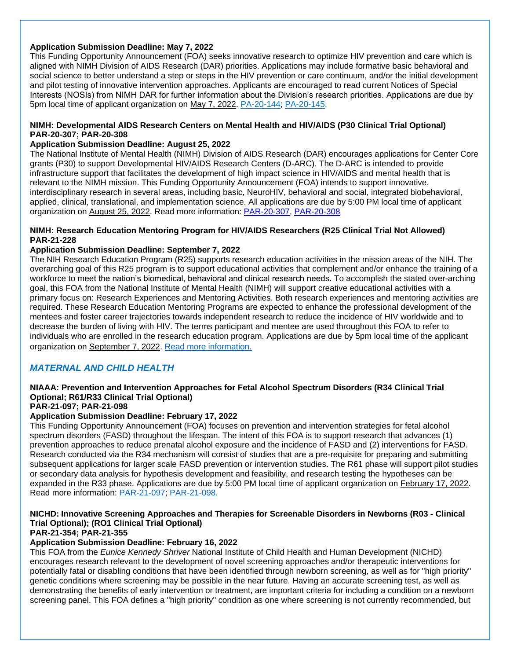### **Application Submission Deadline: May 7, 2022**

This Funding Opportunity Announcement (FOA) seeks innovative research to optimize HIV prevention and care which is aligned with NIMH Division of AIDS Research (DAR) priorities. Applications may include formative basic behavioral and social science to better understand a step or steps in the HIV prevention or care continuum, and/or the initial development and pilot testing of innovative intervention approaches. Applicants are encouraged to read current Notices of Special Interests (NOSIs) from NIMH DAR for further information about the Division's research priorities. Applications are due by 5pm local time of applicant organization on May 7, 2022. [PA-20-144;](https://grants.nih.gov/grants/guide/pa-files/PA-20-144.html) [PA-20-145.](https://grants.nih.gov/grants/guide/pa-files/PA-20-145.html)

#### **NIMH: Developmental AIDS Research Centers on Mental Health and HIV/AIDS (P30 Clinical Trial Optional) PAR-20-307; PAR-20-308**

#### **Application Submission Deadline: August 25, 2022**

The National Institute of Mental Health (NIMH) Division of AIDS Research (DAR) encourages applications for Center Core grants (P30) to support Developmental HIV/AIDS Research Centers (D-ARC). The D-ARC is intended to provide infrastructure support that facilitates the development of high impact science in HIV/AIDS and mental health that is relevant to the NIMH mission. This Funding Opportunity Announcement (FOA) intends to support innovative, interdisciplinary research in several areas, including basic, NeuroHIV, behavioral and social, integrated biobehavioral, applied, clinical, translational, and implementation science. All applications are due by 5:00 PM local time of applicant organization on August 25, 2022. Read more information: [PAR-20-307,](https://grants.nih.gov/grants/guide/pa-files/PAR-20-307.html) [PAR-20-308](https://grants.nih.gov/grants/guide/pa-files/PAR-20-308.html)

#### **NIMH: Research Education Mentoring Program for HIV/AIDS Researchers (R25 Clinical Trial Not Allowed) PAR-21-228**

#### **Application Submission Deadline: September 7, 2022**

The NIH Research Education Program (R25) supports research education activities in the mission areas of the NIH. The overarching goal of this R25 program is to support educational activities that complement and/or enhance the training of a workforce to meet the nation's biomedical, behavioral and clinical research needs. To accomplish the stated over-arching goal, this FOA from the National Institute of Mental Health (NIMH) will support creative educational activities with a primary focus on: Research Experiences and Mentoring Activities. Both research experiences and mentoring activities are required. These Research Education Mentoring Programs are expected to enhance the professional development of the mentees and foster career trajectories towards independent research to reduce the incidence of HIV worldwide and to decrease the burden of living with HIV. The terms participant and mentee are used throughout this FOA to refer to individuals who are enrolled in the research education program. Applications are due by 5pm local time of the applicant organization on September 7, 2022. [Read more information.](https://grants.nih.gov/grants/guide/pa-files/PAR-21-228.html)

### <span id="page-41-0"></span>*MATERNAL AND CHILD HEALTH*

### **NIAAA: Prevention and Intervention Approaches for Fetal Alcohol Spectrum Disorders (R34 Clinical Trial Optional; R61/R33 Clinical Trial Optional)**

### **PAR-21-097; PAR-21-098**

#### **Application Submission Deadline: February 17, 2022**

This Funding Opportunity Announcement (FOA) focuses on prevention and intervention strategies for fetal alcohol spectrum disorders (FASD) throughout the lifespan. The intent of this FOA is to support research that advances (1) prevention approaches to reduce prenatal alcohol exposure and the incidence of FASD and (2) interventions for FASD. Research conducted via the R34 mechanism will consist of studies that are a pre-requisite for preparing and submitting subsequent applications for larger scale FASD prevention or intervention studies. The R61 phase will support pilot studies or secondary data analysis for hypothesis development and feasibility, and research testing the hypotheses can be expanded in the R33 phase. Applications are due by 5:00 PM local time of applicant organization on February 17, 2022. Read more information: [PAR-21-097;](https://grants.nih.gov/grants/guide/pa-files/PAR-21-097.html) [PAR-21-098.](https://grants.nih.gov/grants/guide/pa-files/PAR-21-098.html)

### **NICHD: Innovative Screening Approaches and Therapies for Screenable Disorders in Newborns (R03 - Clinical Trial Optional); (RO1 Clinical Trial Optional)**

### **PAR-21-354; PAR-21-355**

#### **Application Submission Deadline: February 16, 2022**

This FOA from the *Eunice Kennedy Shriver* National Institute of Child Health and Human Development (NICHD) encourages research relevant to the development of novel screening approaches and/or therapeutic interventions for potentially fatal or disabling conditions that have been identified through newborn screening, as well as for "high priority" genetic conditions where screening may be possible in the near future. Having an accurate screening test, as well as demonstrating the benefits of early intervention or treatment, are important criteria for including a condition on a newborn screening panel. This FOA defines a "high priority" condition as one where screening is not currently recommended, but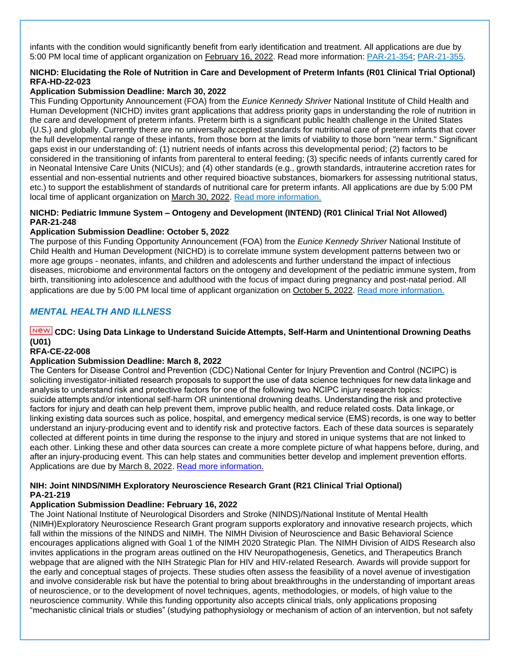infants with the condition would significantly benefit from early identification and treatment. All applications are due by 5:00 PM local time of applicant organization on February 16, 2022. Read more information: [PAR-21-354;](https://grants.nih.gov/grants/guide/pa-files/PAR-21-354.html) [PAR-21-355.](https://grants.nih.gov/grants/guide/pa-files/PAR-21-355.html)

### **NICHD: Elucidating the Role of Nutrition in Care and Development of Preterm Infants (R01 Clinical Trial Optional) RFA-HD-22-023**

### **Application Submission Deadline: March 30, 2022**

This Funding Opportunity Announcement (FOA) from the *Eunice Kennedy Shriver* National Institute of Child Health and Human Development (NICHD) invites grant applications that address priority gaps in understanding the role of nutrition in the care and development of preterm infants. Preterm birth is a significant public health challenge in the United States (U.S.) and globally. Currently there are no universally accepted standards for nutritional care of preterm infants that cover the full developmental range of these infants, from those born at the limits of viability to those born "near term." Significant gaps exist in our understanding of: (1) nutrient needs of infants across this developmental period; (2) factors to be considered in the transitioning of infants from parenteral to enteral feeding; (3) specific needs of infants currently cared for in Neonatal Intensive Care Units (NICUs); and (4) other standards (e.g., growth standards, intrauterine accretion rates for essential and non-essential nutrients and other required bioactive substances, biomarkers for assessing nutritional status, etc.) to support the establishment of standards of nutritional care for preterm infants. All applications are due by 5:00 PM local time of applicant organization on March 30, 2022. [Read more information.](https://grants.nih.gov/grants/guide/rfa-files/RFA-HD-22-023.html)

### **NICHD: Pediatric Immune System – Ontogeny and Development (INTEND) (R01 Clinical Trial Not Allowed) PAR-21-248**

#### **Application Submission Deadline: October 5, 2022**

The purpose of this Funding Opportunity Announcement (FOA) from the *Eunice Kennedy Shriver* National Institute of Child Health and Human Development (NICHD) is to correlate immune system development patterns between two or more age groups - neonates, infants, and children and adolescents and further understand the impact of infectious diseases, microbiome and environmental factors on the ontogeny and development of the pediatric immune system, from birth, transitioning into adolescence and adulthood with the focus of impact during pregnancy and post-natal period. All applications are due by 5:00 PM local time of applicant organization on October 5, 2022. [Read more information.](https://grants.nih.gov/grants/guide/pa-files/PAR-21-248.html)

### <span id="page-42-0"></span>*MENTAL HEALTH AND ILLNESS*

### **CDC: Using Data Linkage to Understand Suicide Attempts, Self-Harm and Unintentional Drowning Deaths (U01)**

#### **RFA-CE-22-008**

### **Application Submission Deadline: March 8, 2022**

The Centers for Disease Control and Prevention (CDC) National Center for Injury Prevention and Control (NCIPC) is soliciting investigator-initiated research proposals to support the use of data science techniques for new data linkage and analysis to understand risk and protective factors for one of the following two NCIPC injury research topics: suicide attempts and/or intentional self-harm OR unintentional drowning deaths. Understanding the risk and protective factors for injury and death can help prevent them, improve public health, and reduce related costs. Data linkage, or linking existing data sources such as police, hospital, and emergency medical service (EMS) records, is one way to better understand an injury-producing event and to identify risk and protective factors. Each of these data sources is separately collected at different points in time during the response to the injury and stored in unique systems that are not linked to each other. Linking these and other data sources can create a more complete picture of what happens before, during, and after an injury-producing event. This can help states and communities better develop and implement prevention efforts. Applications are due by March 8, 2022. [Read more information.](https://www.grants.gov/web/grants/view-opportunity.html?oppId=336310)

#### **NIH: Joint NINDS/NIMH Exploratory Neuroscience Research Grant (R21 Clinical Trial Optional) PA-21-219**

#### **Application Submission Deadline: February 16, 2022**

The Joint National Institute of Neurological Disorders and Stroke (NINDS)/National Institute of Mental Health (NIMH)Exploratory Neuroscience Research Grant program supports exploratory and innovative research projects, which fall within the missions of the NINDS and NIMH. The NIMH Division of Neuroscience and Basic Behavioral Science encourages applications aligned with Goal 1 of the NIMH 2020 Strategic Plan. The NIMH Division of AIDS Research also invites applications in the program areas outlined on the HIV Neuropathogenesis, Genetics, and Therapeutics Branch webpage that are aligned with the NIH Strategic Plan for HIV and HIV-related Research. Awards will provide support for the early and conceptual stages of projects. These studies often assess the feasibility of a novel avenue of investigation and involve considerable risk but have the potential to bring about breakthroughs in the understanding of important areas of neuroscience, or to the development of novel techniques, agents, methodologies, or models, of high value to the neuroscience community. While this funding opportunity also accepts clinical trials, only applications proposing "mechanistic clinical trials or studies" (studying pathophysiology or mechanism of action of an intervention, but not safety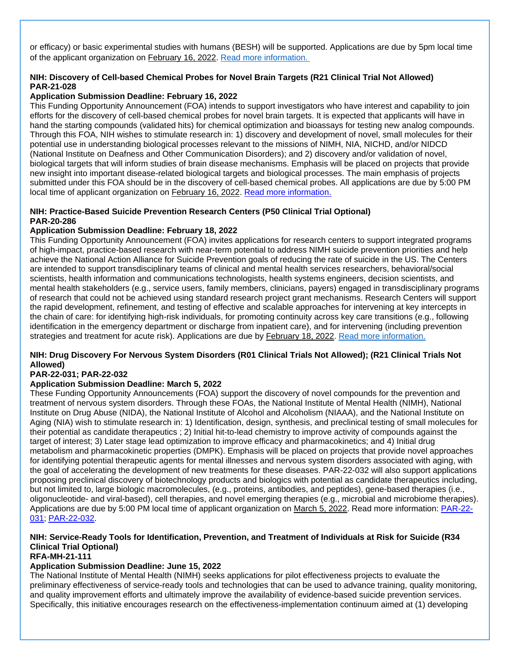or efficacy) or basic experimental studies with humans (BESH) will be supported. Applications are due by 5pm local time of the applicant organization on February 16, 2022. [Read more information.](https://grants.nih.gov/grants/guide/pa-files/PA-21-219.html)

### **NIH: Discovery of Cell-based Chemical Probes for Novel Brain Targets (R21 Clinical Trial Not Allowed) PAR-21-028**

### **Application Submission Deadline: February 16, 2022**

This Funding Opportunity Announcement (FOA) intends to support investigators who have interest and capability to join efforts for the discovery of cell-based chemical probes for novel brain targets. It is expected that applicants will have in hand the starting compounds (validated hits) for chemical optimization and bioassays for testing new analog compounds. Through this FOA, NIH wishes to stimulate research in: 1) discovery and development of novel, small molecules for their potential use in understanding biological processes relevant to the missions of NIMH, NIA, NICHD, and/or NIDCD (National Institute on Deafness and Other Communication Disorders); and 2) discovery and/or validation of novel, biological targets that will inform studies of brain disease mechanisms. Emphasis will be placed on projects that provide new insight into important disease-related biological targets and biological processes. The main emphasis of projects submitted under this FOA should be in the discovery of cell-based chemical probes. All applications are due by 5:00 PM local time of applicant organization on February 16, 2022. [Read more information.](https://grants.nih.gov/grants/guide/pa-files/PAR-21-028.html)

#### **NIH: Practice-Based Suicide Prevention Research Centers (P50 Clinical Trial Optional) PAR-20-286**

#### **Application Submission Deadline: February 18, 2022**

This Funding Opportunity Announcement (FOA) invites applications for research centers to support integrated programs of high-impact, practice-based research with near-term potential to address NIMH suicide prevention priorities and help achieve the National Action Alliance for Suicide Prevention goals of reducing the rate of suicide in the US. The Centers are intended to support transdisciplinary teams of clinical and mental health services researchers, behavioral/social scientists, health information and communications technologists, health systems engineers, decision scientists, and mental health stakeholders (e.g., service users, family members, clinicians, payers) engaged in transdisciplinary programs of research that could not be achieved using standard research project grant mechanisms. Research Centers will support the rapid development, refinement, and testing of effective and scalable approaches for intervening at key intercepts in the chain of care: for identifying high-risk individuals, for promoting continuity across key care transitions (e.g., following identification in the emergency department or discharge from inpatient care), and for intervening (including prevention strategies and treatment for acute risk). Applications are due by February 18, 2022. [Read more information.](https://grants.nih.gov/grants/guide/pa-files/PAR-20-286.html)

### **NIH: Drug Discovery For Nervous System Disorders (R01 Clinical Trials Not Allowed); (R21 Clinical Trials Not Allowed)**

#### **PAR-22-031; PAR-22-032**

#### **Application Submission Deadline: March 5, 2022**

These Funding Opportunity Announcements (FOA) support the discovery of novel compounds for the prevention and treatment of nervous system disorders. Through these FOAs, the National Institute of Mental Health (NIMH), National Institute on Drug Abuse (NIDA), the National Institute of Alcohol and Alcoholism (NIAAA), and the National Institute on Aging (NIA) wish to stimulate research in: 1) Identification, design, synthesis, and preclinical testing of small molecules for their potential as candidate therapeutics ; 2) Initial hit-to-lead chemistry to improve activity of compounds against the target of interest; 3) Later stage lead optimization to improve efficacy and pharmacokinetics; and 4) Initial drug metabolism and pharmacokinetic properties (DMPK). Emphasis will be placed on projects that provide novel approaches for identifying potential therapeutic agents for mental illnesses and nervous system disorders associated with aging, with the goal of accelerating the development of new treatments for these diseases. PAR-22-032 will also support applications proposing preclinical discovery of biotechnology products and biologics with potential as candidate therapeutics including, but not limited to, large biologic macromolecules, (e.g., proteins, antibodies, and peptides), gene-based therapies (i.e., oligonucleotide- and viral-based), cell therapies, and novel emerging therapies (e.g., microbial and microbiome therapies). Applications are due by 5:00 PM local time of applicant organization on March 5, 2022. Read more information: [PAR-22-](https://grants.nih.gov/grants/guide/pa-files/PAR-22-031.html) [031;](https://grants.nih.gov/grants/guide/pa-files/PAR-22-031.html) [PAR-22-032.](https://grants.nih.gov/grants/guide/pa-files/PAR-22-032.html)

#### **NIH: Service-Ready Tools for Identification, Prevention, and Treatment of Individuals at Risk for Suicide (R34 Clinical Trial Optional) RFA-MH-21-111**

### **Application Submission Deadline: June 15, 2022**

The National Institute of Mental Health (NIMH) seeks applications for pilot effectiveness projects to evaluate the preliminary effectiveness of service-ready tools and technologies that can be used to advance training, quality monitoring, and quality improvement efforts and ultimately improve the availability of evidence-based suicide prevention services. Specifically, this initiative encourages research on the effectiveness-implementation continuum aimed at (1) developing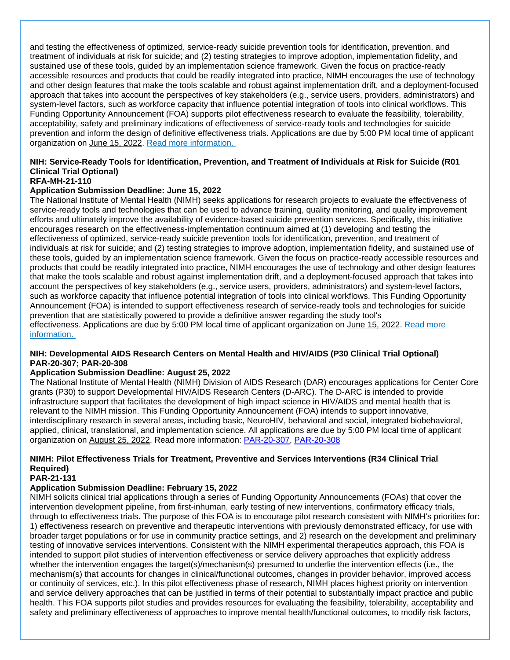and testing the effectiveness of optimized, service-ready suicide prevention tools for identification, prevention, and treatment of individuals at risk for suicide; and (2) testing strategies to improve adoption, implementation fidelity, and sustained use of these tools, guided by an implementation science framework. Given the focus on practice-ready accessible resources and products that could be readily integrated into practice, NIMH encourages the use of technology and other design features that make the tools scalable and robust against implementation drift, and a deployment-focused approach that takes into account the perspectives of key stakeholders (e.g., service users, providers, administrators) and system-level factors, such as workforce capacity that influence potential integration of tools into clinical workflows. This Funding Opportunity Announcement (FOA) supports pilot effectiveness research to evaluate the feasibility, tolerability, acceptability, safety and preliminary indications of effectiveness of service-ready tools and technologies for suicide prevention and inform the design of definitive effectiveness trials. Applications are due by 5:00 PM local time of applicant organization on June 15, 2022. [Read more information.](https://grants.nih.gov/grants/guide/rfa-files/RFA-MH-21-111.html)

### **NIH: Service-Ready Tools for Identification, Prevention, and Treatment of Individuals at Risk for Suicide (R01 Clinical Trial Optional)**

### **RFA-MH-21-110**

### **Application Submission Deadline: June 15, 2022**

The National Institute of Mental Health (NIMH) seeks applications for research projects to evaluate the effectiveness of service-ready tools and technologies that can be used to advance training, quality monitoring, and quality improvement efforts and ultimately improve the availability of evidence-based suicide prevention services. Specifically, this initiative encourages research on the effectiveness-implementation continuum aimed at (1) developing and testing the effectiveness of optimized, service-ready suicide prevention tools for identification, prevention, and treatment of individuals at risk for suicide; and (2) testing strategies to improve adoption, implementation fidelity, and sustained use of these tools, guided by an implementation science framework. Given the focus on practice-ready accessible resources and products that could be readily integrated into practice, NIMH encourages the use of technology and other design features that make the tools scalable and robust against implementation drift, and a deployment-focused approach that takes into account the perspectives of key stakeholders (e.g., service users, providers, administrators) and system-level factors, such as workforce capacity that influence potential integration of tools into clinical workflows. This Funding Opportunity Announcement (FOA) is intended to support effectiveness research of service-ready tools and technologies for suicide prevention that are statistically powered to provide a definitive answer regarding the study tool's effectiveness. Applications are due by 5:00 PM local time of applicant organization on June 15, 2022. [Read more](https://grants.nih.gov/grants/guide/rfa-files/RFA-MH-21-110.html)  [information.](https://grants.nih.gov/grants/guide/rfa-files/RFA-MH-21-110.html)

### **NIH: Developmental AIDS Research Centers on Mental Health and HIV/AIDS (P30 Clinical Trial Optional) PAR-20-307; PAR-20-308**

### **Application Submission Deadline: August 25, 2022**

The National Institute of Mental Health (NIMH) Division of AIDS Research (DAR) encourages applications for Center Core grants (P30) to support Developmental HIV/AIDS Research Centers (D-ARC). The D-ARC is intended to provide infrastructure support that facilitates the development of high impact science in HIV/AIDS and mental health that is relevant to the NIMH mission. This Funding Opportunity Announcement (FOA) intends to support innovative, interdisciplinary research in several areas, including basic, NeuroHIV, behavioral and social, integrated biobehavioral, applied, clinical, translational, and implementation science. All applications are due by 5:00 PM local time of applicant organization on August 25, 2022. Read more information: [PAR-20-307,](https://grants.nih.gov/grants/guide/pa-files/PAR-20-307.html) [PAR-20-308](https://grants.nih.gov/grants/guide/pa-files/PAR-20-308.html)

### **NIMH: Pilot Effectiveness Trials for Treatment, Preventive and Services Interventions (R34 Clinical Trial Required)**

### **PAR-21-131**

### **Application Submission Deadline: February 15, 2022**

NIMH solicits clinical trial applications through a series of Funding Opportunity Announcements (FOAs) that cover the intervention development pipeline, from first-inhuman, early testing of new interventions, confirmatory efficacy trials, through to effectiveness trials. The purpose of this FOA is to encourage pilot research consistent with NIMH's priorities for: 1) effectiveness research on preventive and therapeutic interventions with previously demonstrated efficacy, for use with broader target populations or for use in community practice settings, and 2) research on the development and preliminary testing of innovative services interventions. Consistent with the NIMH experimental therapeutics approach, this FOA is intended to support pilot studies of intervention effectiveness or service delivery approaches that explicitly address whether the intervention engages the target(s)/mechanism(s) presumed to underlie the intervention effects (i.e., the mechanism(s) that accounts for changes in clinical/functional outcomes, changes in provider behavior, improved access or continuity of services, etc.). In this pilot effectiveness phase of research, NIMH places highest priority on intervention and service delivery approaches that can be justified in terms of their potential to substantially impact practice and public health. This FOA supports pilot studies and provides resources for evaluating the feasibility, tolerability, acceptability and safety and preliminary effectiveness of approaches to improve mental health/functional outcomes, to modify risk factors,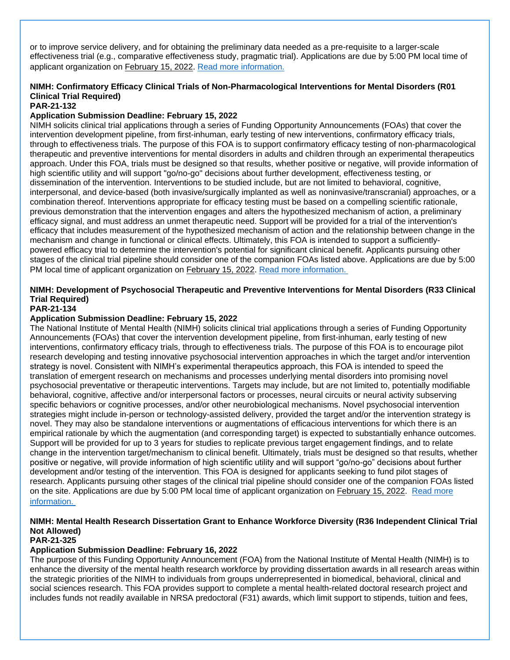or to improve service delivery, and for obtaining the preliminary data needed as a pre-requisite to a larger-scale effectiveness trial (e.g., comparative effectiveness study, pragmatic trial). Applications are due by 5:00 PM local time of applicant organization on February 15, 2022. [Read more information.](https://grants.nih.gov/grants/guide/pa-files/PAR-21-131.html)

### **NIMH: Confirmatory Efficacy Clinical Trials of Non-Pharmacological Interventions for Mental Disorders (R01 Clinical Trial Required)**

### **PAR-21-132**

### **Application Submission Deadline: February 15, 2022**

NIMH solicits clinical trial applications through a series of Funding Opportunity Announcements (FOAs) that cover the intervention development pipeline, from first-inhuman, early testing of new interventions, confirmatory efficacy trials, through to effectiveness trials. The purpose of this FOA is to support confirmatory efficacy testing of non-pharmacological therapeutic and preventive interventions for mental disorders in adults and children through an experimental therapeutics approach. Under this FOA, trials must be designed so that results, whether positive or negative, will provide information of high scientific utility and will support "go/no-go" decisions about further development, effectiveness testing, or dissemination of the intervention. Interventions to be studied include, but are not limited to behavioral, cognitive, interpersonal, and device-based (both invasive/surgically implanted as well as noninvasive/transcranial) approaches, or a combination thereof. Interventions appropriate for efficacy testing must be based on a compelling scientific rationale, previous demonstration that the intervention engages and alters the hypothesized mechanism of action, a preliminary efficacy signal, and must address an unmet therapeutic need. Support will be provided for a trial of the intervention's efficacy that includes measurement of the hypothesized mechanism of action and the relationship between change in the mechanism and change in functional or clinical effects. Ultimately, this FOA is intended to support a sufficientlypowered efficacy trial to determine the intervention's potential for significant clinical benefit. Applicants pursuing other stages of the clinical trial pipeline should consider one of the companion FOAs listed above. Applications are due by 5:00 PM local time of applicant organization on February 15, 2022. [Read more information.](https://grants.nih.gov/grants/guide/pa-files/PAR-21-132.html)

### **NIMH: Development of Psychosocial Therapeutic and Preventive Interventions for Mental Disorders (R33 Clinical Trial Required)**

#### **PAR-21-134**

#### **Application Submission Deadline: February 15, 2022**

The National Institute of Mental Health (NIMH) solicits clinical trial applications through a series of Funding Opportunity Announcements (FOAs) that cover the intervention development pipeline, from first-inhuman, early testing of new interventions, confirmatory efficacy trials, through to effectiveness trials. The purpose of this FOA is to encourage pilot research developing and testing innovative psychosocial intervention approaches in which the target and/or intervention strategy is novel. Consistent with NIMH's experimental therapeutics approach, this FOA is intended to speed the translation of emergent research on mechanisms and processes underlying mental disorders into promising novel psychosocial preventative or therapeutic interventions. Targets may include, but are not limited to, potentially modifiable behavioral, cognitive, affective and/or interpersonal factors or processes, neural circuits or neural activity subserving specific behaviors or cognitive processes, and/or other neurobiological mechanisms. Novel psychosocial intervention strategies might include in-person or technology-assisted delivery, provided the target and/or the intervention strategy is novel. They may also be standalone interventions or augmentations of efficacious interventions for which there is an empirical rationale by which the augmentation (and corresponding target) is expected to substantially enhance outcomes. Support will be provided for up to 3 years for studies to replicate previous target engagement findings, and to relate change in the intervention target/mechanism to clinical benefit. Ultimately, trials must be designed so that results, whether positive or negative, will provide information of high scientific utility and will support "go/no-go" decisions about further development and/or testing of the intervention. This FOA is designed for applicants seeking to fund pilot stages of research. Applicants pursuing other stages of the clinical trial pipeline should consider one of the companion FOAs listed on the site. Applications are due by 5:00 PM local time of applicant organization on February 15, 2022. Read more [information.](https://grants.nih.gov/grants/guide/pa-files/PAR-21-134.html)

### **NIMH: Mental Health Research Dissertation Grant to Enhance Workforce Diversity (R36 Independent Clinical Trial Not Allowed)**

### **PAR-21-325**

#### **Application Submission Deadline: February 16, 2022**

The purpose of this Funding Opportunity Announcement (FOA) from the National Institute of Mental Health (NIMH) is to enhance the diversity of the mental health research workforce by providing dissertation awards in all research areas within the strategic priorities of the NIMH to individuals from groups underrepresented in biomedical, behavioral, clinical and social sciences research. This FOA provides support to complete a mental health-related doctoral research project and includes funds not readily available in NRSA predoctoral (F31) awards, which limit support to stipends, tuition and fees,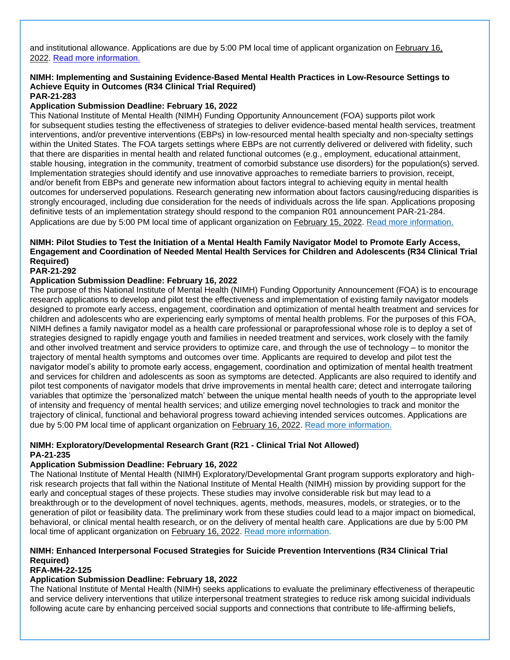and institutional allowance. Applications are due by 5:00 PM local time of applicant organization on February 16, 2022. [Read more information.](https://grants.nih.gov/grants/guide/pa-files/PAR-21-325.html)

#### **NIMH: Implementing and Sustaining Evidence-Based Mental Health Practices in Low-Resource Settings to Achieve Equity in Outcomes (R34 Clinical Trial Required) PAR-21-283**

#### **Application Submission Deadline: February 16, 2022**

This National Institute of Mental Health (NIMH) Funding Opportunity Announcement (FOA) supports pilot work for subsequent studies testing the effectiveness of strategies to deliver evidence-based mental health services, treatment interventions, and/or preventive interventions (EBPs) in low-resourced mental health specialty and non-specialty settings within the United States. The FOA targets settings where EBPs are not currently delivered or delivered with fidelity, such that there are disparities in mental health and related functional outcomes (e.g., employment, educational attainment, stable housing, integration in the community, treatment of comorbid substance use disorders) for the population(s) served. Implementation strategies should identify and use innovative approaches to remediate barriers to provision, receipt, and/or benefit from EBPs and generate new information about factors integral to achieving equity in mental health outcomes for underserved populations. Research generating new information about factors causing/reducing disparities is strongly encouraged, including due consideration for the needs of individuals across the life span. Applications proposing definitive tests of an implementation strategy should respond to the companion R01 announcement PAR-21-284. Applications are due by 5:00 PM local time of applicant organization on February 15, 2022. [Read more information.](https://grants.nih.gov/grants/guide/pa-files/PAR-21-283.html)

### **NIMH: Pilot Studies to Test the Initiation of a Mental Health Family Navigator Model to Promote Early Access, Engagement and Coordination of Needed Mental Health Services for Children and Adolescents (R34 Clinical Trial Required)**

### **PAR-21-292**

#### **Application Submission Deadline: February 16, 2022**

The purpose of this National Institute of Mental Health (NIMH) Funding Opportunity Announcement (FOA) is to encourage research applications to develop and pilot test the effectiveness and implementation of existing family navigator models designed to promote early access, engagement, coordination and optimization of mental health treatment and services for children and adolescents who are experiencing early symptoms of mental health problems. For the purposes of this FOA, NIMH defines a family navigator model as a health care professional or paraprofessional whose role is to deploy a set of strategies designed to rapidly engage youth and families in needed treatment and services, work closely with the family and other involved treatment and service providers to optimize care, and through the use of technology – to monitor the trajectory of mental health symptoms and outcomes over time. Applicants are required to develop and pilot test the navigator model's ability to promote early access, engagement, coordination and optimization of mental health treatment and services for children and adolescents as soon as symptoms are detected. Applicants are also required to identify and pilot test components of navigator models that drive improvements in mental health care; detect and interrogate tailoring variables that optimize the 'personalized match' between the unique mental health needs of youth to the appropriate level of intensity and frequency of mental health services; and utilize emerging novel technologies to track and monitor the trajectory of clinical, functional and behavioral progress toward achieving intended services outcomes. Applications are due by 5:00 PM local time of applicant organization on February 16, 2022. [Read more information.](https://grants.nih.gov/grants/guide/pa-files/PAR-21-292.html)

#### **NIMH: Exploratory/Developmental Research Grant (R21 - Clinical Trial Not Allowed) PA-21-235**

#### **Application Submission Deadline: February 16, 2022**

The National Institute of Mental Health (NIMH) Exploratory/Developmental Grant program supports exploratory and highrisk research projects that fall within the National Institute of Mental Health (NIMH) mission by providing support for the early and conceptual stages of these projects. These studies may involve considerable risk but may lead to a breakthrough or to the development of novel techniques, agents, methods, measures, models, or strategies, or to the generation of pilot or feasibility data. The preliminary work from these studies could lead to a major impact on biomedical, behavioral, or clinical mental health research, or on the delivery of mental health care. Applications are due by 5:00 PM local time of applicant organization on February 16, 2022. [Read more information.](https://grants.nih.gov/grants/guide/pa-files/PA-21-235.html)

### **NIMH: Enhanced Interpersonal Focused Strategies for Suicide Prevention Interventions (R34 Clinical Trial Required)**

**RFA-MH-22-125**

### **Application Submission Deadline: February 18, 2022**

The National Institute of Mental Health (NIMH) seeks applications to evaluate the preliminary effectiveness of therapeutic and service delivery interventions that utilize interpersonal treatment strategies to reduce risk among suicidal individuals following acute care by enhancing perceived social supports and connections that contribute to life-affirming beliefs,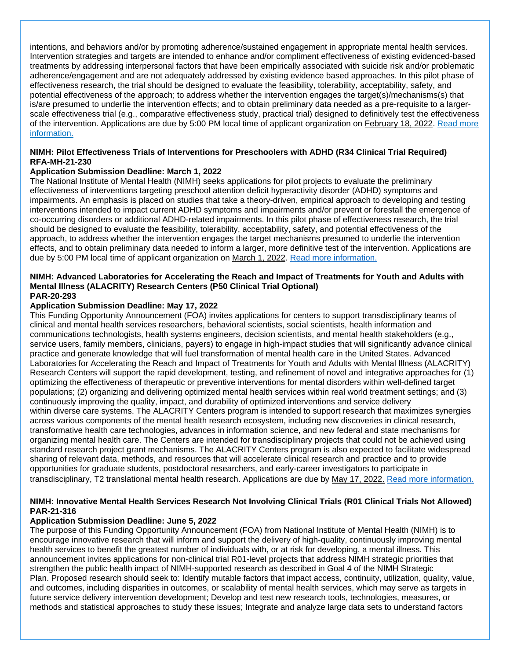intentions, and behaviors and/or by promoting adherence/sustained engagement in appropriate mental health services. Intervention strategies and targets are intended to enhance and/or compliment effectiveness of existing evidenced-based treatments by addressing interpersonal factors that have been empirically associated with suicide risk and/or problematic adherence/engagement and are not adequately addressed by existing evidence based approaches. In this pilot phase of effectiveness research, the trial should be designed to evaluate the feasibility, tolerability, acceptability, safety, and potential effectiveness of the approach; to address whether the intervention engages the target(s)/mechanisms(s) that is/are presumed to underlie the intervention effects; and to obtain preliminary data needed as a pre-requisite to a largerscale effectiveness trial (e.g., comparative effectiveness study, practical trial) designed to definitively test the effectiveness of the intervention. Applications are due by 5:00 PM local time of applicant organization on February 18, 2022. [Read more](https://grants.nih.gov/grants/guide/rfa-files/RFA-MH-22-125.html)  [information.](https://grants.nih.gov/grants/guide/rfa-files/RFA-MH-22-125.html)

#### **NIMH: Pilot Effectiveness Trials of Interventions for Preschoolers with ADHD (R34 Clinical Trial Required) RFA-MH-21-230**

#### **Application Submission Deadline: March 1, 2022**

The National Institute of Mental Health (NIMH) seeks applications for pilot projects to evaluate the preliminary effectiveness of interventions targeting preschool attention deficit hyperactivity disorder (ADHD) symptoms and impairments. An emphasis is placed on studies that take a theory-driven, empirical approach to developing and testing interventions intended to impact current ADHD symptoms and impairments and/or prevent or forestall the emergence of co-occurring disorders or additional ADHD-related impairments. In this pilot phase of effectiveness research, the trial should be designed to evaluate the feasibility, tolerability, acceptability, safety, and potential effectiveness of the approach, to address whether the intervention engages the target mechanisms presumed to underlie the intervention effects, and to obtain preliminary data needed to inform a larger, more definitive test of the intervention. Applications are due by 5:00 PM local time of applicant organization on March 1, 2022. [Read more information.](https://grants.nih.gov/grants/guide/rfa-files/RFA-MH-21-230.html)

#### **NIMH: Advanced Laboratories for Accelerating the Reach and Impact of Treatments for Youth and Adults with Mental Illness (ALACRITY) Research Centers (P50 Clinical Trial Optional) PAR-20-293**

#### **Application Submission Deadline: May 17, 2022**

This Funding Opportunity Announcement (FOA) invites applications for centers to support transdisciplinary teams of clinical and mental health services researchers, behavioral scientists, social scientists, health information and communications technologists, health systems engineers, decision scientists, and mental health stakeholders (e.g., service users, family members, clinicians, payers) to engage in high-impact studies that will significantly advance clinical practice and generate knowledge that will fuel transformation of mental health care in the United States. Advanced Laboratories for Accelerating the Reach and Impact of Treatments for Youth and Adults with Mental Illness (ALACRITY) Research Centers will support the rapid development, testing, and refinement of novel and integrative approaches for (1) optimizing the effectiveness of therapeutic or preventive interventions for mental disorders within well-defined target populations; (2) organizing and delivering optimized mental health services within real world treatment settings; and (3) continuously improving the quality, impact, and durability of optimized interventions and service delivery within diverse care systems. The ALACRITY Centers program is intended to support research that maximizes synergies across various components of the mental health research ecosystem, including new discoveries in clinical research, transformative health care technologies, advances in information science, and new federal and state mechanisms for organizing mental health care. The Centers are intended for transdisciplinary projects that could not be achieved using standard research project grant mechanisms. The ALACRITY Centers program is also expected to facilitate widespread sharing of relevant data, methods, and resources that will accelerate clinical research and practice and to provide opportunities for graduate students, postdoctoral researchers, and early-career investigators to participate in transdisciplinary, T2 translational mental health research. Applications are due by May 17, 2022. [Read more information.](https://grants.nih.gov/grants/guide/pa-files/PAR-20-293.html)

#### **NIMH: Innovative Mental Health Services Research Not Involving Clinical Trials (R01 Clinical Trials Not Allowed) PAR-21-316**

### **Application Submission Deadline: June 5, 2022**

The purpose of this Funding Opportunity Announcement (FOA) from National Institute of Mental Health (NIMH) is to encourage innovative research that will inform and support the delivery of high-quality, continuously improving mental health services to benefit the greatest number of individuals with, or at risk for developing, a mental illness. This announcement invites applications for non-clinical trial R01-level projects that address NIMH strategic priorities that strengthen the public health impact of NIMH-supported research as described in Goal 4 of the NIMH Strategic Plan. Proposed research should seek to: Identify mutable factors that impact access, continuity, utilization, quality, value, and outcomes, including disparities in outcomes, or scalability of mental health services, which may serve as targets in future service delivery intervention development; Develop and test new research tools, technologies, measures, or methods and statistical approaches to study these issues; Integrate and analyze large data sets to understand factors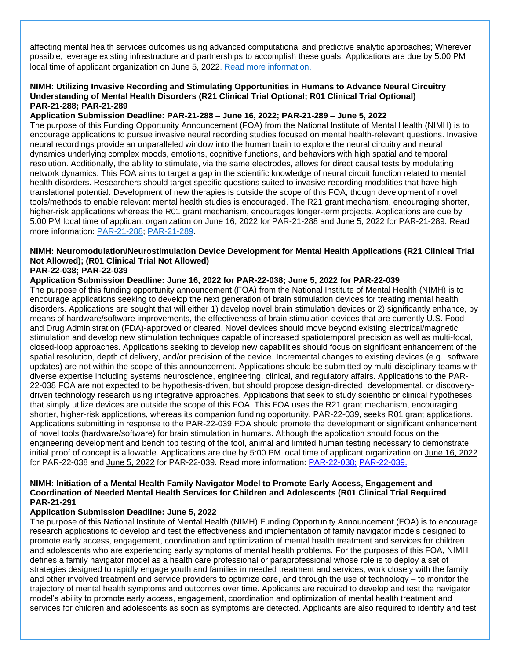affecting mental health services outcomes using advanced computational and predictive analytic approaches; Wherever possible, leverage existing infrastructure and partnerships to accomplish these goals. Applications are due by 5:00 PM local time of applicant organization on June 5, 2022. [Read more information.](https://grants.nih.gov/grants/guide/pa-files/PAR-21-316.html)

#### **NIMH: Utilizing Invasive Recording and Stimulating Opportunities in Humans to Advance Neural Circuitry Understanding of Mental Health Disorders (R21 Clinical Trial Optional; R01 Clinical Trial Optional) PAR-21-288; PAR-21-289**

#### **Application Submission Deadline: PAR-21-288 – June 16, 2022; PAR-21-289 – June 5, 2022**

The purpose of this Funding Opportunity Announcement (FOA) from the National Institute of Mental Health (NIMH) is to encourage applications to pursue invasive neural recording studies focused on mental health-relevant questions. Invasive neural recordings provide an unparalleled window into the human brain to explore the neural circuitry and neural dynamics underlying complex moods, emotions, cognitive functions, and behaviors with high spatial and temporal resolution. Additionally, the ability to stimulate, via the same electrodes, allows for direct causal tests by modulating network dynamics. This FOA aims to target a gap in the scientific knowledge of neural circuit function related to mental health disorders. Researchers should target specific questions suited to invasive recording modalities that have high translational potential. Development of new therapies is outside the scope of this FOA, though development of novel tools/methods to enable relevant mental health studies is encouraged. The R21 grant mechanism, encouraging shorter, higher-risk applications whereas the R01 grant mechanism, encourages longer-term projects. Applications are due by 5:00 PM local time of applicant organization on June 16, 2022 for PAR-21-288 and June 5, 2022 for PAR-21-289. Read more information: [PAR-21-288;](https://grants.nih.gov/grants/guide/pa-files/PAR-21-288.html) [PAR-21-289.](https://grants.nih.gov/grants/guide/pa-files/PAR-21-289.html)

### **NIMH: Neuromodulation/Neurostimulation Device Development for Mental Health Applications (R21 Clinical Trial Not Allowed); (R01 Clinical Trial Not Allowed)**

### **PAR-22-038; PAR-22-039**

### **Application Submission Deadline: June 16, 2022 for PAR-22-038; June 5, 2022 for PAR-22-039**

The purpose of this funding opportunity announcement (FOA) from the National Institute of Mental Health (NIMH) is to encourage applications seeking to develop the next generation of brain stimulation devices for treating mental health disorders. Applications are sought that will either 1) develop novel brain stimulation devices or 2) significantly enhance, by means of hardware/software improvements, the effectiveness of brain stimulation devices that are currently U.S. Food and Drug Administration (FDA)-approved or cleared. Novel devices should move beyond existing electrical/magnetic stimulation and develop new stimulation techniques capable of increased spatiotemporal precision as well as multi-focal, closed-loop approaches. Applications seeking to develop new capabilities should focus on significant enhancement of the spatial resolution, depth of delivery, and/or precision of the device. Incremental changes to existing devices (e.g., software updates) are not within the scope of this announcement. Applications should be submitted by multi-disciplinary teams with diverse expertise including systems neuroscience, engineering, clinical, and regulatory affairs. Applications to the PAR-22-038 FOA are not expected to be hypothesis-driven, but should propose design-directed, developmental, or discoverydriven technology research using integrative approaches. Applications that seek to study scientific or clinical hypotheses that simply utilize devices are outside the scope of this FOA. This FOA uses the R21 grant mechanism, encouraging shorter, higher-risk applications, whereas its companion funding opportunity, PAR-22-039, seeks R01 grant applications. Applications submitting in response to the PAR-22-039 FOA should promote the development or significant enhancement of novel tools (hardware/software) for brain stimulation in humans. Although the application should focus on the engineering development and bench top testing of the tool, animal and limited human testing necessary to demonstrate initial proof of concept is allowable. Applications are due by 5:00 PM local time of applicant organization on June 16, 2022 for PAR-22-038 and June 5, 2022 for PAR-22-039. Read more information: [PAR-22-038;](https://grants.nih.gov/grants/guide/pa-files/PAR-22-038.html) [PAR-22-039.](https://grants.nih.gov/grants/guide/pa-files/PAR-22-039.html)

#### **NIMH: Initiation of a Mental Health Family Navigator Model to Promote Early Access, Engagement and Coordination of Needed Mental Health Services for Children and Adolescents (R01 Clinical Trial Required PAR-21-291**

#### **Application Submission Deadline: June 5, 2022**

The purpose of this National Institute of Mental Health (NIMH) Funding Opportunity Announcement (FOA) is to encourage research applications to develop and test the effectiveness and implementation of family navigator models designed to promote early access, engagement, coordination and optimization of mental health treatment and services for children and adolescents who are experiencing early symptoms of mental health problems. For the purposes of this FOA, NIMH defines a family navigator model as a health care professional or paraprofessional whose role is to deploy a set of strategies designed to rapidly engage youth and families in needed treatment and services, work closely with the family and other involved treatment and service providers to optimize care, and through the use of technology – to monitor the trajectory of mental health symptoms and outcomes over time. Applicants are required to develop and test the navigator model's ability to promote early access, engagement, coordination and optimization of mental health treatment and services for children and adolescents as soon as symptoms are detected. Applicants are also required to identify and test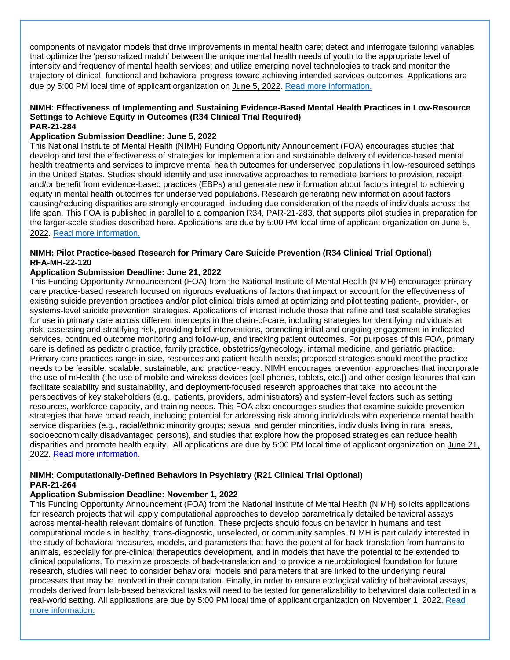components of navigator models that drive improvements in mental health care; detect and interrogate tailoring variables that optimize the 'personalized match' between the unique mental health needs of youth to the appropriate level of intensity and frequency of mental health services; and utilize emerging novel technologies to track and monitor the trajectory of clinical, functional and behavioral progress toward achieving intended services outcomes. Applications are due by 5:00 PM local time of applicant organization on June 5, 2022. [Read more information.](https://grants.nih.gov/grants/guide/pa-files/PAR-21-291.html)

#### **NIMH: Effectiveness of Implementing and Sustaining Evidence-Based Mental Health Practices in Low-Resource Settings to Achieve Equity in Outcomes (R34 Clinical Trial Required) PAR-21-284**

#### **Application Submission Deadline: June 5, 2022**

This National Institute of Mental Health (NIMH) Funding Opportunity Announcement (FOA) encourages studies that develop and test the effectiveness of strategies for implementation and sustainable delivery of evidence-based mental health treatments and services to improve mental health outcomes for underserved populations in low-resourced settings in the United States. Studies should identify and use innovative approaches to remediate barriers to provision, receipt, and/or benefit from evidence-based practices (EBPs) and generate new information about factors integral to achieving equity in mental health outcomes for underserved populations. Research generating new information about factors causing/reducing disparities are strongly encouraged, including due consideration of the needs of individuals across the life span. This FOA is published in parallel to a companion R34, PAR-21-283, that supports pilot studies in preparation for the larger-scale studies described here. Applications are due by 5:00 PM local time of applicant organization on June 5, 2022. [Read more information.](https://grants.nih.gov/grants/guide/pa-files/PAR-21-284.html)

#### **NIMH: Pilot Practice-based Research for Primary Care Suicide Prevention (R34 Clinical Trial Optional) RFA-MH-22-120**

#### **Application Submission Deadline: June 21, 2022**

This Funding Opportunity Announcement (FOA) from the National Institute of Mental Health (NIMH) encourages primary care practice-based research focused on rigorous evaluations of factors that impact or account for the effectiveness of existing suicide prevention practices and/or pilot clinical trials aimed at optimizing and pilot testing patient-, provider-, or systems-level suicide prevention strategies. Applications of interest include those that refine and test scalable strategies for use in primary care across different intercepts in the chain-of-care, including strategies for identifying individuals at risk, assessing and stratifying risk, providing brief interventions, promoting initial and ongoing engagement in indicated services, continued outcome monitoring and follow-up, and tracking patient outcomes. For purposes of this FOA, primary care is defined as pediatric practice, family practice, obstetrics/gynecology, internal medicine, and geriatric practice. Primary care practices range in size, resources and patient health needs; proposed strategies should meet the practice needs to be feasible, scalable, sustainable, and practice-ready. NIMH encourages prevention approaches that incorporate the use of mHealth (the use of mobile and wireless devices [cell phones, tablets, etc.]) and other design features that can facilitate scalability and sustainability, and deployment-focused research approaches that take into account the perspectives of key stakeholders (e.g., patients, providers, administrators) and system-level factors such as setting resources, workforce capacity, and training needs. This FOA also encourages studies that examine suicide prevention strategies that have broad reach, including potential for addressing risk among individuals who experience mental health service disparities (e.g., racial/ethnic minority groups; sexual and gender minorities, individuals living in rural areas, socioeconomically disadvantaged persons), and studies that explore how the proposed strategies can reduce health disparities and promote health equity. All applications are due by 5:00 PM local time of applicant organization on June 21, 2022. [Read more information.](https://grants.nih.gov/grants/guide/rfa-files/RFA-MH-22-120.html)

### **NIMH: Computationally-Defined Behaviors in Psychiatry (R21 Clinical Trial Optional) PAR-21-264**

#### **Application Submission Deadline: November 1, 2022**

This Funding Opportunity Announcement (FOA) from the National Institute of Mental Health (NIMH) solicits applications for research projects that will apply computational approaches to develop parametrically detailed behavioral assays across mental-health relevant domains of function. These projects should focus on behavior in humans and test computational models in healthy, trans-diagnostic, unselected, or community samples. NIMH is particularly interested in the study of behavioral measures, models, and parameters that have the potential for back-translation from humans to animals, especially for pre-clinical therapeutics development, and in models that have the potential to be extended to clinical populations. To maximize prospects of back-translation and to provide a neurobiological foundation for future research, studies will need to consider behavioral models and parameters that are linked to the underlying neural processes that may be involved in their computation. Finally, in order to ensure ecological validity of behavioral assays, models derived from lab-based behavioral tasks will need to be tested for generalizability to behavioral data collected in a real-world setting. All applications are due by 5:00 PM local time of applicant organization on November 1, 2022. [Read](https://grants.nih.gov/grants/guide/pa-files/PAR-21-264.html)  [more information.](https://grants.nih.gov/grants/guide/pa-files/PAR-21-264.html)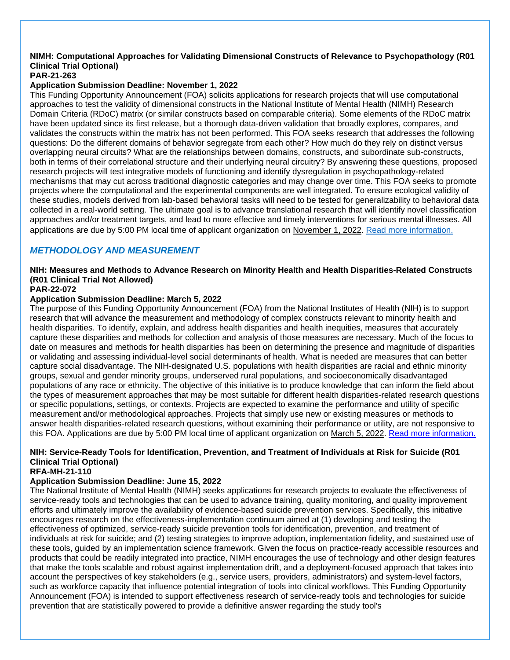#### **NIMH: Computational Approaches for Validating Dimensional Constructs of Relevance to Psychopathology (R01 Clinical Trial Optional) PAR-21-263**

#### **Application Submission Deadline: November 1, 2022**

This Funding Opportunity Announcement (FOA) solicits applications for research projects that will use computational approaches to test the validity of dimensional constructs in the National Institute of Mental Health (NIMH) Research Domain Criteria (RDoC) matrix (or similar constructs based on comparable criteria). Some elements of the RDoC matrix have been updated since its first release, but a thorough data-driven validation that broadly explores, compares, and validates the constructs within the matrix has not been performed. This FOA seeks research that addresses the following questions: Do the different domains of behavior segregate from each other? How much do they rely on distinct versus overlapping neural circuits? What are the relationships between domains, constructs, and subordinate sub-constructs, both in terms of their correlational structure and their underlying neural circuitry? By answering these questions, proposed research projects will test integrative models of functioning and identify dysregulation in psychopathology-related mechanisms that may cut across traditional diagnostic categories and may change over time. This FOA seeks to promote projects where the computational and the experimental components are well integrated. To ensure ecological validity of these studies, models derived from lab-based behavioral tasks will need to be tested for generalizability to behavioral data collected in a real-world setting. The ultimate goal is to advance translational research that will identify novel classification approaches and/or treatment targets, and lead to more effective and timely interventions for serious mental illnesses. All applications are due by 5:00 PM local time of applicant organization on November 1, 2022. [Read more information.](https://grants.nih.gov/grants/guide/pa-files/PAR-21-263.html)

### <span id="page-50-0"></span>*METHODOLOGY AND MEASUREMENT*

#### **NIH: Measures and Methods to Advance Research on Minority Health and Health Disparities-Related Constructs (R01 Clinical Trial Not Allowed)**

### **PAR-22-072**

### **Application Submission Deadline: March 5, 2022**

The purpose of this Funding Opportunity Announcement (FOA) from the National Institutes of Health (NIH) is to support research that will advance the measurement and methodology of complex constructs relevant to minority health and health disparities. To identify, explain, and address health disparities and health inequities, measures that accurately capture these disparities and methods for collection and analysis of those measures are necessary. Much of the focus to date on measures and methods for health disparities has been on determining the presence and magnitude of disparities or validating and assessing individual-level social determinants of health. What is needed are measures that can better capture social disadvantage. The NIH-designated U.S. populations with health disparities are racial and ethnic minority groups, sexual and gender minority groups, underserved rural populations, and socioeconomically disadvantaged populations of any race or ethnicity. The objective of this initiative is to produce knowledge that can inform the field about the types of measurement approaches that may be most suitable for different health disparities-related research questions or specific populations, settings, or contexts. Projects are expected to examine the performance and utility of specific measurement and/or methodological approaches. Projects that simply use new or existing measures or methods to answer health disparities-related research questions, without examining their performance or utility, are not responsive to this FOA. Applications are due by 5:00 PM local time of applicant organization on March 5, 2022. [Read more information.](https://grants.nih.gov/grants/guide/pa-files/PAR-22-072.html)

### **NIH: Service-Ready Tools for Identification, Prevention, and Treatment of Individuals at Risk for Suicide (R01 Clinical Trial Optional)**

#### **RFA-MH-21-110**

### **Application Submission Deadline: June 15, 2022**

The National Institute of Mental Health (NIMH) seeks applications for research projects to evaluate the effectiveness of service-ready tools and technologies that can be used to advance training, quality monitoring, and quality improvement efforts and ultimately improve the availability of evidence-based suicide prevention services. Specifically, this initiative encourages research on the effectiveness-implementation continuum aimed at (1) developing and testing the effectiveness of optimized, service-ready suicide prevention tools for identification, prevention, and treatment of individuals at risk for suicide; and (2) testing strategies to improve adoption, implementation fidelity, and sustained use of these tools, guided by an implementation science framework. Given the focus on practice-ready accessible resources and products that could be readily integrated into practice, NIMH encourages the use of technology and other design features that make the tools scalable and robust against implementation drift, and a deployment-focused approach that takes into account the perspectives of key stakeholders (e.g., service users, providers, administrators) and system-level factors, such as workforce capacity that influence potential integration of tools into clinical workflows. This Funding Opportunity Announcement (FOA) is intended to support effectiveness research of service-ready tools and technologies for suicide prevention that are statistically powered to provide a definitive answer regarding the study tool's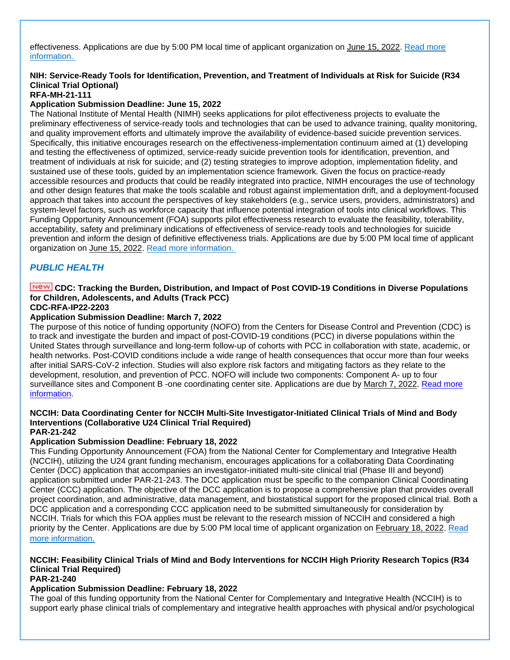effectiveness. Applications are due by 5:00 PM local time of applicant organization on June 15, 2022. [Read more](https://grants.nih.gov/grants/guide/rfa-files/RFA-MH-21-110.html)  [information.](https://grants.nih.gov/grants/guide/rfa-files/RFA-MH-21-110.html)

### **NIH: Service-Ready Tools for Identification, Prevention, and Treatment of Individuals at Risk for Suicide (R34 Clinical Trial Optional)**

### **RFA-MH-21-111**

### **Application Submission Deadline: June 15, 2022**

The National Institute of Mental Health (NIMH) seeks applications for pilot effectiveness projects to evaluate the preliminary effectiveness of service-ready tools and technologies that can be used to advance training, quality monitoring, and quality improvement efforts and ultimately improve the availability of evidence-based suicide prevention services. Specifically, this initiative encourages research on the effectiveness-implementation continuum aimed at (1) developing and testing the effectiveness of optimized, service-ready suicide prevention tools for identification, prevention, and treatment of individuals at risk for suicide; and (2) testing strategies to improve adoption, implementation fidelity, and sustained use of these tools, guided by an implementation science framework. Given the focus on practice-ready accessible resources and products that could be readily integrated into practice, NIMH encourages the use of technology and other design features that make the tools scalable and robust against implementation drift, and a deployment-focused approach that takes into account the perspectives of key stakeholders (e.g., service users, providers, administrators) and system-level factors, such as workforce capacity that influence potential integration of tools into clinical workflows. This Funding Opportunity Announcement (FOA) supports pilot effectiveness research to evaluate the feasibility, tolerability, acceptability, safety and preliminary indications of effectiveness of service-ready tools and technologies for suicide prevention and inform the design of definitive effectiveness trials. Applications are due by 5:00 PM local time of applicant organization on June 15, 2022. [Read more information.](https://grants.nih.gov/grants/guide/rfa-files/RFA-MH-21-111.html)

### <span id="page-51-0"></span>*PUBLIC HEALTH*

### **CDC: Tracking the Burden, Distribution, and Impact of Post COVID-19 Conditions in Diverse Populations for Children, Adolescents, and Adults (Track PCC)**

### **CDC-RFA-IP22-2203**

#### **Application Submission Deadline: March 7, 2022**

The purpose of this notice of funding opportunity (NOFO) from the Centers for Disease Control and Prevention (CDC) is to track and investigate the burden and impact of post-COVID-19 conditions (PCC) in diverse populations within the United States through surveillance and long-term follow-up of cohorts with PCC in collaboration with state, academic, or health networks. Post-COVID conditions include a wide range of health consequences that occur more than four weeks after initial SARS-CoV-2 infection. Studies will also explore risk factors and mitigating factors as they relate to the development, resolution, and prevention of PCC. NOFO will include two components: Component A- up to four surveillance sites and Component B -one coordinating center site. Applications are due by March 7, 2022. Read more [information.](https://www.grants.gov/web/grants/view-opportunity.html?oppId=336231)

#### **NCCIH: Data Coordinating Center for NCCIH Multi-Site Investigator-Initiated Clinical Trials of Mind and Body Interventions (Collaborative U24 Clinical Trial Required) PAR-21-242**

### **Application Submission Deadline: February 18, 2022**

This Funding Opportunity Announcement (FOA) from the National Center for Complementary and Integrative Health (NCCIH), utilizing the U24 grant funding mechanism, encourages applications for a collaborating Data Coordinating Center (DCC) application that accompanies an investigator-initiated multi-site clinical trial (Phase III and beyond) application submitted under PAR-21-243. The DCC application must be specific to the companion Clinical Coordinating Center (CCC) application. The objective of the DCC application is to propose a comprehensive plan that provides overall project coordination, and administrative, data management, and biostatistical support for the proposed clinical trial. Both a DCC application and a corresponding CCC application need to be submitted simultaneously for consideration by NCCIH. Trials for which this FOA applies must be relevant to the research mission of NCCIH and considered a high priority by the Center. Applications are due by 5:00 PM local time of applicant organization on February 18, 2022. [Read](https://grants.nih.gov/grants/guide/pa-files/PAR-21-242.html)  [more information.](https://grants.nih.gov/grants/guide/pa-files/PAR-21-242.html)

### **NCCIH: Feasibility Clinical Trials of Mind and Body Interventions for NCCIH High Priority Research Topics (R34 Clinical Trial Required)**

#### **PAR-21-240**

#### **Application Submission Deadline: February 18, 2022**

The goal of this funding opportunity from the National Center for Complementary and Integrative Health (NCCIH) is to support early phase clinical trials of complementary and integrative health approaches with physical and/or psychological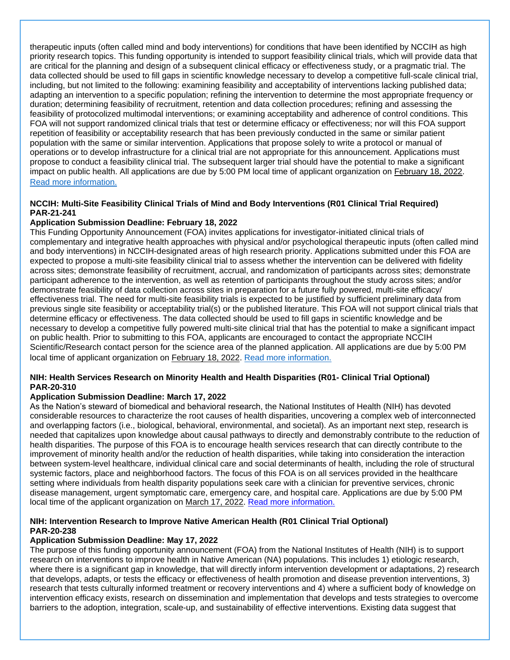therapeutic inputs (often called mind and body interventions) for conditions that have been identified by NCCIH as high priority research topics. This funding opportunity is intended to support feasibility clinical trials, which will provide data that are critical for the planning and design of a subsequent clinical efficacy or effectiveness study, or a pragmatic trial. The data collected should be used to fill gaps in scientific knowledge necessary to develop a competitive full-scale clinical trial, including, but not limited to the following: examining feasibility and acceptability of interventions lacking published data; adapting an intervention to a specific population; refining the intervention to determine the most appropriate frequency or duration; determining feasibility of recruitment, retention and data collection procedures; refining and assessing the feasibility of protocolized multimodal interventions; or examining acceptability and adherence of control conditions. This FOA will not support randomized clinical trials that test or determine efficacy or effectiveness; nor will this FOA support repetition of feasibility or acceptability research that has been previously conducted in the same or similar patient population with the same or similar intervention. Applications that propose solely to write a protocol or manual of operations or to develop infrastructure for a clinical trial are not appropriate for this announcement. Applications must propose to conduct a feasibility clinical trial. The subsequent larger trial should have the potential to make a significant impact on public health. All applications are due by 5:00 PM local time of applicant organization on February 18, 2022. [Read more information.](https://grants.nih.gov/grants/guide/pa-files/PAR-21-240.html)

### **NCCIH: Multi-Site Feasibility Clinical Trials of Mind and Body Interventions (R01 Clinical Trial Required) PAR-21-241**

### **Application Submission Deadline: February 18, 2022**

This Funding Opportunity Announcement (FOA) invites applications for investigator-initiated clinical trials of complementary and integrative health approaches with physical and/or psychological therapeutic inputs (often called mind and body interventions) in NCCIH-designated areas of high research priority. Applications submitted under this FOA are expected to propose a multi-site feasibility clinical trial to assess whether the intervention can be delivered with fidelity across sites; demonstrate feasibility of recruitment, accrual, and randomization of participants across sites; demonstrate participant adherence to the intervention, as well as retention of participants throughout the study across sites; and/or demonstrate feasibility of data collection across sites in preparation for a future fully powered, multi-site efficacy/ effectiveness trial. The need for multi-site feasibility trials is expected to be justified by sufficient preliminary data from previous single site feasibility or acceptability trial(s) or the published literature. This FOA will not support clinical trials that determine efficacy or effectiveness. The data collected should be used to fill gaps in scientific knowledge and be necessary to develop a competitive fully powered multi-site clinical trial that has the potential to make a significant impact on public health. Prior to submitting to this FOA, applicants are encouraged to contact the appropriate NCCIH Scientific/Research contact person for the science area of the planned application. All applications are due by 5:00 PM local time of applicant organization on February 18, 2022. [Read more information.](https://grants.nih.gov/grants/guide/pa-files/PAR-21-241.html)

#### **NIH: Health Services Research on Minority Health and Health Disparities (R01- Clinical Trial Optional) PAR-20-310**

#### **Application Submission Deadline: March 17, 2022**

As the Nation's steward of biomedical and behavioral research, the National Institutes of Health (NIH) has devoted considerable resources to characterize the root causes of health disparities, uncovering a complex web of interconnected and overlapping factors (i.e., biological, behavioral, environmental, and societal). As an important next step, research is needed that capitalizes upon knowledge about causal pathways to directly and demonstrably contribute to the reduction of health disparities. The purpose of this FOA is to encourage health services research that can directly contribute to the improvement of minority health and/or the reduction of health disparities, while taking into consideration the interaction between system-level healthcare, individual clinical care and social determinants of health, including the role of structural systemic factors, place and neighborhood factors. The focus of this FOA is on all services provided in the healthcare setting where individuals from health disparity populations seek care with a clinician for preventive services, chronic disease management, urgent symptomatic care, emergency care, and hospital care. Applications are due by 5:00 PM local time of the applicant organization on March 17, 2022. [Read more information.](https://grants.nih.gov/grants/guide/pa-files/PAR-20-310.html)

#### **NIH: Intervention Research to Improve Native American Health (R01 Clinical Trial Optional) PAR-20-238**

#### **Application Submission Deadline: May 17, 2022**

The purpose of this funding opportunity announcement (FOA) from the National Institutes of Health (NIH) is to support research on interventions to improve health in Native American (NA) populations. This includes 1) etiologic research, where there is a significant gap in knowledge, that will directly inform intervention development or adaptations, 2) research that develops, adapts, or tests the efficacy or effectiveness of health promotion and disease prevention interventions, 3) research that tests culturally informed treatment or recovery interventions and 4) where a sufficient body of knowledge on intervention efficacy exists, research on dissemination and implementation that develops and tests strategies to overcome barriers to the adoption, integration, scale-up, and sustainability of effective interventions. Existing data suggest that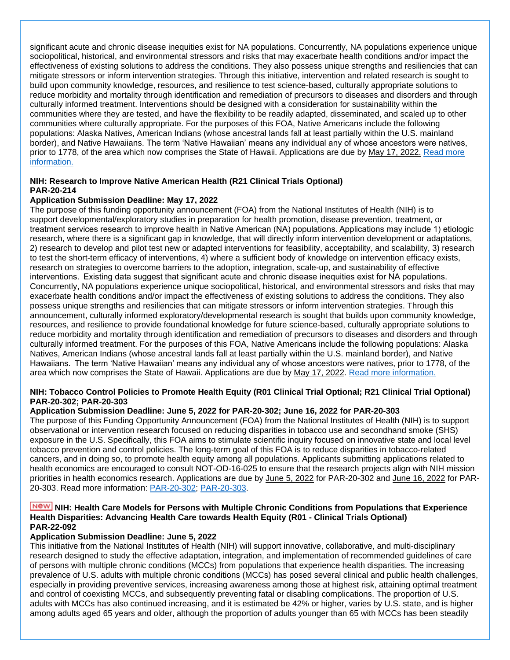significant acute and chronic disease inequities exist for NA populations. Concurrently, NA populations experience unique sociopolitical, historical, and environmental stressors and risks that may exacerbate health conditions and/or impact the effectiveness of existing solutions to address the conditions. They also possess unique strengths and resiliencies that can mitigate stressors or inform intervention strategies. Through this initiative, intervention and related research is sought to build upon community knowledge, resources, and resilience to test science-based, culturally appropriate solutions to reduce morbidity and mortality through identification and remediation of precursors to diseases and disorders and through culturally informed treatment. Interventions should be designed with a consideration for sustainability within the communities where they are tested, and have the flexibility to be readily adapted, disseminated, and scaled up to other communities where culturally appropriate. For the purposes of this FOA, Native Americans include the following populations: Alaska Natives, American Indians (whose ancestral lands fall at least partially within the U.S. mainland border), and Native Hawaiians. The term 'Native Hawaiian' means any individual any of whose ancestors were natives, prior to 1778, of the area which now comprises the State of Hawaii. Applications are due by May 17, 2022. Read [more](https://grants.nih.gov/grants/guide/pa-files/PAR-20-238.html)  [information.](https://grants.nih.gov/grants/guide/pa-files/PAR-20-238.html)

### **NIH: Research to Improve Native American Health (R21 Clinical Trials Optional) PAR-20-214**

#### **Application Submission Deadline: May 17, 2022**

The purpose of this funding opportunity announcement (FOA) from the National Institutes of Health (NIH) is to support developmental/exploratory studies in preparation for health promotion, disease prevention, treatment, or treatment services research to improve health in Native American (NA) populations. Applications may include 1) etiologic research, where there is a significant gap in knowledge, that will directly inform intervention development or adaptations, 2) research to develop and pilot test new or adapted interventions for feasibility, acceptability, and scalability, 3) research to test the short-term efficacy of interventions, 4) where a sufficient body of knowledge on intervention efficacy exists, research on strategies to overcome barriers to the adoption, integration, scale-up, and sustainability of effective interventions.  Existing data suggest that significant acute and chronic disease inequities exist for NA populations. Concurrently, NA populations experience unique sociopolitical, historical, and environmental stressors and risks that may exacerbate health conditions and/or impact the effectiveness of existing solutions to address the conditions. They also possess unique strengths and resiliencies that can mitigate stressors or inform intervention strategies. Through this announcement, culturally informed exploratory/developmental research is sought that builds upon community knowledge, resources, and resilience to provide foundational knowledge for future science-based, culturally appropriate solutions to reduce morbidity and mortality through identification and remediation of precursors to diseases and disorders and through culturally informed treatment. For the purposes of this FOA, Native Americans include the following populations: Alaska Natives, American Indians (whose ancestral lands fall at least partially within the U.S. mainland border), and Native Hawaiians.  The term 'Native Hawaiian' means any individual any of whose ancestors were natives, prior to 1778, of the area which now comprises the State of Hawaii. Applications are due by May 17, 2022. [Read more information.](https://grants.nih.gov/grants/guide/pa-files/PAR-20-214.html)

#### **NIH: Tobacco Control Policies to Promote Health Equity (R01 Clinical Trial Optional; R21 Clinical Trial Optional) PAR-20-302; PAR-20-303**

### **Application Submission Deadline: June 5, 2022 for PAR-20-302; June 16, 2022 for PAR-20-303**

The purpose of this Funding Opportunity Announcement (FOA) from the National Institutes of Health (NIH) is to support observational or intervention research focused on reducing disparities in tobacco use and secondhand smoke (SHS) exposure in the U.S. Specifically, this FOA aims to stimulate scientific inquiry focused on innovative state and local level tobacco prevention and control policies. The long-term goal of this FOA is to reduce disparities in tobacco-related cancers, and in doing so, to promote health equity among all populations. Applicants submitting applications related to health economics are encouraged to consult NOT-OD-16-025 to ensure that the research projects align with NIH mission priorities in health economics research. Applications are due by June 5, 2022 for PAR-20-302 and June 16, 2022 for PAR-20-303. Read more information: [PAR-20-302;](https://grants.nih.gov/grants/guide/pa-files/PAR-20-302.html) [PAR-20-303.](https://grants.nih.gov/grants/guide/pa-files/PAR-20-303.html)

#### **NIH: Health Care Models for Persons with Multiple Chronic Conditions from Populations that Experience Health Disparities: Advancing Health Care towards Health Equity (R01 - Clinical Trials Optional) PAR-22-092**

#### **Application Submission Deadline: June 5, 2022**

This initiative from the National Institutes of Health (NIH) will support innovative, collaborative, and multi-disciplinary research designed to study the effective adaptation, integration, and implementation of recommended guidelines of care of persons with multiple chronic conditions (MCCs) from populations that experience health disparities. The increasing prevalence of U.S. adults with multiple chronic conditions (MCCs) has posed several clinical and public health challenges, especially in providing preventive services, increasing awareness among those at highest risk, attaining optimal treatment and control of coexisting MCCs, and subsequently preventing fatal or disabling complications. The proportion of U.S. adults with MCCs has also continued increasing, and it is estimated be 42% or higher, varies by U.S. state, and is higher among adults aged 65 years and older, although the proportion of adults younger than 65 with MCCs has been steadily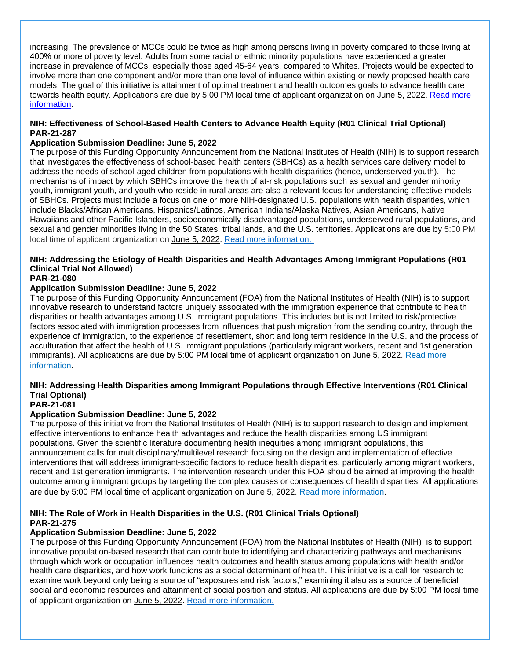increasing. The prevalence of MCCs could be twice as high among persons living in poverty compared to those living at 400% or more of poverty level. Adults from some racial or ethnic minority populations have experienced a greater increase in prevalence of MCCs, especially those aged 45-64 years, compared to Whites. Projects would be expected to involve more than one component and/or more than one level of influence within existing or newly proposed health care models. The goal of this initiative is attainment of optimal treatment and health outcomes goals to advance health care towards health equity. Applications are due by 5:00 PM local time of applicant organization on June 5, 2022. Read more [information.](https://grants.nih.gov/grants/guide/pa-files/PAR-22-092.html)

### **NIH: Effectiveness of School-Based Health Centers to Advance Health Equity (R01 Clinical Trial Optional) PAR-21-287**

### **Application Submission Deadline: June 5, 2022**

The purpose of this Funding Opportunity Announcement from the National Institutes of Health (NIH) is to support research that investigates the effectiveness of school-based health centers (SBHCs) as a health services care delivery model to address the needs of school-aged children from populations with health disparities (hence, underserved youth). The mechanisms of impact by which SBHCs improve the health of at-risk populations such as sexual and gender minority youth, immigrant youth, and youth who reside in rural areas are also a relevant focus for understanding effective models of SBHCs. Projects must include a focus on one or more NIH-designated U.S. populations with health disparities, which include Blacks/African Americans, Hispanics/Latinos, American Indians/Alaska Natives, Asian Americans, Native Hawaiians and other Pacific Islanders, socioeconomically disadvantaged populations, underserved rural populations, and sexual and gender minorities living in the 50 States, tribal lands, and the U.S. territories. Applications are due by 5:00 PM local time of applicant organization on June 5, 2022. [Read more information.](https://grants.nih.gov/grants/guide/pa-files/PAR-21-287.html)

### **NIH: Addressing the Etiology of Health Disparities and Health Advantages Among Immigrant Populations (R01 Clinical Trial Not Allowed)**

### **PAR-21-080**

#### **Application Submission Deadline: June 5, 2022**

The purpose of this Funding Opportunity Announcement (FOA) from the National Institutes of Health (NIH) is to support innovative research to understand factors uniquely associated with the immigration experience that contribute to health disparities or health advantages among U.S. immigrant populations. This includes but is not limited to risk/protective factors associated with immigration processes from influences that push migration from the sending country, through the experience of immigration, to the experience of resettlement, short and long term residence in the U.S. and the process of acculturation that affect the health of U.S. immigrant populations (particularly migrant workers, recent and 1st generation immigrants). All applications are due by 5:00 PM local time of applicant organization on June 5, 2022. Read more [information.](https://grants.nih.gov/grants/guide/pa-files/PAR-21-080.html)

### **NIH: Addressing Health Disparities among Immigrant Populations through Effective Interventions (R01 Clinical Trial Optional)**

### **PAR-21-081**

### **Application Submission Deadline: June 5, 2022**

The purpose of this initiative from the National Institutes of Health (NIH) is to support research to design and implement effective interventions to enhance health advantages and reduce the health disparities among US immigrant populations. Given the scientific literature documenting health inequities among immigrant populations, this announcement calls for multidisciplinary/multilevel research focusing on the design and implementation of effective interventions that will address immigrant-specific factors to reduce health disparities, particularly among migrant workers, recent and 1st generation immigrants. The intervention research under this FOA should be aimed at improving the health outcome among immigrant groups by targeting the complex causes or consequences of health disparities. All applications are due by 5:00 PM local time of applicant organization on June 5, 2022. [Read more information.](https://grants.nih.gov/grants/guide/pa-files/PAR-21-081.html)

#### **NIH: The Role of Work in Health Disparities in the U.S. (R01 Clinical Trials Optional) PAR-21-275**

#### **Application Submission Deadline: June 5, 2022**

The purpose of this Funding Opportunity Announcement (FOA) from the National Institutes of Health (NIH) is to support innovative population-based research that can contribute to identifying and characterizing pathways and mechanisms through which work or occupation influences health outcomes and health status among populations with health and/or health care disparities, and how work functions as a social determinant of health. This initiative is a call for research to examine work beyond only being a source of "exposures and risk factors," examining it also as a source of beneficial social and economic resources and attainment of social position and status. All applications are due by 5:00 PM local time of applicant organization on June 5, 2022. [Read more information.](https://grants.nih.gov/grants/guide/pa-files/PAR-21-275.html)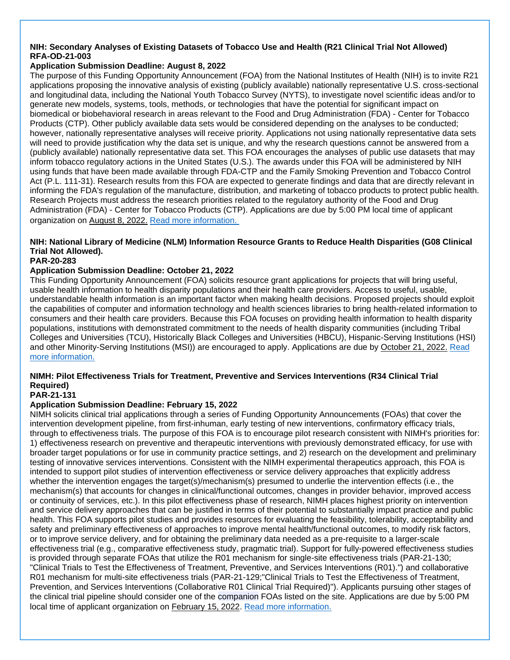### **NIH: Secondary Analyses of Existing Datasets of Tobacco Use and Health (R21 Clinical Trial Not Allowed) RFA-OD-21-003**

### **Application Submission Deadline: August 8, 2022**

The purpose of this Funding Opportunity Announcement (FOA) from the National Institutes of Health (NIH) is to invite R21 applications proposing the innovative analysis of existing (publicly available) nationally representative U.S. cross-sectional and longitudinal data, including the National Youth Tobacco Survey (NYTS), to investigate novel scientific ideas and/or to generate new models, systems, tools, methods, or technologies that have the potential for significant impact on biomedical or biobehavioral research in areas relevant to the Food and Drug Administration (FDA) - Center for Tobacco Products (CTP). Other publicly available data sets would be considered depending on the analyses to be conducted; however, nationally representative analyses will receive priority. Applications not using nationally representative data sets will need to provide justification why the data set is unique, and why the research questions cannot be answered from a (publicly available) nationally representative data set. This FOA encourages the analyses of public use datasets that may inform tobacco regulatory actions in the United States (U.S.). The awards under this FOA will be administered by NIH using funds that have been made available through FDA-CTP and the Family Smoking Prevention and Tobacco Control Act (P.L. 111-31). Research results from this FOA are expected to generate findings and data that are directly relevant in informing the FDA's regulation of the manufacture, distribution, and marketing of tobacco products to protect public health. Research Projects must address the research priorities related to the regulatory authority of the Food and Drug Administration (FDA) - Center for Tobacco Products (CTP). Applications are due by 5:00 PM local time of applicant organization on August 8, 2022. [Read more information.](https://grants.nih.gov/grants/guide/rfa-files/RFA-OD-21-003.html)

### **NIH: National Library of Medicine (NLM) Information Resource Grants to Reduce Health Disparities (G08 Clinical Trial Not Allowed).**

#### **PAR-20-283**

### **Application Submission Deadline: October 21, 2022**

This Funding Opportunity Announcement (FOA) solicits resource grant applications for projects that will bring useful, usable health information to health disparity populations and their health care providers. Access to useful, usable, understandable health information is an important factor when making health decisions. Proposed projects should exploit the capabilities of computer and information technology and health sciences libraries to bring health-related information to consumers and their health care providers. Because this FOA focuses on providing health information to health disparity populations, institutions with demonstrated commitment to the needs of health disparity communities (including Tribal Colleges and Universities (TCU), Historically Black Colleges and Universities (HBCU), Hispanic-Serving Institutions (HSI) and other Minority-Serving Institutions (MSI)) are encouraged to apply. Applications are due by October 21, 2022. [Read](https://grants.nih.gov/grants/guide/pa-files/PAR-20-283.html)  [more information.](https://grants.nih.gov/grants/guide/pa-files/PAR-20-283.html)

### **NIMH: Pilot Effectiveness Trials for Treatment, Preventive and Services Interventions (R34 Clinical Trial Required)**

### **PAR-21-131**

### **Application Submission Deadline: February 15, 2022**

NIMH solicits clinical trial applications through a series of Funding Opportunity Announcements (FOAs) that cover the intervention development pipeline, from first-inhuman, early testing of new interventions, confirmatory efficacy trials, through to effectiveness trials. The purpose of this FOA is to encourage pilot research consistent with NIMH's priorities for: 1) effectiveness research on preventive and therapeutic interventions with previously demonstrated efficacy, for use with broader target populations or for use in community practice settings, and 2) research on the development and preliminary testing of innovative services interventions. Consistent with the NIMH experimental therapeutics approach, this FOA is intended to support pilot studies of intervention effectiveness or service delivery approaches that explicitly address whether the intervention engages the target(s)/mechanism(s) presumed to underlie the intervention effects (i.e., the mechanism(s) that accounts for changes in clinical/functional outcomes, changes in provider behavior, improved access or continuity of services, etc.). In this pilot effectiveness phase of research, NIMH places highest priority on intervention and service delivery approaches that can be justified in terms of their potential to substantially impact practice and public health. This FOA supports pilot studies and provides resources for evaluating the feasibility, tolerability, acceptability and safety and preliminary effectiveness of approaches to improve mental health/functional outcomes, to modify risk factors, or to improve service delivery, and for obtaining the preliminary data needed as a pre-requisite to a larger-scale effectiveness trial (e.g., comparative effectiveness study, pragmatic trial). Support for fully-powered effectiveness studies is provided through separate FOAs that utilize the R01 mechanism for single-site effectiveness trials (PAR-21-130; "Clinical Trials to Test the Effectiveness of Treatment, Preventive, and Services Interventions (R01).") and collaborative R01 mechanism for multi-site effectiveness trials (PAR-21-129;"Clinical Trials to Test the Effectiveness of Treatment, Prevention, and Services Interventions (Collaborative R01 Clinical Trial Required)"). Applicants pursuing other stages of the clinical trial pipeline should consider one of the companion FOAs listed on the site. Applications are due by 5:00 PM local time of applicant organization on February 15, 2022. [Read more information.](https://grants.nih.gov/grants/guide/pa-files/PAR-21-131.html)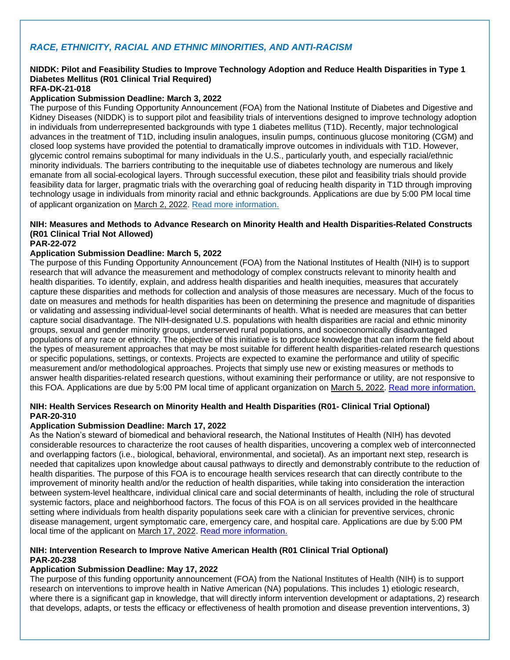### <span id="page-56-0"></span>*RACE, ETHNICITY, RACIAL AND ETHNIC MINORITIES, AND ANTI-RACISM*

### **NIDDK: Pilot and Feasibility Studies to Improve Technology Adoption and Reduce Health Disparities in Type 1 Diabetes Mellitus (R01 Clinical Trial Required)**

**RFA-DK-21-018**

#### **Application Submission Deadline: March 3, 2022**

The purpose of this Funding Opportunity Announcement (FOA) from the National Institute of Diabetes and Digestive and Kidney Diseases (NIDDK) is to support pilot and feasibility trials of interventions designed to improve technology adoption in individuals from underrepresented backgrounds with type 1 diabetes mellitus (T1D). Recently, major technological advances in the treatment of T1D, including insulin analogues, insulin pumps, continuous glucose monitoring (CGM) and closed loop systems have provided the potential to dramatically improve outcomes in individuals with T1D. However, glycemic control remains suboptimal for many individuals in the U.S., particularly youth, and especially racial/ethnic minority individuals. The barriers contributing to the inequitable use of diabetes technology are numerous and likely emanate from all social-ecological layers. Through successful execution, these pilot and feasibility trials should provide feasibility data for larger, pragmatic trials with the overarching goal of reducing health disparity in T1D through improving technology usage in individuals from minority racial and ethnic backgrounds. Applications are due by 5:00 PM local time of applicant organization on March 2, 2022. [Read more information.](https://grants.nih.gov/grants/guide/rfa-files/RFA-DK-21-018.html)

### **NIH: Measures and Methods to Advance Research on Minority Health and Health Disparities-Related Constructs (R01 Clinical Trial Not Allowed)**

#### **PAR-22-072**

#### **Application Submission Deadline: March 5, 2022**

The purpose of this Funding Opportunity Announcement (FOA) from the National Institutes of Health (NIH) is to support research that will advance the measurement and methodology of complex constructs relevant to minority health and health disparities. To identify, explain, and address health disparities and health inequities, measures that accurately capture these disparities and methods for collection and analysis of those measures are necessary. Much of the focus to date on measures and methods for health disparities has been on determining the presence and magnitude of disparities or validating and assessing individual-level social determinants of health. What is needed are measures that can better capture social disadvantage. The NIH-designated U.S. populations with health disparities are racial and ethnic minority groups, sexual and gender minority groups, underserved rural populations, and socioeconomically disadvantaged populations of any race or ethnicity. The objective of this initiative is to produce knowledge that can inform the field about the types of measurement approaches that may be most suitable for different health disparities-related research questions or specific populations, settings, or contexts. Projects are expected to examine the performance and utility of specific measurement and/or methodological approaches. Projects that simply use new or existing measures or methods to answer health disparities-related research questions, without examining their performance or utility, are not responsive to this FOA. Applications are due by 5:00 PM local time of applicant organization on March 5, 2022. [Read more information.](https://grants.nih.gov/grants/guide/pa-files/PAR-22-072.html)

#### **NIH: Health Services Research on Minority Health and Health Disparities (R01- Clinical Trial Optional) PAR-20-310**

#### **Application Submission Deadline: March 17, 2022**

As the Nation's steward of biomedical and behavioral research, the National Institutes of Health (NIH) has devoted considerable resources to characterize the root causes of health disparities, uncovering a complex web of interconnected and overlapping factors (i.e., biological, behavioral, environmental, and societal). As an important next step, research is needed that capitalizes upon knowledge about causal pathways to directly and demonstrably contribute to the reduction of health disparities. The purpose of this FOA is to encourage health services research that can directly contribute to the improvement of minority health and/or the reduction of health disparities, while taking into consideration the interaction between system-level healthcare, individual clinical care and social determinants of health, including the role of structural systemic factors, place and neighborhood factors. The focus of this FOA is on all services provided in the healthcare setting where individuals from health disparity populations seek care with a clinician for preventive services, chronic disease management, urgent symptomatic care, emergency care, and hospital care. Applications are due by 5:00 PM local time of the applicant on March 17, 2022. [Read more information.](https://grants.nih.gov/grants/guide/pa-files/PAR-20-310.html)

#### **NIH: Intervention Research to Improve Native American Health (R01 Clinical Trial Optional) PAR-20-238**

#### **Application Submission Deadline: May 17, 2022**

The purpose of this funding opportunity announcement (FOA) from the National Institutes of Health (NIH) is to support research on interventions to improve health in Native American (NA) populations. This includes 1) etiologic research, where there is a significant gap in knowledge, that will directly inform intervention development or adaptations, 2) research that develops, adapts, or tests the efficacy or effectiveness of health promotion and disease prevention interventions, 3)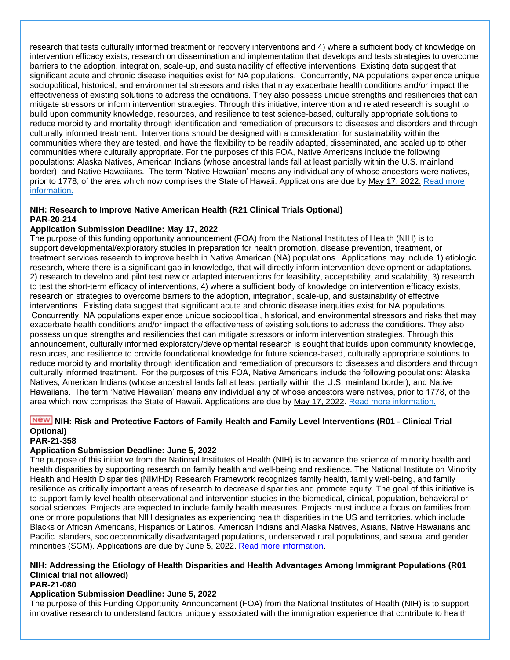research that tests culturally informed treatment or recovery interventions and 4) where a sufficient body of knowledge on intervention efficacy exists, research on dissemination and implementation that develops and tests strategies to overcome barriers to the adoption, integration, scale-up, and sustainability of effective interventions. Existing data suggest that significant acute and chronic disease inequities exist for NA populations. Concurrently, NA populations experience unique sociopolitical, historical, and environmental stressors and risks that may exacerbate health conditions and/or impact the effectiveness of existing solutions to address the conditions. They also possess unique strengths and resiliencies that can mitigate stressors or inform intervention strategies. Through this initiative, intervention and related research is sought to build upon community knowledge, resources, and resilience to test science-based, culturally appropriate solutions to reduce morbidity and mortality through identification and remediation of precursors to diseases and disorders and through culturally informed treatment. Interventions should be designed with a consideration for sustainability within the communities where they are tested, and have the flexibility to be readily adapted, disseminated, and scaled up to other communities where culturally appropriate. For the purposes of this FOA, Native Americans include the following populations: Alaska Natives, American Indians (whose ancestral lands fall at least partially within the U.S. mainland border), and Native Hawaiians. The term 'Native Hawaiian' means any individual any of whose ancestors were natives, prior to 1778, of the area which now comprises the State of Hawaii. Applications are due by May 17, 2022. Read [more](https://grants.nih.gov/grants/guide/pa-files/PAR-20-238.html)  [information.](https://grants.nih.gov/grants/guide/pa-files/PAR-20-238.html)

#### **NIH: Research to Improve Native American Health (R21 Clinical Trials Optional) PAR-20-214**

#### **Application Submission Deadline: May 17, 2022**

The purpose of this funding opportunity announcement (FOA) from the National Institutes of Health (NIH) is to support developmental/exploratory studies in preparation for health promotion, disease prevention, treatment, or treatment services research to improve health in Native American (NA) populations.  Applications may include 1) etiologic research, where there is a significant gap in knowledge, that will directly inform intervention development or adaptations, 2) research to develop and pilot test new or adapted interventions for feasibility, acceptability, and scalability, 3) research to test the short-term efficacy of interventions, 4) where a sufficient body of knowledge on intervention efficacy exists, research on strategies to overcome barriers to the adoption, integration, scale-up, and sustainability of effective interventions.  Existing data suggest that significant acute and chronic disease inequities exist for NA populations.  Concurrently, NA populations experience unique sociopolitical, historical, and environmental stressors and risks that may exacerbate health conditions and/or impact the effectiveness of existing solutions to address the conditions. They also possess unique strengths and resiliencies that can mitigate stressors or inform intervention strategies. Through this announcement, culturally informed exploratory/developmental research is sought that builds upon community knowledge, resources, and resilience to provide foundational knowledge for future science-based, culturally appropriate solutions to reduce morbidity and mortality through identification and remediation of precursors to diseases and disorders and through culturally informed treatment.  For the purposes of this FOA, Native Americans include the following populations: Alaska Natives, American Indians (whose ancestral lands fall at least partially within the U.S. mainland border), and Native Hawaiians.  The term 'Native Hawaiian' means any individual any of whose ancestors were natives, prior to 1778, of the area which now comprises the State of Hawaii. Applications are due by May 17, 2022. [Read more information.](https://grants.nih.gov/grants/guide/pa-files/PAR-20-214.html)

### **NIH: Risk and Protective Factors of Family Health and Family Level Interventions (R01 - Clinical Trial Optional)**

### **PAR-21-358**

#### **Application Submission Deadline: June 5, 2022**

The purpose of this initiative from the National Institutes of Health (NIH) is to advance the science of minority health and health disparities by supporting research on family health and well-being and resilience. The National Institute on Minority Health and Health Disparities (NIMHD) Research Framework recognizes family health, family well-being, and family resilience as critically important areas of research to decrease disparities and promote equity. The goal of this initiative is to support family level health observational and intervention studies in the biomedical, clinical, population, behavioral or social sciences. Projects are expected to include family health measures. Projects must include a focus on families from one or more populations that NIH designates as experiencing health disparities in the US and territories, which include Blacks or African Americans, Hispanics or Latinos, American Indians and Alaska Natives, Asians, Native Hawaiians and Pacific Islanders, socioeconomically disadvantaged populations, underserved rural populations, and sexual and gender minorities (SGM). Applications are due by June 5, 2022. [Read more information.](https://grants.nih.gov/grants/guide/pa-files/PAR-21-358.html)

#### **NIH: Addressing the Etiology of Health Disparities and Health Advantages Among Immigrant Populations (R01 Clinical trial not allowed)**

#### **PAR-21-080**

### **Application Submission Deadline: June 5, 2022**

The purpose of this Funding Opportunity Announcement (FOA) from the National Institutes of Health (NIH) is to support innovative research to understand factors uniquely associated with the immigration experience that contribute to health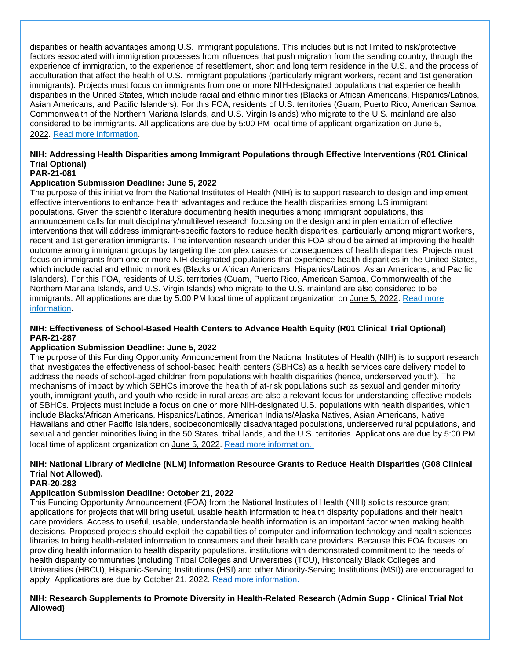disparities or health advantages among U.S. immigrant populations. This includes but is not limited to risk/protective factors associated with immigration processes from influences that push migration from the sending country, through the experience of immigration, to the experience of resettlement, short and long term residence in the U.S. and the process of acculturation that affect the health of U.S. immigrant populations (particularly migrant workers, recent and 1st generation immigrants). Projects must focus on immigrants from one or more NIH-designated populations that experience health disparities in the United States, which include racial and ethnic minorities (Blacks or African Americans, Hispanics/Latinos, Asian Americans, and Pacific Islanders). For this FOA, residents of U.S. territories (Guam, Puerto Rico, American Samoa, Commonwealth of the Northern Mariana Islands, and U.S. Virgin Islands) who migrate to the U.S. mainland are also considered to be immigrants. All applications are due by 5:00 PM local time of applicant organization on June 5, 2022. [Read more information.](https://grants.nih.gov/grants/guide/pa-files/PAR-21-080.html)

### **NIH: Addressing Health Disparities among Immigrant Populations through Effective Interventions (R01 Clinical Trial Optional)**

### **PAR-21-081**

### **Application Submission Deadline: June 5, 2022**

The purpose of this initiative from the National Institutes of Health (NIH) is to support research to design and implement effective interventions to enhance health advantages and reduce the health disparities among US immigrant populations. Given the scientific literature documenting health inequities among immigrant populations, this announcement calls for multidisciplinary/multilevel research focusing on the design and implementation of effective interventions that will address immigrant-specific factors to reduce health disparities, particularly among migrant workers, recent and 1st generation immigrants. The intervention research under this FOA should be aimed at improving the health outcome among immigrant groups by targeting the complex causes or consequences of health disparities. Projects must focus on immigrants from one or more NIH-designated populations that experience health disparities in the United States, which include racial and ethnic minorities (Blacks or African Americans, Hispanics/Latinos, Asian Americans, and Pacific Islanders). For this FOA, residents of U.S. territories (Guam, Puerto Rico, American Samoa, Commonwealth of the Northern Mariana Islands, and U.S. Virgin Islands) who migrate to the U.S. mainland are also considered to be immigrants. All applications are due by 5:00 PM local time of applicant organization on June 5, 2022. Read more [information.](https://grants.nih.gov/grants/guide/pa-files/PAR-21-081.html)

### **NIH: Effectiveness of School-Based Health Centers to Advance Health Equity (R01 Clinical Trial Optional) PAR-21-287**

### **Application Submission Deadline: June 5, 2022**

The purpose of this Funding Opportunity Announcement from the National Institutes of Health (NIH) is to support research that investigates the effectiveness of school-based health centers (SBHCs) as a health services care delivery model to address the needs of school-aged children from populations with health disparities (hence, underserved youth). The mechanisms of impact by which SBHCs improve the health of at-risk populations such as sexual and gender minority youth, immigrant youth, and youth who reside in rural areas are also a relevant focus for understanding effective models of SBHCs. Projects must include a focus on one or more NIH-designated U.S. populations with health disparities, which include Blacks/African Americans, Hispanics/Latinos, American Indians/Alaska Natives, Asian Americans, Native Hawaiians and other Pacific Islanders, socioeconomically disadvantaged populations, underserved rural populations, and sexual and gender minorities living in the 50 States, tribal lands, and the U.S. territories. Applications are due by 5:00 PM local time of applicant organization on June 5, 2022. [Read more information.](https://grants.nih.gov/grants/guide/pa-files/PAR-21-287.html)

### **NIH: National Library of Medicine (NLM) Information Resource Grants to Reduce Health Disparities (G08 Clinical Trial Not Allowed).**

#### **PAR-20-283**

### **Application Submission Deadline: October 21, 2022**

This Funding Opportunity Announcement (FOA) from the National Institutes of Health (NIH) solicits resource grant applications for projects that will bring useful, usable health information to health disparity populations and their health care providers. Access to useful, usable, understandable health information is an important factor when making health decisions. Proposed projects should exploit the capabilities of computer and information technology and health sciences libraries to bring health-related information to consumers and their health care providers. Because this FOA focuses on providing health information to health disparity populations, institutions with demonstrated commitment to the needs of health disparity communities (including Tribal Colleges and Universities (TCU), Historically Black Colleges and Universities (HBCU), Hispanic-Serving Institutions (HSI) and other Minority-Serving Institutions (MSI)) are encouraged to apply. Applications are due by October 21, 2022. [Read more information.](https://grants.nih.gov/grants/guide/pa-files/PAR-20-283.html)

#### **NIH: Research Supplements to Promote Diversity in Health-Related Research (Admin Supp - Clinical Trial Not Allowed)**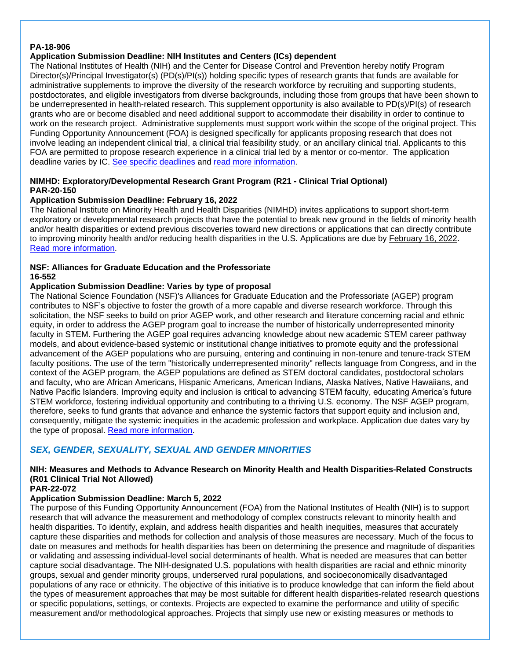#### **PA-18-906**

### **Application Submission Deadline: NIH Institutes and Centers (ICs) dependent**

The National Institutes of Health (NIH) and the Center for Disease Control and Prevention hereby notify Program Director(s)/Principal Investigator(s) (PD(s)/PI(s)) holding specific types of research grants that funds are available for administrative supplements to improve the diversity of the research workforce by recruiting and supporting students, postdoctorates, and eligible investigators from diverse backgrounds, including those from groups that have been shown to be underrepresented in health-related research. This supplement opportunity is also available to PD(s)/PI(s) of research grants who are or become disabled and need additional support to accommodate their disability in order to continue to work on the research project. Administrative supplements must support work within the scope of the original project. This Funding Opportunity Announcement (FOA) is designed specifically for applicants proposing research that does not involve leading an independent clinical trial, a clinical trial feasibility study, or an ancillary clinical trial. Applicants to this FOA are permitted to propose research experience in a clinical trial led by a mentor or co-mentor. The application deadline varies by IC. [See specific deadlines](https://grants.nih.gov/grants/guide/contacts/Diversity-Supp_contacts.html) and [read more information.](https://grants.nih.gov/grants/guide/pa-files/PA-18-906.html)

### **NIMHD: Exploratory/Developmental Research Grant Program (R21 - Clinical Trial Optional) PAR-20-150**

#### **Application Submission Deadline: February 16, 2022**

The National Institute on Minority Health and Health Disparities (NIMHD) invites applications to support short-term exploratory or developmental research projects that have the potential to break new ground in the fields of minority health and/or health disparities or extend previous discoveries toward new directions or applications that can directly contribute to improving minority health and/or reducing health disparities in the U.S. Applications are due by February 16, 2022. [Read more information.](https://grants.nih.gov/grants/guide/pa-files/PAR-20-150.html)

### **NSF: Alliances for Graduate Education and the Professoriate 16-552**

#### **Application Submission Deadline: Varies by type of proposal**

The National Science Foundation (NSF)'s Alliances for Graduate Education and the Professoriate (AGEP) program contributes to NSF's objective to foster the growth of a more capable and diverse research workforce. Through this solicitation, the NSF seeks to build on prior AGEP work, and other research and literature concerning racial and ethnic equity, in order to address the AGEP program goal to increase the number of historically underrepresented minority faculty in STEM. Furthering the AGEP goal requires advancing knowledge about new academic STEM career pathway models, and about evidence-based systemic or institutional change initiatives to promote equity and the professional advancement of the AGEP populations who are pursuing, entering and continuing in non-tenure and tenure-track STEM faculty positions. The use of the term "historically underrepresented minority" reflects language from Congress, and in the context of the AGEP program, the AGEP populations are defined as STEM doctoral candidates, postdoctoral scholars and faculty, who are African Americans, Hispanic Americans, American Indians, Alaska Natives, Native Hawaiians, and Native Pacific Islanders. Improving equity and inclusion is critical to advancing STEM faculty, educating America's future STEM workforce, fostering individual opportunity and contributing to a thriving U.S. economy. The NSF AGEP program, therefore, seeks to fund grants that advance and enhance the systemic factors that support equity and inclusion and, consequently, mitigate the systemic inequities in the academic profession and workplace. Application due dates vary by the type of proposal. [Read more information.](https://www.nsf.gov/pubs/2021/nsf21576/nsf21576.pdf)

### <span id="page-59-0"></span>*SEX, GENDER, SEXUALITY, SEXUAL AND GENDER MINORITIES*

### **NIH: Measures and Methods to Advance Research on Minority Health and Health Disparities-Related Constructs (R01 Clinical Trial Not Allowed)**

#### **PAR-22-072**

### **Application Submission Deadline: March 5, 2022**

The purpose of this Funding Opportunity Announcement (FOA) from the National Institutes of Health (NIH) is to support research that will advance the measurement and methodology of complex constructs relevant to minority health and health disparities. To identify, explain, and address health disparities and health inequities, measures that accurately capture these disparities and methods for collection and analysis of those measures are necessary. Much of the focus to date on measures and methods for health disparities has been on determining the presence and magnitude of disparities or validating and assessing individual-level social determinants of health. What is needed are measures that can better capture social disadvantage. The NIH-designated U.S. populations with health disparities are racial and ethnic minority groups, sexual and gender minority groups, underserved rural populations, and socioeconomically disadvantaged populations of any race or ethnicity. The objective of this initiative is to produce knowledge that can inform the field about the types of measurement approaches that may be most suitable for different health disparities-related research questions or specific populations, settings, or contexts. Projects are expected to examine the performance and utility of specific measurement and/or methodological approaches. Projects that simply use new or existing measures or methods to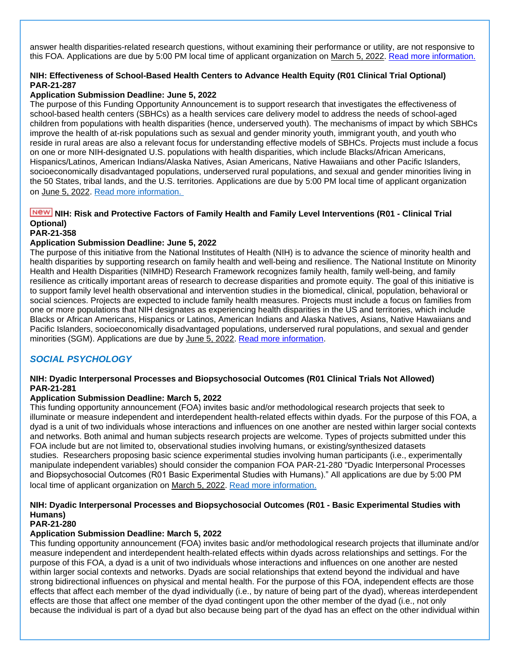answer health disparities-related research questions, without examining their performance or utility, are not responsive to this FOA. Applications are due by 5:00 PM local time of applicant organization on March 5, 2022. [Read more information.](https://grants.nih.gov/grants/guide/pa-files/PAR-22-072.html)

### **NIH: Effectiveness of School-Based Health Centers to Advance Health Equity (R01 Clinical Trial Optional) PAR-21-287**

### **Application Submission Deadline: June 5, 2022**

The purpose of this Funding Opportunity Announcement is to support research that investigates the effectiveness of school-based health centers (SBHCs) as a health services care delivery model to address the needs of school-aged children from populations with health disparities (hence, underserved youth). The mechanisms of impact by which SBHCs improve the health of at-risk populations such as sexual and gender minority youth, immigrant youth, and youth who reside in rural areas are also a relevant focus for understanding effective models of SBHCs. Projects must include a focus on one or more NIH-designated U.S. populations with health disparities, which include Blacks/African Americans, Hispanics/Latinos, American Indians/Alaska Natives, Asian Americans, Native Hawaiians and other Pacific Islanders, socioeconomically disadvantaged populations, underserved rural populations, and sexual and gender minorities living in the 50 States, tribal lands, and the U.S. territories. Applications are due by 5:00 PM local time of applicant organization on June 5, 2022. [Read more information.](https://grants.nih.gov/grants/guide/pa-files/PAR-21-287.html)

### **NIH: Risk and Protective Factors of Family Health and Family Level Interventions (R01 - Clinical Trial Optional)**

#### **PAR-21-358**

### **Application Submission Deadline: June 5, 2022**

The purpose of this initiative from the National Institutes of Health (NIH) is to advance the science of minority health and health disparities by supporting research on family health and well-being and resilience. The National Institute on Minority Health and Health Disparities (NIMHD) Research Framework recognizes family health, family well-being, and family resilience as critically important areas of research to decrease disparities and promote equity. The goal of this initiative is to support family level health observational and intervention studies in the biomedical, clinical, population, behavioral or social sciences. Projects are expected to include family health measures. Projects must include a focus on families from one or more populations that NIH designates as experiencing health disparities in the US and territories, which include Blacks or African Americans, Hispanics or Latinos, American Indians and Alaska Natives, Asians, Native Hawaiians and Pacific Islanders, socioeconomically disadvantaged populations, underserved rural populations, and sexual and gender minorities (SGM). Applications are due by June 5, 2022. [Read more information.](https://grants.nih.gov/grants/guide/pa-files/PAR-21-358.html)

### <span id="page-60-0"></span>*SOCIAL PSYCHOLOGY*

#### **NIH: Dyadic Interpersonal Processes and Biopsychosocial Outcomes (R01 Clinical Trials Not Allowed) PAR-21-281**

#### **Application Submission Deadline: March 5, 2022**

This funding opportunity announcement (FOA) invites basic and/or methodological research projects that seek to illuminate or measure independent and interdependent health-related effects within dyads. For the purpose of this FOA, a dyad is a unit of two individuals whose interactions and influences on one another are nested within larger social contexts and networks. Both animal and human subjects research projects are welcome. Types of projects submitted under this FOA include but are not limited to, observational studies involving humans, or existing/synthesized datasets studies. Researchers proposing basic science experimental studies involving human participants (i.e., experimentally manipulate independent variables) should consider the companion FOA PAR-21-280 "Dyadic Interpersonal Processes and Biopsychosocial Outcomes (R01 Basic Experimental Studies with Humans)." All applications are due by 5:00 PM local time of applicant organization on March 5, 2022. [Read more information.](https://grants.nih.gov/grants/guide/pa-files/PAR-21-281.html)

### **NIH: Dyadic Interpersonal Processes and Biopsychosocial Outcomes (R01 - Basic Experimental Studies with Humans)**

#### **PAR-21-280**

#### **Application Submission Deadline: March 5, 2022**

This funding opportunity announcement (FOA) invites basic and/or methodological research projects that illuminate and/or measure independent and interdependent health-related effects within dyads across relationships and settings. For the purpose of this FOA, a dyad is a unit of two individuals whose interactions and influences on one another are nested within larger social contexts and networks. Dyads are social relationships that extend beyond the individual and have strong bidirectional influences on physical and mental health. For the purpose of this FOA, independent effects are those effects that affect each member of the dyad individually (i.e., by nature of being part of the dyad), whereas interdependent effects are those that affect one member of the dyad contingent upon the other member of the dyad (i.e., not only because the individual is part of a dyad but also because being part of the dyad has an effect on the other individual within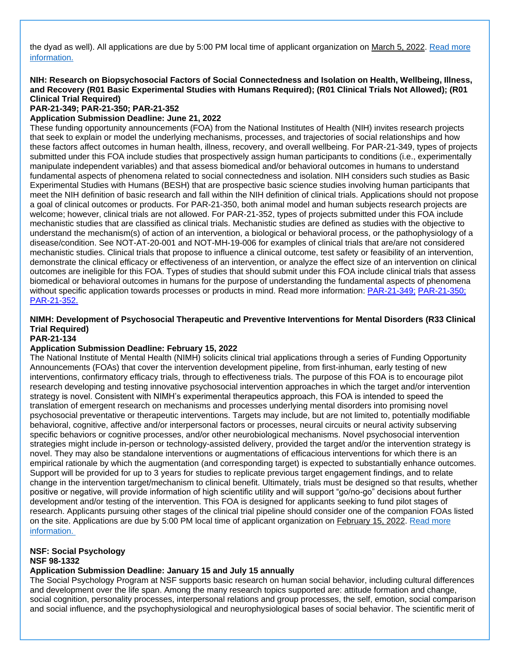the dyad as well). All applications are due by 5:00 PM local time of applicant organization on March 5, 2022. [Read more](https://grants.nih.gov/grants/guide/pa-files/PAR-21-280.html)  [information.](https://grants.nih.gov/grants/guide/pa-files/PAR-21-280.html)

### **NIH: Research on Biopsychosocial Factors of Social Connectedness and Isolation on Health, Wellbeing, Illness, and Recovery (R01 Basic Experimental Studies with Humans Required); (R01 Clinical Trials Not Allowed); (R01 Clinical Trial Required)**

**PAR-21-349; PAR-21-350; PAR-21-352**

#### **Application Submission Deadline: June 21, 2022**

These funding opportunity announcements (FOA) from the National Institutes of Health (NIH) invites research projects that seek to explain or model the underlying mechanisms, processes, and trajectories of social relationships and how these factors affect outcomes in human health, illness, recovery, and overall wellbeing. For PAR-21-349, types of projects submitted under this FOA include studies that prospectively assign human participants to conditions (i.e., experimentally manipulate independent variables) and that assess biomedical and/or behavioral outcomes in humans to understand fundamental aspects of phenomena related to social connectedness and isolation. NIH considers such studies as Basic Experimental Studies with Humans (BESH) that are prospective basic science studies involving human participants that meet the NIH definition of basic research and fall within the NIH definition of clinical trials. Applications should not propose a goal of clinical outcomes or products. For PAR-21-350, both animal model and human subjects research projects are welcome; however, clinical trials are not allowed. For PAR-21-352, types of projects submitted under this FOA include mechanistic studies that are classified as clinical trials. Mechanistic studies are defined as studies with the objective to understand the mechanism(s) of action of an intervention, a biological or behavioral process, or the pathophysiology of a disease/condition. See NOT-AT-20-001 and NOT-MH-19-006 for examples of clinical trials that are/are not considered mechanistic studies. Clinical trials that propose to influence a clinical outcome, test safety or feasibility of an intervention, demonstrate the clinical efficacy or effectiveness of an intervention, or analyze the effect size of an intervention on clinical outcomes are ineligible for this FOA. Types of studies that should submit under this FOA include clinical trials that assess biomedical or behavioral outcomes in humans for the purpose of understanding the fundamental aspects of phenomena without specific application towards processes or products in mind. Read more information: [PAR-21-349;](https://grants.nih.gov/grants/guide/pa-files/PAR-21-349.html) [PAR-21-350;](https://grants.nih.gov/grants/guide/pa-files/PAR-21-350.html) [PAR-21-352.](https://grants.nih.gov/grants/guide/pa-files/PAR-21-352.html)

#### **NIMH: Development of Psychosocial Therapeutic and Preventive Interventions for Mental Disorders (R33 Clinical Trial Required)**

#### **PAR-21-134**

#### **Application Submission Deadline: February 15, 2022**

The National Institute of Mental Health (NIMH) solicits clinical trial applications through a series of Funding Opportunity Announcements (FOAs) that cover the intervention development pipeline, from first-inhuman, early testing of new interventions, confirmatory efficacy trials, through to effectiveness trials. The purpose of this FOA is to encourage pilot research developing and testing innovative psychosocial intervention approaches in which the target and/or intervention strategy is novel. Consistent with NIMH's experimental therapeutics approach, this FOA is intended to speed the translation of emergent research on mechanisms and processes underlying mental disorders into promising novel psychosocial preventative or therapeutic interventions. Targets may include, but are not limited to, potentially modifiable behavioral, cognitive, affective and/or interpersonal factors or processes, neural circuits or neural activity subserving specific behaviors or cognitive processes, and/or other neurobiological mechanisms. Novel psychosocial intervention strategies might include in-person or technology-assisted delivery, provided the target and/or the intervention strategy is novel. They may also be standalone interventions or augmentations of efficacious interventions for which there is an empirical rationale by which the augmentation (and corresponding target) is expected to substantially enhance outcomes. Support will be provided for up to 3 years for studies to replicate previous target engagement findings, and to relate change in the intervention target/mechanism to clinical benefit. Ultimately, trials must be designed so that results, whether positive or negative, will provide information of high scientific utility and will support "go/no-go" decisions about further development and/or testing of the intervention. This FOA is designed for applicants seeking to fund pilot stages of research. Applicants pursuing other stages of the clinical trial pipeline should consider one of the companion FOAs listed on the site. Applications are due by 5:00 PM local time of applicant organization on February 15, 2022. [Read more](https://grants.nih.gov/grants/guide/pa-files/PAR-21-134.html)  [information.](https://grants.nih.gov/grants/guide/pa-files/PAR-21-134.html)

#### **NSF: Social Psychology NSF 98-1332**

#### **Application Submission Deadline: January 15 and July 15 annually**

The Social Psychology Program at NSF supports basic research on human social behavior, including cultural differences and development over the life span. Among the many research topics supported are: attitude formation and change, social cognition, personality processes, interpersonal relations and group processes, the self, emotion, social comparison and social influence, and the psychophysiological and neurophysiological bases of social behavior. The scientific merit of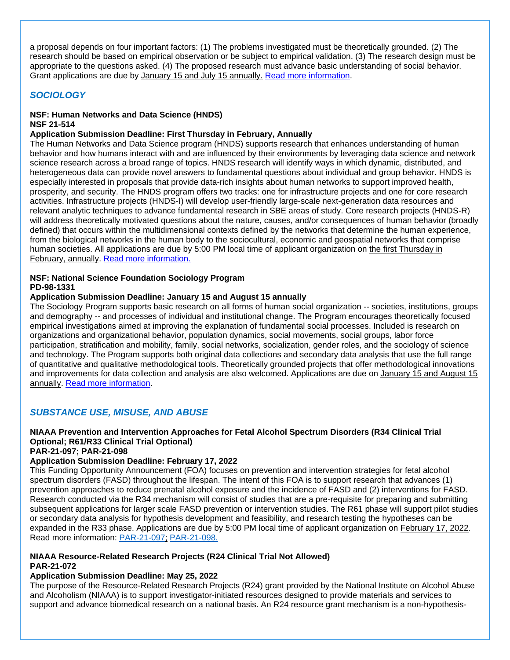a proposal depends on four important factors: (1) The problems investigated must be theoretically grounded. (2) The research should be based on empirical observation or be subject to empirical validation. (3) The research design must be appropriate to the questions asked. (4) The proposed research must advance basic understanding of social behavior. Grant applications are due by January 15 and July 15 annually. Read [more information.](http://www.nsf.gov/funding/pgm_summ.jsp?pims_id=5712&org=SBE&sel_org=SBE&from=fund)

### <span id="page-62-0"></span>*SOCIOLOGY*

#### **NSF: Human Networks and Data Science (HNDS) NSF 21-514**

#### **Application Submission Deadline: First Thursday in February, Annually**

The Human Networks and Data Science program (HNDS) supports research that enhances understanding of human behavior and how humans interact with and are influenced by their environments by leveraging data science and network science research across a broad range of topics. HNDS research will identify ways in which dynamic, distributed, and heterogeneous data can provide novel answers to fundamental questions about individual and group behavior. HNDS is especially interested in proposals that provide data-rich insights about human networks to support improved health, prosperity, and security. The HNDS program offers two tracks: one for infrastructure projects and one for core research activities. Infrastructure projects (HNDS-I) will develop user-friendly large-scale next-generation data resources and relevant analytic techniques to advance fundamental research in SBE areas of study. Core research projects (HNDS-R) will address theoretically motivated questions about the nature, causes, and/or consequences of human behavior (broadly defined) that occurs within the multidimensional contexts defined by the networks that determine the human experience, from the biological networks in the human body to the sociocultural, economic and geospatial networks that comprise human societies. All applications are due by 5:00 PM local time of applicant organization on the first Thursday in February, annually. [Read more information.](https://www.nsf.gov/pubs/2021/nsf21514/nsf21514.htm)

#### **NSF: National Science Foundation Sociology Program PD-98-1331**

#### **Application Submission Deadline: January 15 and August 15 annually**

The Sociology Program supports basic research on all forms of human social organization -- societies, institutions, groups and demography -- and processes of individual and institutional change. The Program encourages theoretically focused empirical investigations aimed at improving the explanation of fundamental social processes. Included is research on organizations and organizational behavior, population dynamics, social movements, social groups, labor force participation, stratification and mobility, family, social networks, socialization, gender roles, and the sociology of science and technology. The Program supports both original data collections and secondary data analysis that use the full range of quantitative and qualitative methodological tools. Theoretically grounded projects that offer methodological innovations and improvements for data collection and analysis are also welcomed. Applications are due on January 15 and August 15 annually. [Read more information.](http://r20.rs6.net/tn.jsp?f=0019UctST0bswekx7j9ZPkN3Ui_HRbWOnZndAzv2An8hUjDH2Vai294DsW1BxMrwHMcfOJb2-BkTKwv4RVuMJ3lumiLATzaGScV6y8FBsjr5QuanOPlp7ycaeV4aX3FrABq7cFbrwWqsl33vvnn4jODZ0UY10r48qrFMryGQ4RNt1RXJpdYTFsm1qFbDOvZZvbVcaZzolbZR_bcfTJQKD5tZUHEc79VCpX46XrbRM1M3Jdpn2R57fBF-G18V8i5G5W8KuoglXBgdJmL3ZS08wx8TA==&c=g8MtcaOSN61-DrUfS3IILH7gG9cXNl-CqceSBnr8-jt1Klmkz6QnDA==&ch=7eUFwnl13ZBWfy_tPxT7aLBpsLOlfy9mw3ces91pGKDJ49hrvdkeRA==)

### <span id="page-62-1"></span>*SUBSTANCE USE, MISUSE, AND ABUSE*

#### **NIAAA Prevention and Intervention Approaches for Fetal Alcohol Spectrum Disorders (R34 Clinical Trial Optional; R61/R33 Clinical Trial Optional)**

#### **PAR-21-097; PAR-21-098**

#### **Application Submission Deadline: February 17, 2022**

This Funding Opportunity Announcement (FOA) focuses on prevention and intervention strategies for fetal alcohol spectrum disorders (FASD) throughout the lifespan. The intent of this FOA is to support research that advances (1) prevention approaches to reduce prenatal alcohol exposure and the incidence of FASD and (2) interventions for FASD. Research conducted via the R34 mechanism will consist of studies that are a pre-requisite for preparing and submitting subsequent applications for larger scale FASD prevention or intervention studies. The R61 phase will support pilot studies or secondary data analysis for hypothesis development and feasibility, and research testing the hypotheses can be expanded in the R33 phase. Applications are due by 5:00 PM local time of applicant organization on February 17, 2022. Read more information: [PAR-21-097;](https://grants.nih.gov/grants/guide/pa-files/PAR-21-097.html) [PAR-21-098.](https://grants.nih.gov/grants/guide/pa-files/PAR-21-098.html)

#### **NIAAA Resource-Related Research Projects (R24 Clinical Trial Not Allowed) PAR-21-072**

#### **Application Submission Deadline: May 25, 2022**

The purpose of the Resource-Related Research Projects (R24) grant provided by the National Institute on Alcohol Abuse and Alcoholism (NIAAA) is to support investigator-initiated resources designed to provide materials and services to support and advance biomedical research on a national basis. An R24 resource grant mechanism is a non-hypothesis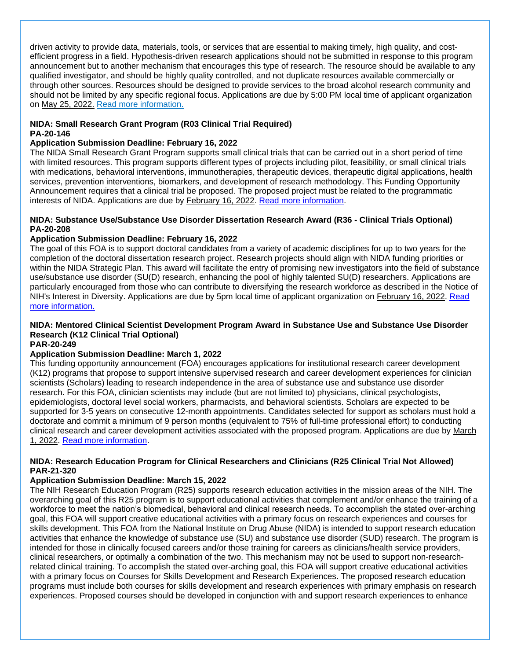driven activity to provide data, materials, tools, or services that are essential to making timely, high quality, and costefficient progress in a field. Hypothesis-driven research applications should not be submitted in response to this program announcement but to another mechanism that encourages this type of research. The resource should be available to any qualified investigator, and should be highly quality controlled, and not duplicate resources available commercially or through other sources. Resources should be designed to provide services to the broad alcohol research community and should not be limited by any specific regional focus. Applications are due by 5:00 PM local time of applicant organization on May 25, 2022. [Read more information.](https://grants.nih.gov/grants/guide/pa-files/PAR-21-072.html)

#### **NIDA: Small Research Grant Program (R03 Clinical Trial Required) PA-20-146**

#### **Application Submission Deadline: February 16, 2022**

The NIDA Small Research Grant Program supports small clinical trials that can be carried out in a short period of time with limited resources. This program supports different types of projects including pilot, feasibility, or small clinical trials with medications, behavioral interventions, immunotherapies, therapeutic devices, therapeutic digital applications, health services, prevention interventions, biomarkers, and development of research methodology. This Funding Opportunity Announcement requires that a clinical trial be proposed. The proposed project must be related to the programmatic interests of NIDA. Applications are due by February 16, 2022. [Read more information.](https://grants.nih.gov/grants/guide/pa-files/PA-20-146.html)

### **NIDA: Substance Use/Substance Use Disorder Dissertation Research Award (R36 - Clinical Trials Optional) PA-20-208**

#### **Application Submission Deadline: February 16, 2022**

The goal of this FOA is to support doctoral candidates from a variety of academic disciplines for up to two years for the completion of the doctoral dissertation research project. Research projects should align with NIDA funding priorities or within the NIDA Strategic Plan. This award will facilitate the entry of promising new investigators into the field of substance use/substance use disorder (SU(D) research, enhancing the pool of highly talented SU(D) researchers. Applications are particularly encouraged from those who can contribute to diversifying the research workforce as described in the Notice of NIH's Interest in Diversity. Applications are due by 5pm local time of applicant organization on February 16, 2022. [Read](https://grants.nih.gov/grants/guide/pa-files/PA-20-208.html)  [more information.](https://grants.nih.gov/grants/guide/pa-files/PA-20-208.html)

### **NIDA: Mentored Clinical Scientist Development Program Award in Substance Use and Substance Use Disorder Research (K12 Clinical Trial Optional)**

#### **PAR-20-249**

### **Application Submission Deadline: March 1, 2022**

This funding opportunity announcement (FOA) encourages applications for institutional research career development (K12) programs that propose to support intensive supervised research and career development experiences for clinician scientists (Scholars) leading to research independence in the area of substance use and substance use disorder research. For this FOA, clinician scientists may include (but are not limited to) physicians, clinical psychologists, epidemiologists, doctoral level social workers, pharmacists, and behavioral scientists. Scholars are expected to be supported for 3-5 years on consecutive 12-month appointments. Candidates selected for support as scholars must hold a doctorate and commit a minimum of 9 person months (equivalent to 75% of full-time professional effort) to conducting clinical research and career development activities associated with the proposed program. Applications are due by March 1, 2022. [Read more information.](https://grants.nih.gov/grants/guide/pa-files/PAR-20-249.html)

#### **NIDA: Research Education Program for Clinical Researchers and Clinicians (R25 Clinical Trial Not Allowed) PAR-21-320**

#### **Application Submission Deadline: March 15, 2022**

The NIH Research Education Program (R25) supports research education activities in the mission areas of the NIH. The overarching goal of this R25 program is to support educational activities that complement and/or enhance the training of a workforce to meet the nation's biomedical, behavioral and clinical research needs. To accomplish the stated over-arching goal, this FOA will support creative educational activities with a primary focus on research experiences and courses for skills development. This FOA from the National Institute on Drug Abuse (NIDA) is intended to support research education activities that enhance the knowledge of substance use (SU) and substance use disorder (SUD) research. The program is intended for those in clinically focused careers and/or those training for careers as clinicians/health service providers, clinical researchers, or optimally a combination of the two. This mechanism may not be used to support non-researchrelated clinical training. To accomplish the stated over-arching goal, this FOA will support creative educational activities with a primary focus on Courses for Skills Development and Research Experiences. The proposed research education programs must include both courses for skills development and research experiences with primary emphasis on research experiences. Proposed courses should be developed in conjunction with and support research experiences to enhance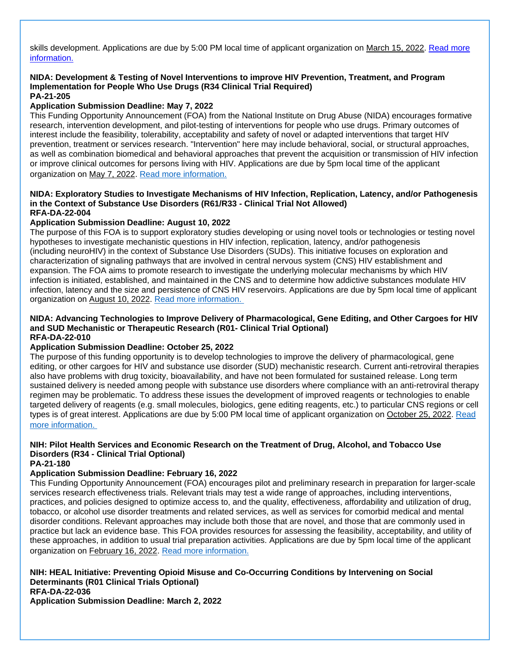skills development. Applications are due by 5:00 PM local time of applicant organization on March 15, 2022. Read more [information.](https://grants.nih.gov/grants/guide/pa-files/PAR-21-320.html)

#### **NIDA: Development & Testing of Novel Interventions to improve HIV Prevention, Treatment, and Program Implementation for People Who Use Drugs (R34 Clinical Trial Required) PA-21-205**

#### **Application Submission Deadline: May 7, 2022**

This Funding Opportunity Announcement (FOA) from the National Institute on Drug Abuse (NIDA) encourages formative research, intervention development, and pilot-testing of interventions for people who use drugs. Primary outcomes of interest include the feasibility, tolerability, acceptability and safety of novel or adapted interventions that target HIV prevention, treatment or services research. "Intervention" here may include behavioral, social, or structural approaches, as well as combination biomedical and behavioral approaches that prevent the acquisition or transmission of HIV infection or improve clinical outcomes for persons living with HIV. Applications are due by 5pm local time of the applicant organization on May 7, 2022. [Read more information.](https://grants.nih.gov/grants/guide/pa-files/PA-21-205.html)

#### **NIDA: Exploratory Studies to Investigate Mechanisms of HIV Infection, Replication, Latency, and/or Pathogenesis in the Context of Substance Use Disorders (R61/R33 - Clinical Trial Not Allowed) RFA-DA-22-004**

#### **Application Submission Deadline: August 10, 2022**

The purpose of this FOA is to support exploratory studies developing or using novel tools or technologies or testing novel hypotheses to investigate mechanistic questions in HIV infection, replication, latency, and/or pathogenesis (including neuroHIV) in the context of Substance Use Disorders (SUDs). This initiative focuses on exploration and characterization of signaling pathways that are involved in central nervous system (CNS) HIV establishment and expansion. The FOA aims to promote research to investigate the underlying molecular mechanisms by which HIV infection is initiated, established, and maintained in the CNS and to determine how addictive substances modulate HIV infection, latency and the size and persistence of CNS HIV reservoirs. Applications are due by 5pm local time of applicant organization on August 10, 2022. [Read more information.](https://grants.nih.gov/grants/guide/rfa-files/RFA-DA-22-004.html)

#### **NIDA: Advancing Technologies to Improve Delivery of Pharmacological, Gene Editing, and Other Cargoes for HIV and SUD Mechanistic or Therapeutic Research (R01- Clinical Trial Optional) RFA-DA-22-010**

#### **Application Submission Deadline: October 25, 2022**

The purpose of this funding opportunity is to develop technologies to improve the delivery of pharmacological, gene editing, or other cargoes for HIV and substance use disorder (SUD) mechanistic research. Current anti-retroviral therapies also have problems with drug toxicity, bioavailability, and have not been formulated for sustained release. Long term sustained delivery is needed among people with substance use disorders where compliance with an anti-retroviral therapy regimen may be problematic. To address these issues the development of improved reagents or technologies to enable targeted delivery of reagents (e.g. small molecules, biologics, gene editing reagents, etc.) to particular CNS regions or cell types is of great interest. Applications are due by 5:00 PM local time of applicant organization on October 25, 2022. [Read](https://grants.nih.gov/grants/guide/rfa-files/RFA-DA-22-010.html)  [more information.](https://grants.nih.gov/grants/guide/rfa-files/RFA-DA-22-010.html)

### **NIH: Pilot Health Services and Economic Research on the Treatment of Drug, Alcohol, and Tobacco Use Disorders (R34 - Clinical Trial Optional)**

#### **PA-21-180**

#### **Application Submission Deadline: February 16, 2022**

This Funding Opportunity Announcement (FOA) encourages pilot and preliminary research in preparation for larger-scale services research effectiveness trials. Relevant trials may test a wide range of approaches, including interventions, practices, and policies designed to optimize access to, and the quality, effectiveness, affordability and utilization of drug, tobacco, or alcohol use disorder treatments and related services, as well as services for comorbid medical and mental disorder conditions. Relevant approaches may include both those that are novel, and those that are commonly used in practice but lack an evidence base. This FOA provides resources for assessing the feasibility, acceptability, and utility of these approaches, in addition to usual trial preparation activities. Applications are due by 5pm local time of the applicant organization on February 16, 2022. [Read more information.](https://grants.nih.gov/grants/guide/pa-files/PA-21-180.html)

**NIH: HEAL Initiative: Preventing Opioid Misuse and Co-Occurring Conditions by Intervening on Social Determinants (R01 Clinical Trials Optional) RFA-DA-22-036 Application Submission Deadline: March 2, 2022**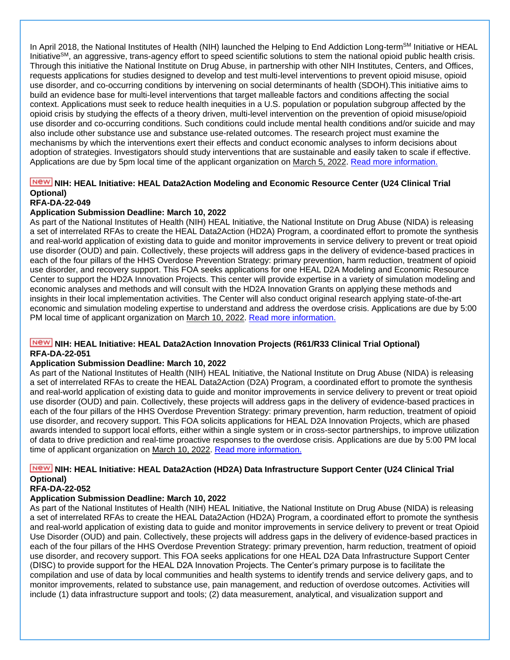In April 2018, the National Institutes of Health (NIH) launched the Helping to End Addiction Long-term<sup>SM</sup> Initiative or HEAL Initiative<sup>SM</sup>, an aggressive, trans-agency effort to speed scientific solutions to stem the national opioid public health crisis. Through this initiative the National Institute on Drug Abuse, in partnership with other NIH Institutes, Centers, and Offices, requests applications for studies designed to develop and test multi-level interventions to prevent opioid misuse, opioid use disorder, and co-occurring conditions by intervening on social determinants of health (SDOH).This initiative aims to build an evidence base for multi-level interventions that target malleable factors and conditions affecting the social context. Applications must seek to reduce health inequities in a U.S. population or population subgroup affected by the opioid crisis by studying the effects of a theory driven, multi-level intervention on the prevention of opioid misuse/opioid use disorder and co-occurring conditions. Such conditions could include mental health conditions and/or suicide and may also include other substance use and substance use-related outcomes. The research project must examine the mechanisms by which the interventions exert their effects and conduct economic analyses to inform decisions about adoption of strategies. Investigators should study interventions that are sustainable and easily taken to scale if effective. Applications are due by 5pm local time of the applicant organization on March 5, 2022. [Read more information.](https://grants.nih.gov/grants/guide/rfa-files/RFA-DA-22-036.html)

### **NICH: HEAL Initiative: HEAL Data2Action Modeling and Economic Resource Center (U24 Clinical Trial Optional)**

### **RFA-DA-22-049**

#### **Application Submission Deadline: March 10, 2022**

As part of the National Institutes of Health (NIH) HEAL Initiative, the National Institute on Drug Abuse (NIDA) is releasing a set of interrelated RFAs to create the HEAL Data2Action (HD2A) Program, a coordinated effort to promote the synthesis and real-world application of existing data to guide and monitor improvements in service delivery to prevent or treat opioid use disorder (OUD) and pain. Collectively, these projects will address gaps in the delivery of evidence-based practices in each of the four pillars of the HHS Overdose Prevention Strategy: primary prevention, harm reduction, treatment of opioid use disorder, and recovery support. This FOA seeks applications for one HEAL D2A Modeling and Economic Resource Center to support the HD2A Innovation Projects. This center will provide expertise in a variety of simulation modeling and economic analyses and methods and will consult with the HD2A Innovation Grants on applying these methods and insights in their local implementation activities. The Center will also conduct original research applying state-of-the-art economic and simulation modeling expertise to understand and address the overdose crisis. Applications are due by 5:00 PM local time of applicant organization on March 10, 2022. [Read more information.](https://grants.nih.gov/grants/guide/rfa-files/RFA-DA-22-049.html)

#### **NIME: HEAL Initiative: HEAL Data2Action Innovation Projects (R61/R33 Clinical Trial Optional) RFA-DA-22-051**

#### **Application Submission Deadline: March 10, 2022**

As part of the National Institutes of Health (NIH) HEAL Initiative, the National Institute on Drug Abuse (NIDA) is releasing a set of interrelated RFAs to create the HEAL Data2Action (D2A) Program, a coordinated effort to promote the synthesis and real-world application of existing data to guide and monitor improvements in service delivery to prevent or treat opioid use disorder (OUD) and pain. Collectively, these projects will address gaps in the delivery of evidence-based practices in each of the four pillars of the HHS Overdose Prevention Strategy: primary prevention, harm reduction, treatment of opioid use disorder, and recovery support. This FOA solicits applications for HEAL D2A Innovation Projects, which are phased awards intended to support local efforts, either within a single system or in cross-sector partnerships, to improve utilization of data to drive prediction and real-time proactive responses to the overdose crisis. Applications are due by 5:00 PM local time of applicant organization on March 10, 2022. [Read more information.](https://grants.nih.gov/grants/guide/rfa-files/RFA-DA-22-051.html)

### **NIME: HEAL Initiative: HEAL Data2Action (HD2A) Data Infrastructure Support Center (U24 Clinical Trial Optional)**

#### **RFA-DA-22-052**

#### **Application Submission Deadline: March 10, 2022**

As part of the National Institutes of Health (NIH) HEAL Initiative, the National Institute on Drug Abuse (NIDA) is releasing a set of interrelated RFAs to create the HEAL Data2Action (HD2A) Program, a coordinated effort to promote the synthesis and real-world application of existing data to guide and monitor improvements in service delivery to prevent or treat Opioid Use Disorder (OUD) and pain. Collectively, these projects will address gaps in the delivery of evidence-based practices in each of the four pillars of the HHS Overdose Prevention Strategy: primary prevention, harm reduction, treatment of opioid use disorder, and recovery support. This FOA seeks applications for one HEAL D2A Data Infrastructure Support Center (DISC) to provide support for the HEAL D2A Innovation Projects. The Center's primary purpose is to facilitate the compilation and use of data by local communities and health systems to identify trends and service delivery gaps, and to monitor improvements, related to substance use, pain management, and reduction of overdose outcomes. Activities will include (1) data infrastructure support and tools; (2) data measurement, analytical, and visualization support and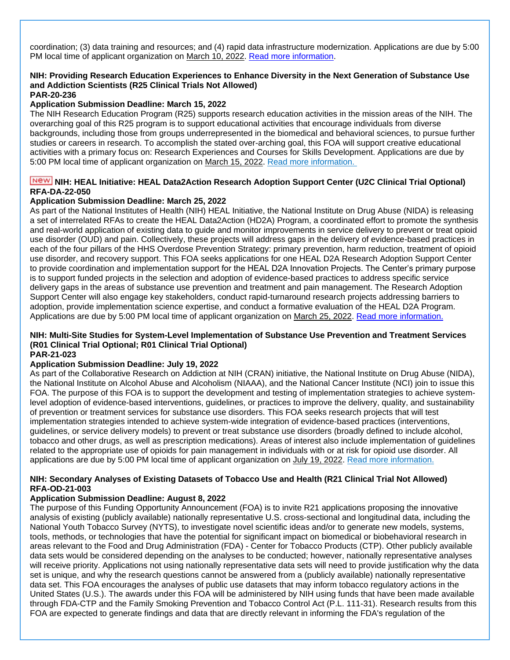coordination; (3) data training and resources; and (4) rapid data infrastructure modernization. Applications are due by 5:00 PM local time of applicant organization on March 10, 2022. [Read more information.](https://grants.nih.gov/grants/guide/rfa-files/RFA-DA-22-052.html)

#### **NIH: Providing Research Education Experiences to Enhance Diversity in the Next Generation of Substance Use and Addiction Scientists (R25 Clinical Trials Not Allowed) PAR-20-236**

#### **Application Submission Deadline: March 15, 2022**

The NIH Research Education Program (R25) supports research education activities in the mission areas of the NIH. The overarching goal of this R25 program is to support educational activities that encourage individuals from diverse backgrounds, including those from groups underrepresented in the biomedical and behavioral sciences, to pursue further studies or careers in research. To accomplish the stated over-arching goal, this FOA will support creative educational activities with a primary focus on: Research Experiences and Courses for Skills Development. Applications are due by 5:00 PM local time of applicant organization on March 15, 2022. [Read more information.](https://grants.nih.gov/grants/guide/pa-files/PAR-20-236.html)

### **NICH: HEAL Initiative: HEAL Data2Action Research Adoption Support Center (U2C Clinical Trial Optional) RFA-DA-22-050**

#### **Application Submission Deadline: March 25, 2022**

As part of the National Institutes of Health (NIH) HEAL Initiative, the National Institute on Drug Abuse (NIDA) is releasing a set of interrelated RFAs to create the HEAL Data2Action (HD2A) Program, a coordinated effort to promote the synthesis and real-world application of existing data to guide and monitor improvements in service delivery to prevent or treat opioid use disorder (OUD) and pain. Collectively, these projects will address gaps in the delivery of evidence-based practices in each of the four pillars of the HHS Overdose Prevention Strategy: primary prevention, harm reduction, treatment of opioid use disorder, and recovery support. This FOA seeks applications for one HEAL D2A Research Adoption Support Center to provide coordination and implementation support for the HEAL D2A Innovation Projects. The Center's primary purpose is to support funded projects in the selection and adoption of evidence-based practices to address specific service delivery gaps in the areas of substance use prevention and treatment and pain management. The Research Adoption Support Center will also engage key stakeholders, conduct rapid-turnaround research projects addressing barriers to adoption, provide implementation science expertise, and conduct a formative evaluation of the HEAL D2A Program. Applications are due by 5:00 PM local time of applicant organization on March 25, 2022. [Read more information.](https://grants.nih.gov/grants/guide/rfa-files/RFA-DA-22-050.html)

### **NIH: Multi-Site Studies for System-Level Implementation of Substance Use Prevention and Treatment Services (R01 Clinical Trial Optional; R01 Clinical Trial Optional)**

### **PAR-21-023**

#### **Application Submission Deadline: July 19, 2022**

As part of the Collaborative Research on Addiction at NIH (CRAN) initiative, the National Institute on Drug Abuse (NIDA), the National Institute on Alcohol Abuse and Alcoholism (NIAAA), and the National Cancer Institute (NCI) join to issue this FOA. The purpose of this FOA is to support the development and testing of implementation strategies to achieve systemlevel adoption of evidence-based interventions, guidelines, or practices to improve the delivery, quality, and sustainability of prevention or treatment services for substance use disorders. This FOA seeks research projects that will test implementation strategies intended to achieve system-wide integration of evidence-based practices (interventions, guidelines, or service delivery models) to prevent or treat substance use disorders (broadly defined to include alcohol, tobacco and other drugs, as well as prescription medications). Areas of interest also include implementation of guidelines related to the appropriate use of opioids for pain management in individuals with or at risk for opioid use disorder. All applications are due by 5:00 PM local time of applicant organization on July 19, 2022. [Read more information.](https://grants.nih.gov/grants/guide/pa-files/PAR-21-023.html)

#### **NIH: Secondary Analyses of Existing Datasets of Tobacco Use and Health (R21 Clinical Trial Not Allowed) RFA-OD-21-003**

#### **Application Submission Deadline: August 8, 2022**

The purpose of this Funding Opportunity Announcement (FOA) is to invite R21 applications proposing the innovative analysis of existing (publicly available) nationally representative U.S. cross-sectional and longitudinal data, including the National Youth Tobacco Survey (NYTS), to investigate novel scientific ideas and/or to generate new models, systems, tools, methods, or technologies that have the potential for significant impact on biomedical or biobehavioral research in areas relevant to the Food and Drug Administration (FDA) - Center for Tobacco Products (CTP). Other publicly available data sets would be considered depending on the analyses to be conducted; however, nationally representative analyses will receive priority. Applications not using nationally representative data sets will need to provide justification why the data set is unique, and why the research questions cannot be answered from a (publicly available) nationally representative data set. This FOA encourages the analyses of public use datasets that may inform tobacco regulatory actions in the United States (U.S.). The awards under this FOA will be administered by NIH using funds that have been made available through FDA-CTP and the Family Smoking Prevention and Tobacco Control Act (P.L. 111-31). Research results from this FOA are expected to generate findings and data that are directly relevant in informing the FDA's regulation of the